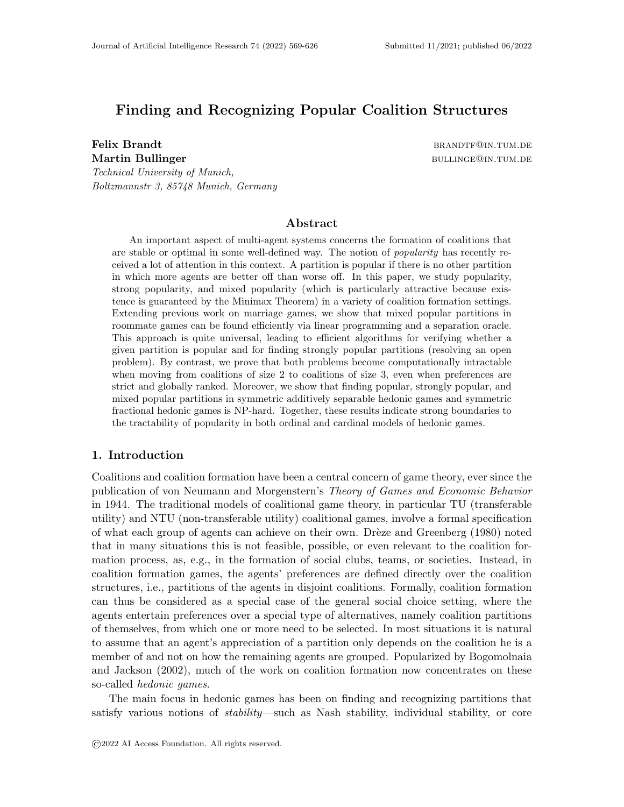# Finding and Recognizing Popular Coalition Structures

Felix Brandt brandt brandt brandt brandt brandt brandt brandt brandt brandt brandt brandt brandt brandt brandt brandt brandt brandt brandt brandt brandt brandt brandt brandt brandt brandt brandt brandt brandt brandt brandt Martin Bullinger bullinger bullinger bullinger bullinger bullinger bullinger bullinger bullinger bullinger bullinger Technical University of Munich, Boltzmannstr 3, 85748 Munich, Germany

## Abstract

An important aspect of multi-agent systems concerns the formation of coalitions that are stable or optimal in some well-defined way. The notion of popularity has recently received a lot of attention in this context. A partition is popular if there is no other partition in which more agents are better off than worse off. In this paper, we study popularity, strong popularity, and mixed popularity (which is particularly attractive because existence is guaranteed by the Minimax Theorem) in a variety of coalition formation settings. Extending previous work on marriage games, we show that mixed popular partitions in roommate games can be found efficiently via linear programming and a separation oracle. This approach is quite universal, leading to efficient algorithms for verifying whether a given partition is popular and for finding strongly popular partitions (resolving an open problem). By contrast, we prove that both problems become computationally intractable when moving from coalitions of size 2 to coalitions of size 3, even when preferences are strict and globally ranked. Moreover, we show that finding popular, strongly popular, and mixed popular partitions in symmetric additively separable hedonic games and symmetric fractional hedonic games is NP-hard. Together, these results indicate strong boundaries to the tractability of popularity in both ordinal and cardinal models of hedonic games.

### 1. Introduction

Coalitions and coalition formation have been a central concern of game theory, ever since the publication of von Neumann and Morgenstern's Theory of Games and Economic Behavior in 1944. The traditional models of coalitional game theory, in particular TU (transferable utility) and NTU (non-transferable utility) coalitional games, involve a formal specification of what each group of agents can achieve on their own. Drèze and Greenberg (1980) noted that in many situations this is not feasible, possible, or even relevant to the coalition formation process, as, e.g., in the formation of social clubs, teams, or societies. Instead, in coalition formation games, the agents' preferences are defined directly over the coalition structures, i.e., partitions of the agents in disjoint coalitions. Formally, coalition formation can thus be considered as a special case of the general social choice setting, where the agents entertain preferences over a special type of alternatives, namely coalition partitions of themselves, from which one or more need to be selected. In most situations it is natural to assume that an agent's appreciation of a partition only depends on the coalition he is a member of and not on how the remaining agents are grouped. Popularized by Bogomolnaia and Jackson (2002), much of the work on coalition formation now concentrates on these so-called hedonic games.

The main focus in hedonic games has been on finding and recognizing partitions that satisfy various notions of stability—such as Nash stability, individual stability, or core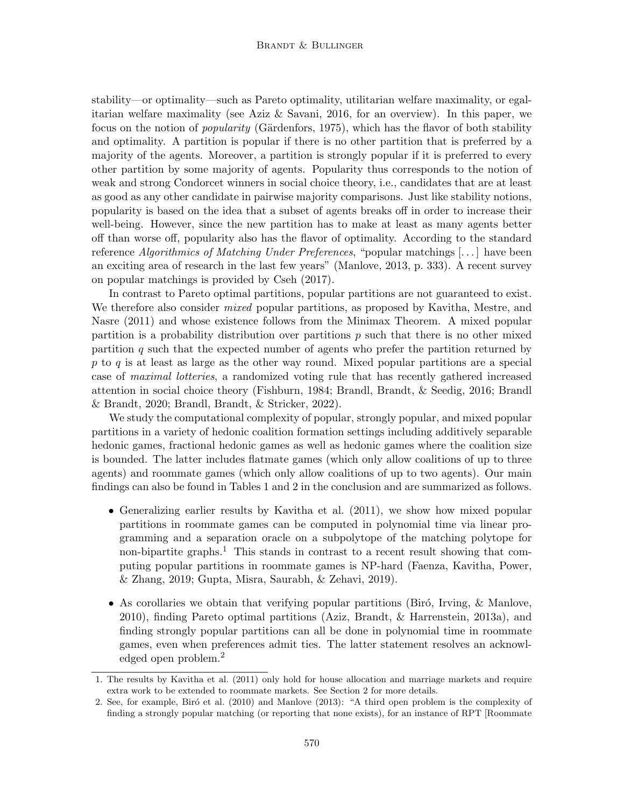stability—or optimality—such as Pareto optimality, utilitarian welfare maximality, or egalitarian welfare maximality (see Aziz & Savani, 2016, for an overview). In this paper, we focus on the notion of *popularity* (Gärdenfors, 1975), which has the flavor of both stability and optimality. A partition is popular if there is no other partition that is preferred by a majority of the agents. Moreover, a partition is strongly popular if it is preferred to every other partition by some majority of agents. Popularity thus corresponds to the notion of weak and strong Condorcet winners in social choice theory, i.e., candidates that are at least as good as any other candidate in pairwise majority comparisons. Just like stability notions, popularity is based on the idea that a subset of agents breaks off in order to increase their well-being. However, since the new partition has to make at least as many agents better off than worse off, popularity also has the flavor of optimality. According to the standard reference Algorithmics of Matching Under Preferences, "popular matchings  $[\ldots]$  have been an exciting area of research in the last few years" (Manlove, 2013, p. 333). A recent survey on popular matchings is provided by Cseh (2017).

In contrast to Pareto optimal partitions, popular partitions are not guaranteed to exist. We therefore also consider *mixed* popular partitions, as proposed by Kavitha, Mestre, and Nasre (2011) and whose existence follows from the Minimax Theorem. A mixed popular partition is a probability distribution over partitions  $p$  such that there is no other mixed partition q such that the expected number of agents who prefer the partition returned by  $p$  to  $q$  is at least as large as the other way round. Mixed popular partitions are a special case of maximal lotteries, a randomized voting rule that has recently gathered increased attention in social choice theory (Fishburn, 1984; Brandl, Brandt, & Seedig, 2016; Brandl & Brandt, 2020; Brandl, Brandt, & Stricker, 2022).

We study the computational complexity of popular, strongly popular, and mixed popular partitions in a variety of hedonic coalition formation settings including additively separable hedonic games, fractional hedonic games as well as hedonic games where the coalition size is bounded. The latter includes flatmate games (which only allow coalitions of up to three agents) and roommate games (which only allow coalitions of up to two agents). Our main findings can also be found in Tables 1 and 2 in the conclusion and are summarized as follows.

- Generalizing earlier results by Kavitha et al. (2011), we show how mixed popular partitions in roommate games can be computed in polynomial time via linear programming and a separation oracle on a subpolytope of the matching polytope for non-bipartite graphs.<sup>1</sup> This stands in contrast to a recent result showing that computing popular partitions in roommate games is NP-hard (Faenza, Kavitha, Power, & Zhang, 2019; Gupta, Misra, Saurabh, & Zehavi, 2019).
- As corollaries we obtain that verifying popular partitions (Biró, Irving,  $\&$  Manlove, 2010), finding Pareto optimal partitions (Aziz, Brandt, & Harrenstein, 2013a), and finding strongly popular partitions can all be done in polynomial time in roommate games, even when preferences admit ties. The latter statement resolves an acknowledged open problem.<sup>2</sup>

<sup>1.</sup> The results by Kavitha et al. (2011) only hold for house allocation and marriage markets and require extra work to be extended to roommate markets. See Section 2 for more details.

<sup>2.</sup> See, for example, Biró et al. (2010) and Manlove (2013): "A third open problem is the complexity of finding a strongly popular matching (or reporting that none exists), for an instance of RPT [Roommate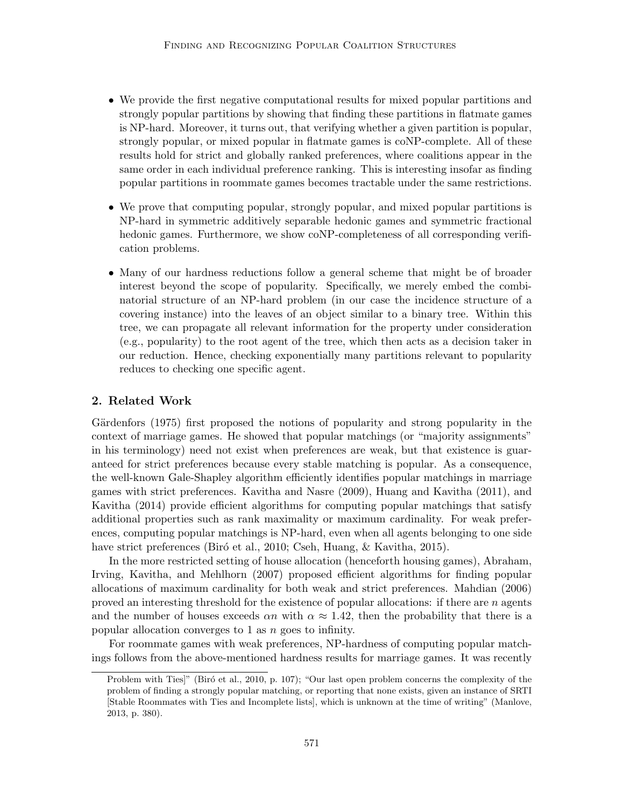- We provide the first negative computational results for mixed popular partitions and strongly popular partitions by showing that finding these partitions in flatmate games is NP-hard. Moreover, it turns out, that verifying whether a given partition is popular, strongly popular, or mixed popular in flatmate games is coNP-complete. All of these results hold for strict and globally ranked preferences, where coalitions appear in the same order in each individual preference ranking. This is interesting insofar as finding popular partitions in roommate games becomes tractable under the same restrictions.
- We prove that computing popular, strongly popular, and mixed popular partitions is NP-hard in symmetric additively separable hedonic games and symmetric fractional hedonic games. Furthermore, we show coNP-completeness of all corresponding verification problems.
- Many of our hardness reductions follow a general scheme that might be of broader interest beyond the scope of popularity. Specifically, we merely embed the combinatorial structure of an NP-hard problem (in our case the incidence structure of a covering instance) into the leaves of an object similar to a binary tree. Within this tree, we can propagate all relevant information for the property under consideration (e.g., popularity) to the root agent of the tree, which then acts as a decision taker in our reduction. Hence, checking exponentially many partitions relevant to popularity reduces to checking one specific agent.

## 2. Related Work

Gürdenfors (1975) first proposed the notions of popularity and strong popularity in the context of marriage games. He showed that popular matchings (or "majority assignments" in his terminology) need not exist when preferences are weak, but that existence is guaranteed for strict preferences because every stable matching is popular. As a consequence, the well-known Gale-Shapley algorithm efficiently identifies popular matchings in marriage games with strict preferences. Kavitha and Nasre (2009), Huang and Kavitha (2011), and Kavitha (2014) provide efficient algorithms for computing popular matchings that satisfy additional properties such as rank maximality or maximum cardinality. For weak preferences, computing popular matchings is NP-hard, even when all agents belonging to one side have strict preferences (Biró et al., 2010; Cseh, Huang, & Kavitha, 2015).

In the more restricted setting of house allocation (henceforth housing games), Abraham, Irving, Kavitha, and Mehlhorn (2007) proposed efficient algorithms for finding popular allocations of maximum cardinality for both weak and strict preferences. Mahdian (2006) proved an interesting threshold for the existence of popular allocations: if there are  $n$  agents and the number of houses exceeds  $\alpha n$  with  $\alpha \approx 1.42$ , then the probability that there is a popular allocation converges to 1 as n goes to infinity.

For roommate games with weak preferences, NP-hardness of computing popular matchings follows from the above-mentioned hardness results for marriage games. It was recently

Problem with Ties]" (Biró et al., 2010, p. 107); "Our last open problem concerns the complexity of the problem of finding a strongly popular matching, or reporting that none exists, given an instance of SRTI [Stable Roommates with Ties and Incomplete lists], which is unknown at the time of writing" (Manlove, 2013, p. 380).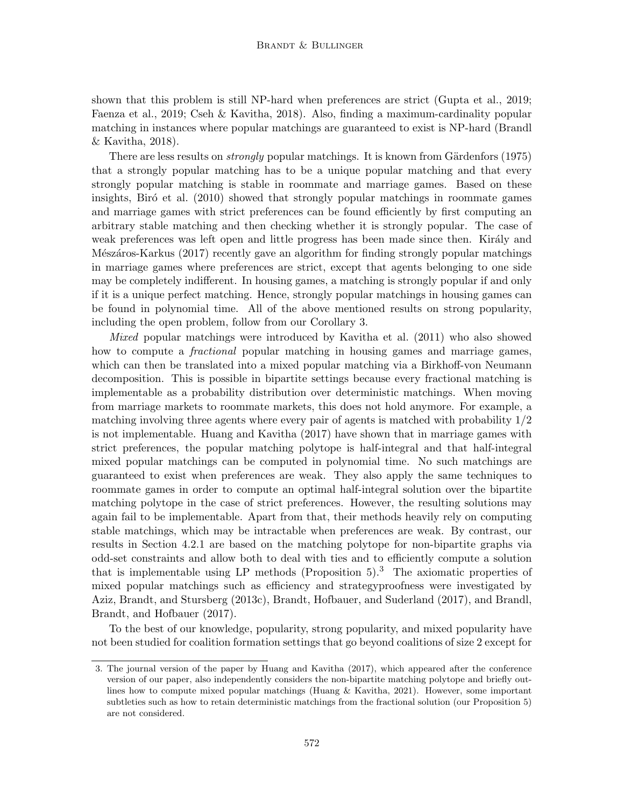shown that this problem is still NP-hard when preferences are strict (Gupta et al., 2019; Faenza et al., 2019; Cseh & Kavitha, 2018). Also, finding a maximum-cardinality popular matching in instances where popular matchings are guaranteed to exist is NP-hard (Brandl & Kavitha, 2018).

There are less results on *strongly* popular matchings. It is known from Gärdenfors (1975) that a strongly popular matching has to be a unique popular matching and that every strongly popular matching is stable in roommate and marriage games. Based on these insights, Biró et al. (2010) showed that strongly popular matchings in roommate games and marriage games with strict preferences can be found efficiently by first computing an arbitrary stable matching and then checking whether it is strongly popular. The case of weak preferences was left open and little progress has been made since then. Király and Mészáros-Karkus (2017) recently gave an algorithm for finding strongly popular matchings in marriage games where preferences are strict, except that agents belonging to one side may be completely indifferent. In housing games, a matching is strongly popular if and only if it is a unique perfect matching. Hence, strongly popular matchings in housing games can be found in polynomial time. All of the above mentioned results on strong popularity, including the open problem, follow from our Corollary 3.

Mixed popular matchings were introduced by Kavitha et al. (2011) who also showed how to compute a *fractional* popular matching in housing games and marriage games, which can then be translated into a mixed popular matching via a Birkhoff-von Neumann decomposition. This is possible in bipartite settings because every fractional matching is implementable as a probability distribution over deterministic matchings. When moving from marriage markets to roommate markets, this does not hold anymore. For example, a matching involving three agents where every pair of agents is matched with probability 1/2 is not implementable. Huang and Kavitha (2017) have shown that in marriage games with strict preferences, the popular matching polytope is half-integral and that half-integral mixed popular matchings can be computed in polynomial time. No such matchings are guaranteed to exist when preferences are weak. They also apply the same techniques to roommate games in order to compute an optimal half-integral solution over the bipartite matching polytope in the case of strict preferences. However, the resulting solutions may again fail to be implementable. Apart from that, their methods heavily rely on computing stable matchings, which may be intractable when preferences are weak. By contrast, our results in Section 4.2.1 are based on the matching polytope for non-bipartite graphs via odd-set constraints and allow both to deal with ties and to efficiently compute a solution that is implementable using LP methods (Proposition  $5$ ).<sup>3</sup> The axiomatic properties of mixed popular matchings such as efficiency and strategyproofness were investigated by Aziz, Brandt, and Stursberg (2013c), Brandt, Hofbauer, and Suderland (2017), and Brandl, Brandt, and Hofbauer (2017).

To the best of our knowledge, popularity, strong popularity, and mixed popularity have not been studied for coalition formation settings that go beyond coalitions of size 2 except for

<sup>3.</sup> The journal version of the paper by Huang and Kavitha (2017), which appeared after the conference version of our paper, also independently considers the non-bipartite matching polytope and briefly outlines how to compute mixed popular matchings (Huang & Kavitha, 2021). However, some important subtleties such as how to retain deterministic matchings from the fractional solution (our Proposition 5) are not considered.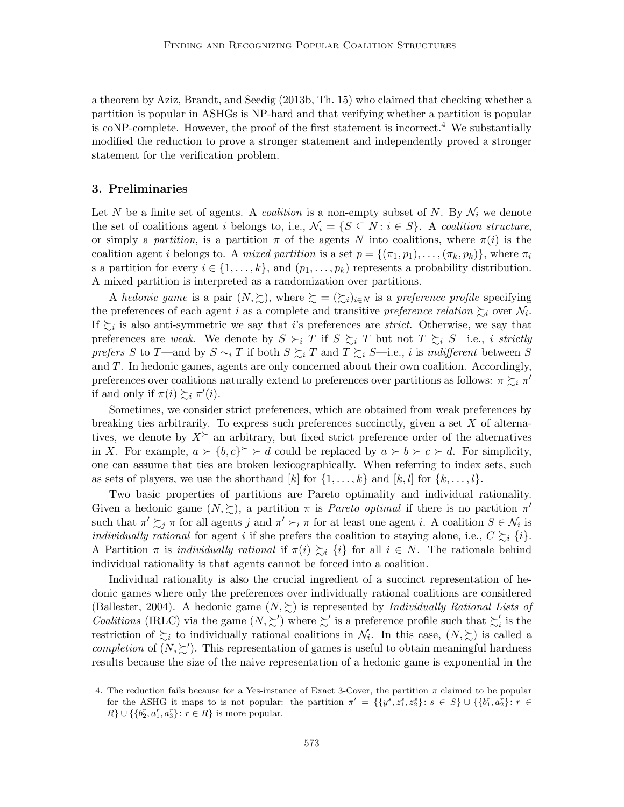a theorem by Aziz, Brandt, and Seedig (2013b, Th. 15) who claimed that checking whether a partition is popular in ASHGs is NP-hard and that verifying whether a partition is popular is coNP-complete. However, the proof of the first statement is incorrect.<sup>4</sup> We substantially modified the reduction to prove a stronger statement and independently proved a stronger statement for the verification problem.

### 3. Preliminaries

Let N be a finite set of agents. A *coalition* is a non-empty subset of N. By  $\mathcal{N}_i$  we denote the set of coalitions agent i belongs to, i.e.,  $\mathcal{N}_i = \{S \subseteq N : i \in S\}$ . A coalition structure, or simply a partition, is a partition  $\pi$  of the agents N into coalitions, where  $\pi(i)$  is the coalition agent i belongs to. A mixed partition is a set  $p = \{(\pi_1, p_1), \ldots, (\pi_k, p_k)\}\,$ , where  $\pi_i$ s a partition for every  $i \in \{1, \ldots, k\}$ , and  $(p_1, \ldots, p_k)$  represents a probability distribution. A mixed partition is interpreted as a randomization over partitions.

A hedonic game is a pair  $(N, \geq),$  where  $\succeq = (\geq_i)_{i \in N}$  is a preference profile specifying the preferences of each agent i as a complete and transitive preference relation  $\succsim_i$  over  $\mathcal{N}_i$ . If  $\succsim_i$  is also anti-symmetric we say that *i*'s preferences are *strict*. Otherwise, we say that preferences are weak. We denote by  $S \succ_i T$  if  $S \succsim_i T$  but not  $T \succsim_i S$ —i.e., i strictly prefers S to T—and by  $S \sim_i T$  if both  $S \succsim_i T$  and  $T \succsim_i S$ —i.e., i is indifferent between S and T. In hedonic games, agents are only concerned about their own coalition. Accordingly, preferences over coalitions naturally extend to preferences over partitions as follows:  $\pi \succsim_i \pi'$ if and only if  $\pi(i) \succsim_i \pi'(i)$ .

Sometimes, we consider strict preferences, which are obtained from weak preferences by breaking ties arbitrarily. To express such preferences succinctly, given a set  $X$  of alternatives, we denote by  $X^{\succ}$  an arbitrary, but fixed strict preference order of the alternatives in X. For example,  $a \succ \{b, c\}^{\succ} \succ d$  could be replaced by  $a \succ b \succ c \succ d$ . For simplicity, one can assume that ties are broken lexicographically. When referring to index sets, such as sets of players, we use the shorthand  $[k]$  for  $\{1, \ldots, k\}$  and  $[k, l]$  for  $\{k, \ldots, l\}$ .

Two basic properties of partitions are Pareto optimality and individual rationality. Given a hedonic game  $(N, \geq)$ , a partition  $\pi$  is *Pareto optimal* if there is no partition  $\pi'$ such that  $\pi' \succsim_j \pi$  for all agents j and  $\pi' \succ_i \pi$  for at least one agent i. A coalition  $S \in \mathcal{N}_i$  is *individually rational* for agent *i* if she prefers the coalition to staying alone, i.e.,  $C \succsim_i \{i\}$ . A Partition  $\pi$  is *individually rational* if  $\pi(i) \succeq_i \{i\}$  for all  $i \in N$ . The rationale behind individual rationality is that agents cannot be forced into a coalition.

Individual rationality is also the crucial ingredient of a succinct representation of hedonic games where only the preferences over individually rational coalitions are considered (Ballester, 2004). A hedonic game  $(N, \geq)$  is represented by *Individually Rational Lists of* Coalitions (IRLC) via the game  $(N, \succeq')$  where  $\succeq'$  is a preference profile such that  $\succeq'_i$  is the restriction of  $\succsim_i$  to individually rational coalitions in  $\mathcal{N}_i$ . In this case,  $(N, \succsim)$  is called a completion of  $(N, \succeq')$ . This representation of games is useful to obtain meaningful hardness results because the size of the naive representation of a hedonic game is exponential in the

<sup>4.</sup> The reduction fails because for a Yes-instance of Exact 3-Cover, the partition  $\pi$  claimed to be popular for the ASHG it maps to is not popular: the partition  $\pi' = \{y^s, z_1^s, z_2^s\}$ :  $s \in S\} \cup \{b_1^r, a_2^r\}$ :  $r \in$  $R\} \cup \{\{b_2^r, a_1^r, a_3^r\} : r \in R\}$  is more popular.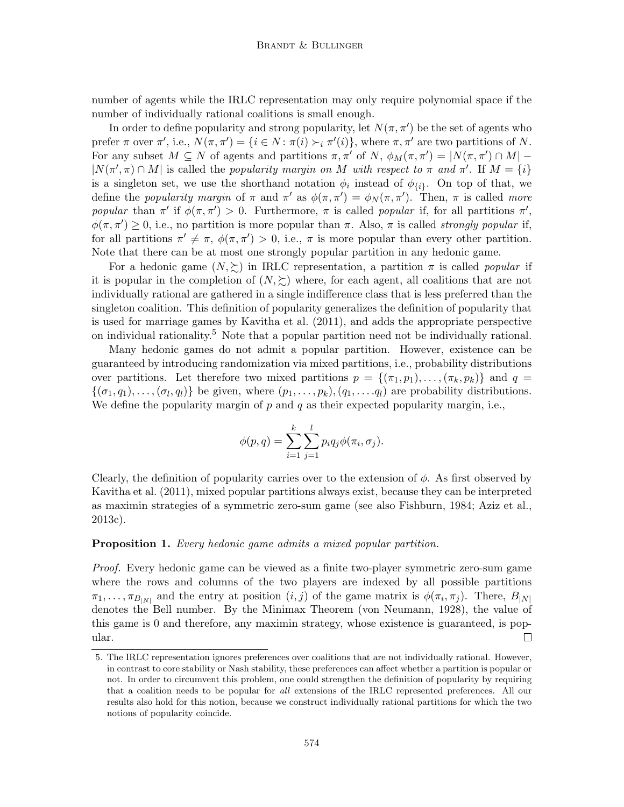number of agents while the IRLC representation may only require polynomial space if the number of individually rational coalitions is small enough.

In order to define popularity and strong popularity, let  $N(\pi, \pi')$  be the set of agents who prefer  $\pi$  over  $\pi'$ , i.e.,  $N(\pi, \pi') = \{i \in N : \pi(i) \succ_i \pi'(i)\}$ , where  $\pi, \pi'$  are two partitions of N. For any subset  $M \subseteq N$  of agents and partitions  $\pi, \pi'$  of  $N$ ,  $\phi_M(\pi, \pi') = |N(\pi, \pi') \cap M|$  –  $|N(\pi', \pi) \cap M|$  is called the popularity margin on M with respect to  $\pi$  and  $\pi'$ . If  $M = \{i\}$ is a singleton set, we use the shorthand notation  $\phi_i$  instead of  $\phi_{\{i\}}$ . On top of that, we define the *popularity margin* of  $\pi$  and  $\pi'$  as  $\phi(\pi, \pi') = \phi_N(\pi, \pi')$ . Then,  $\pi$  is called *more* popular than  $\pi'$  if  $\phi(\pi, \pi') > 0$ . Furthermore,  $\pi$  is called popular if, for all partitions  $\pi'$ ,  $\phi(\pi, \pi') \geq 0$ , i.e., no partition is more popular than  $\pi$ . Also,  $\pi$  is called *strongly popular* if, for all partitions  $\pi' \neq \pi$ ,  $\phi(\pi, \pi') > 0$ , i.e.,  $\pi$  is more popular than every other partition. Note that there can be at most one strongly popular partition in any hedonic game.

For a hedonic game  $(N, \geq)$  in IRLC representation, a partition  $\pi$  is called *popular* if it is popular in the completion of  $(N, \succeq)$  where, for each agent, all coalitions that are not individually rational are gathered in a single indifference class that is less preferred than the singleton coalition. This definition of popularity generalizes the definition of popularity that is used for marriage games by Kavitha et al. (2011), and adds the appropriate perspective on individual rationality.<sup>5</sup> Note that a popular partition need not be individually rational.

Many hedonic games do not admit a popular partition. However, existence can be guaranteed by introducing randomization via mixed partitions, i.e., probability distributions over partitions. Let therefore two mixed partitions  $p = \{(\pi_1, p_1), \ldots, (\pi_k, p_k)\}\$  and  $q =$  $\{(\sigma_1, q_1), \ldots, (\sigma_l, q_l)\}\$ be given, where  $(p_1, \ldots, p_k), (q_1, \ldots, q_l)$  are probability distributions. We define the popularity margin of p and q as their expected popularity margin, i.e.,

$$
\phi(p,q) = \sum_{i=1}^k \sum_{j=1}^l p_i q_j \phi(\pi_i, \sigma_j).
$$

Clearly, the definition of popularity carries over to the extension of  $\phi$ . As first observed by Kavitha et al. (2011), mixed popular partitions always exist, because they can be interpreted as maximin strategies of a symmetric zero-sum game (see also Fishburn, 1984; Aziz et al., 2013c).

#### **Proposition 1.** Every hedonic game admits a mixed popular partition.

Proof. Every hedonic game can be viewed as a finite two-player symmetric zero-sum game where the rows and columns of the two players are indexed by all possible partitions  $\pi_1, \ldots, \pi_{B_{|N|}}$  and the entry at position  $(i, j)$  of the game matrix is  $\phi(\pi_i, \pi_j)$ . There,  $B_{|N|}$ denotes the Bell number. By the Minimax Theorem (von Neumann, 1928), the value of this game is 0 and therefore, any maximin strategy, whose existence is guaranteed, is popular. П

<sup>5.</sup> The IRLC representation ignores preferences over coalitions that are not individually rational. However, in contrast to core stability or Nash stability, these preferences can affect whether a partition is popular or not. In order to circumvent this problem, one could strengthen the definition of popularity by requiring that a coalition needs to be popular for all extensions of the IRLC represented preferences. All our results also hold for this notion, because we construct individually rational partitions for which the two notions of popularity coincide.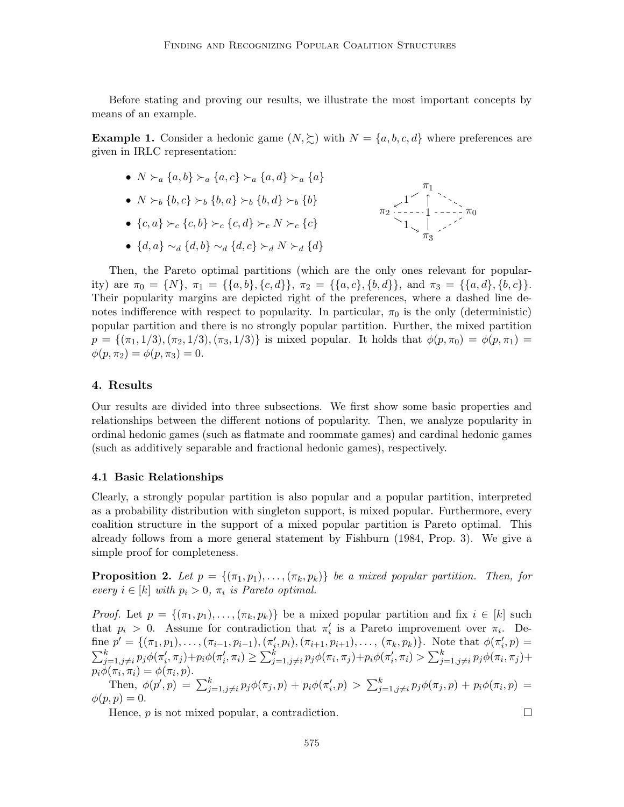Before stating and proving our results, we illustrate the most important concepts by means of an example.

**Example 1.** Consider a hedonic game  $(N, \geq)$  with  $N = \{a, b, c, d\}$  where preferences are given in IRLC representation:

- $N \succ_a \{a, b\} \succ_a \{a, c\} \succ_a \{a, d\} \succ_a \{a\}$
- $N \succ_b \{b, c\} \succ_b \{b, a\} \succ_b \{b, d\} \succ_b \{b\}$
- ${c, a} \succ_c {c, b} \succ_c {c, d} \succ_c N \succ_c {c}$
- $\{d, a\} \sim_d \{d, b\} \sim_d \{d, c\} \succ_d N \succ_d \{d\}$



 $\Box$ 

Then, the Pareto optimal partitions (which are the only ones relevant for popularity) are  $\pi_0 = \{N\}, \pi_1 = \{\{a, b\}, \{c, d\}\}, \pi_2 = \{\{a, c\}, \{b, d\}\}, \text{ and } \pi_3 = \{\{a, d\}, \{b, c\}\}.$ Their popularity margins are depicted right of the preferences, where a dashed line denotes indifference with respect to popularity. In particular,  $\pi_0$  is the only (deterministic) popular partition and there is no strongly popular partition. Further, the mixed partition  $p = \{(\pi_1, 1/3), (\pi_2, 1/3), (\pi_3, 1/3)\}\$ is mixed popular. It holds that  $\phi(p, \pi_0) = \phi(p, \pi_1) =$  $\phi(p, \pi_2) = \phi(p, \pi_3) = 0.$ 

## 4. Results

Our results are divided into three subsections. We first show some basic properties and relationships between the different notions of popularity. Then, we analyze popularity in ordinal hedonic games (such as flatmate and roommate games) and cardinal hedonic games (such as additively separable and fractional hedonic games), respectively.

#### 4.1 Basic Relationships

Clearly, a strongly popular partition is also popular and a popular partition, interpreted as a probability distribution with singleton support, is mixed popular. Furthermore, every coalition structure in the support of a mixed popular partition is Pareto optimal. This already follows from a more general statement by Fishburn (1984, Prop. 3). We give a simple proof for completeness.

**Proposition 2.** Let  $p = \{(\pi_1, p_1), \ldots, (\pi_k, p_k)\}\$ be a mixed popular partition. Then, for every  $i \in [k]$  with  $p_i > 0$ ,  $\pi_i$  is Pareto optimal.

*Proof.* Let  $p = \{(\pi_1, p_1), \ldots, (\pi_k, p_k)\}\$  be a mixed popular partition and fix  $i \in [k]$  such that  $p_i > 0$ . Assume for contradiction that  $\pi'_i$  is a Pareto improvement over  $\pi_i$ . Define  $p' = \{(\pi_1, p_1), \ldots, (\pi_{i-1}, p_{i-1}), (\pi'_i, p_i), (\pi_{i+1}, p_{i+1}), \ldots, (\pi_k, p_k)\}\.$  Note that  $\phi(\pi'_i, p) =$  $\sum_{j=1, j\neq i}^{k} p_j \phi(\pi'_i, \pi_j) + p_i \phi(\pi'_i, \pi_i) \geq \sum_{j=1, j\neq i}^{k} p_j \phi(\pi_i, \pi_j) + p_i \phi(\pi'_i, \pi_i) > \sum_{j=1, j\neq i}^{k} p_j \phi(\pi_i, \pi_j) + p_i \phi(\pi'_i, \pi_i)$  $p_i\phi(\pi_i, \pi_i) = \phi(\pi_i, p).$ 

Then,  $\phi(p', p) = \sum_{j=1, j\neq i}^{k} p_j \phi(\pi_j, p) + p_i \phi(\pi'_i, p) > \sum_{j=1, j\neq i}^{k} p_j \phi(\pi_j, p) + p_i \phi(\pi_i, p) =$  $\phi(p,p)=0.$ 

Hence, p is not mixed popular, a contradiction.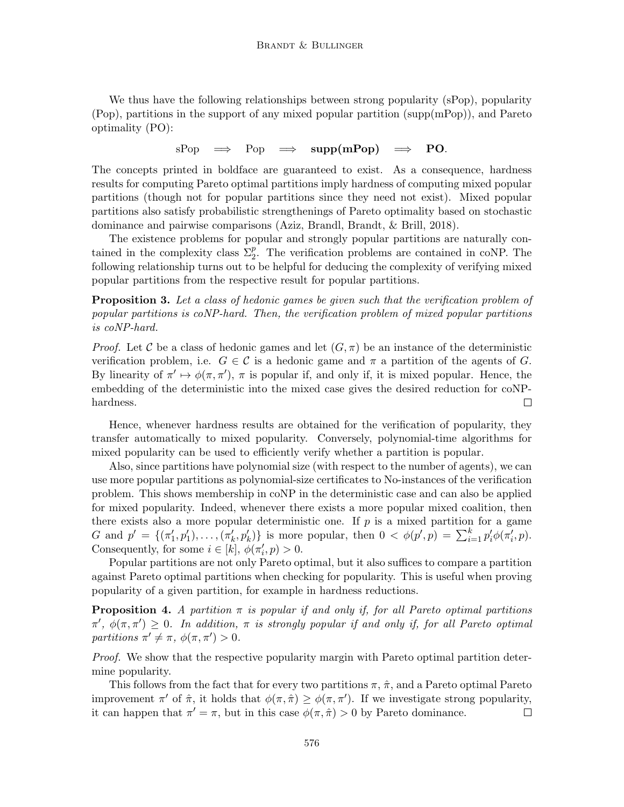We thus have the following relationships between strong popularity (sPop), popularity (Pop), partitions in the support of any mixed popular partition (supp(mPop)), and Pareto optimality (PO):

sPop  $\implies$  Pop  $\implies$  supp(mPop)  $\implies$  PO.

The concepts printed in boldface are guaranteed to exist. As a consequence, hardness results for computing Pareto optimal partitions imply hardness of computing mixed popular partitions (though not for popular partitions since they need not exist). Mixed popular partitions also satisfy probabilistic strengthenings of Pareto optimality based on stochastic dominance and pairwise comparisons (Aziz, Brandl, Brandt, & Brill, 2018).

The existence problems for popular and strongly popular partitions are naturally contained in the complexity class  $\Sigma_2^p$ . The verification problems are contained in coNP. The following relationship turns out to be helpful for deducing the complexity of verifying mixed popular partitions from the respective result for popular partitions.

Proposition 3. Let a class of hedonic games be given such that the verification problem of popular partitions is coNP-hard. Then, the verification problem of mixed popular partitions is coNP-hard.

*Proof.* Let C be a class of hedonic games and let  $(G, \pi)$  be an instance of the deterministic verification problem, i.e.  $G \in \mathcal{C}$  is a hedonic game and  $\pi$  a partition of the agents of G. By linearity of  $\pi' \mapsto \phi(\pi, \pi')$ ,  $\pi$  is popular if, and only if, it is mixed popular. Hence, the embedding of the deterministic into the mixed case gives the desired reduction for coNPhardness.  $\Box$ 

Hence, whenever hardness results are obtained for the verification of popularity, they transfer automatically to mixed popularity. Conversely, polynomial-time algorithms for mixed popularity can be used to efficiently verify whether a partition is popular.

Also, since partitions have polynomial size (with respect to the number of agents), we can use more popular partitions as polynomial-size certificates to No-instances of the verification problem. This shows membership in coNP in the deterministic case and can also be applied for mixed popularity. Indeed, whenever there exists a more popular mixed coalition, then there exists also a more popular deterministic one. If  $p$  is a mixed partition for a game G and  $p' = \{(\pi'_1, p'_1), \ldots, (\pi'_k, p'_k)\}\$ is more popular, then  $0 < \phi(p', p) = \sum_{i=1}^k p'_i \phi(\pi'_i, p)$ . Consequently, for some  $i \in [k], \phi(\pi'_i, p) > 0$ .

Popular partitions are not only Pareto optimal, but it also suffices to compare a partition against Pareto optimal partitions when checking for popularity. This is useful when proving popularity of a given partition, for example in hardness reductions.

**Proposition 4.** A partition  $\pi$  is popular if and only if, for all Pareto optimal partitions  $\pi'$ ,  $\phi(\pi, \pi') \geq 0$ . In addition,  $\pi$  is strongly popular if and only if, for all Pareto optimal partitions  $\pi' \neq \pi$ ,  $\phi(\pi, \pi') > 0$ .

Proof. We show that the respective popularity margin with Pareto optimal partition determine popularity.

This follows from the fact that for every two partitions  $\pi$ ,  $\hat{\pi}$ , and a Pareto optimal Pareto improvement  $\pi'$  of  $\hat{\pi}$ , it holds that  $\phi(\pi, \hat{\pi}) \geq \phi(\pi, \pi')$ . If we investigate strong popularity, it can happen that  $\pi' = \pi$ , but in this case  $\phi(\pi, \hat{\pi}) > 0$  by Pareto dominance.  $\Box$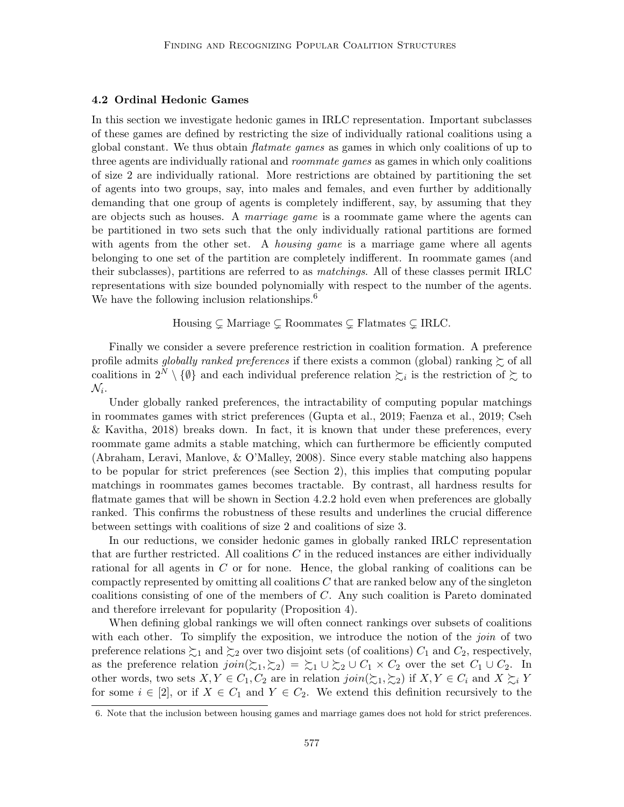## 4.2 Ordinal Hedonic Games

In this section we investigate hedonic games in IRLC representation. Important subclasses of these games are defined by restricting the size of individually rational coalitions using a global constant. We thus obtain flatmate games as games in which only coalitions of up to three agents are individually rational and *roommate games* as games in which only coalitions of size 2 are individually rational. More restrictions are obtained by partitioning the set of agents into two groups, say, into males and females, and even further by additionally demanding that one group of agents is completely indifferent, say, by assuming that they are objects such as houses. A marriage game is a roommate game where the agents can be partitioned in two sets such that the only individually rational partitions are formed with agents from the other set. A *housing game* is a marriage game where all agents belonging to one set of the partition are completely indifferent. In roommate games (and their subclasses), partitions are referred to as matchings. All of these classes permit IRLC representations with size bounded polynomially with respect to the number of the agents. We have the following inclusion relationships.<sup>6</sup>

Housing  $\subsetneq$  Marriage  $\subsetneq$  Roommates  $\subsetneq$  Flatmates  $\subsetneq$  IRLC.

Finally we consider a severe preference restriction in coalition formation. A preference profile admits *globally ranked preferences* if there exists a common (global) ranking  $\succeq$  of all coalitions in  $2^N \setminus \{\emptyset\}$  and each individual preference relation  $\succsim_i$  is the restriction of  $\succsim$  to  $\mathcal{N}_i$ .

Under globally ranked preferences, the intractability of computing popular matchings in roommates games with strict preferences (Gupta et al., 2019; Faenza et al., 2019; Cseh & Kavitha, 2018) breaks down. In fact, it is known that under these preferences, every roommate game admits a stable matching, which can furthermore be efficiently computed (Abraham, Leravi, Manlove, & O'Malley, 2008). Since every stable matching also happens to be popular for strict preferences (see Section 2), this implies that computing popular matchings in roommates games becomes tractable. By contrast, all hardness results for flatmate games that will be shown in Section 4.2.2 hold even when preferences are globally ranked. This confirms the robustness of these results and underlines the crucial difference between settings with coalitions of size 2 and coalitions of size 3.

In our reductions, we consider hedonic games in globally ranked IRLC representation that are further restricted. All coalitions  $C$  in the reduced instances are either individually rational for all agents in C or for none. Hence, the global ranking of coalitions can be compactly represented by omitting all coalitions  $C$  that are ranked below any of the singleton coalitions consisting of one of the members of C. Any such coalition is Pareto dominated and therefore irrelevant for popularity (Proposition 4).

When defining global rankings we will often connect rankings over subsets of coalitions with each other. To simplify the exposition, we introduce the notion of the *join* of two preference relations  $\succsim_1$  and  $\succsim_2$  over two disjoint sets (of coalitions)  $C_1$  and  $C_2$ , respectively, as the preference relation  $\text{join}(\succsim_1, \succsim_2) = \succsim_1 \cup \succsim_2 \cup C_1 \times C_2$  over the set  $C_1 \cup C_2$ . In other words, two sets  $X, Y \in C_1, C_2$  are in relation  $\text{join}(\succsim_1, \succsim_2)$  if  $X, Y \in C_i$  and  $X \succsim_i Y$ for some  $i \in [2]$ , or if  $X \in C_1$  and  $Y \in C_2$ . We extend this definition recursively to the

<sup>6.</sup> Note that the inclusion between housing games and marriage games does not hold for strict preferences.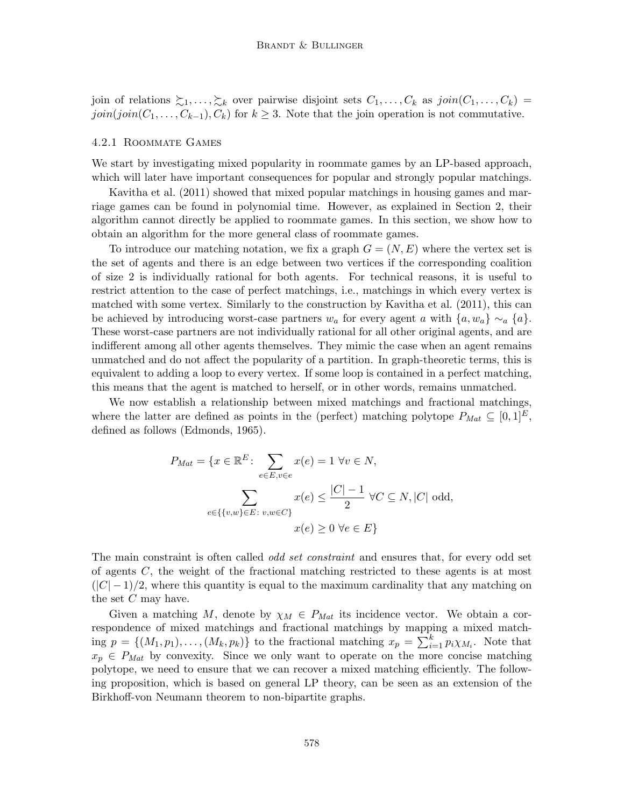join of relations  $\succsim_1,\ldots,\succsim_k$  over pairwise disjoint sets  $C_1,\ldots,C_k$  as  $join(C_1,\ldots,C_k)$  $join(join(C_1, ..., C_{k-1}), C_k)$  for  $k \geq 3$ . Note that the join operation is not commutative.

#### 4.2.1 Roommate Games

We start by investigating mixed popularity in roommate games by an LP-based approach, which will later have important consequences for popular and strongly popular matchings.

Kavitha et al. (2011) showed that mixed popular matchings in housing games and marriage games can be found in polynomial time. However, as explained in Section 2, their algorithm cannot directly be applied to roommate games. In this section, we show how to obtain an algorithm for the more general class of roommate games.

To introduce our matching notation, we fix a graph  $G = (N, E)$  where the vertex set is the set of agents and there is an edge between two vertices if the corresponding coalition of size 2 is individually rational for both agents. For technical reasons, it is useful to restrict attention to the case of perfect matchings, i.e., matchings in which every vertex is matched with some vertex. Similarly to the construction by Kavitha et al. (2011), this can be achieved by introducing worst-case partners  $w_a$  for every agent a with  $\{a, w_a\} \sim_a \{a\}$ . These worst-case partners are not individually rational for all other original agents, and are indifferent among all other agents themselves. They mimic the case when an agent remains unmatched and do not affect the popularity of a partition. In graph-theoretic terms, this is equivalent to adding a loop to every vertex. If some loop is contained in a perfect matching, this means that the agent is matched to herself, or in other words, remains unmatched.

We now establish a relationship between mixed matchings and fractional matchings, where the latter are defined as points in the (perfect) matching polytope  $P_{Mat} \subseteq [0,1]^E$ , defined as follows (Edmonds, 1965).

$$
P_{Mat} = \{x \in \mathbb{R}^E : \sum_{e \in E, v \in e} x(e) = 1 \ \forall v \in N, \sum_{e \in \{v, w\} \in E : v, w \in C\}} x(e) \le \frac{|C| - 1}{2} \ \forall C \subseteq N, |C| \text{ odd}, \n x(e) \ge 0 \ \forall e \in E\}
$$

The main constraint is often called *odd set constraint* and ensures that, for every odd set of agents C, the weight of the fractional matching restricted to these agents is at most  $(|C|-1)/2$ , where this quantity is equal to the maximum cardinality that any matching on the set  $C$  may have.

Given a matching M, denote by  $\chi_M \in P_{Mat}$  its incidence vector. We obtain a correspondence of mixed matchings and fractional matchings by mapping a mixed matching  $p = \{(M_1, p_1), \ldots, (M_k, p_k)\}\$  to the fractional matching  $x_p = \sum_{i=1}^k p_i \chi_{M_i}$ . Note that  $x_p \in P_{Mat}$  by convexity. Since we only want to operate on the more concise matching polytope, we need to ensure that we can recover a mixed matching efficiently. The following proposition, which is based on general LP theory, can be seen as an extension of the Birkhoff-von Neumann theorem to non-bipartite graphs.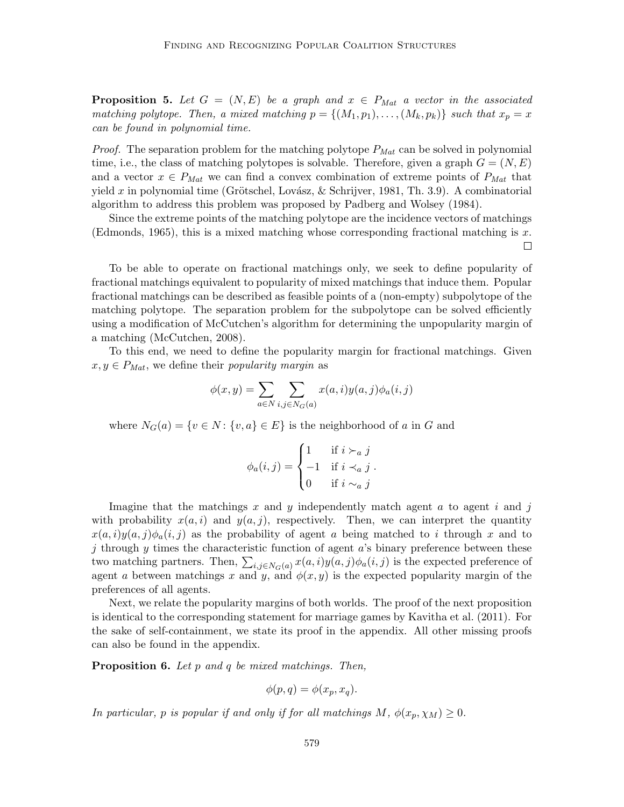**Proposition 5.** Let  $G = (N, E)$  be a graph and  $x \in P_{Mat}$  a vector in the associated matching polytope. Then, a mixed matching  $p = \{(M_1, p_1), \ldots, (M_k, p_k)\}\$  such that  $x_p = x$ can be found in polynomial time.

*Proof.* The separation problem for the matching polytope  $P_{Mat}$  can be solved in polynomial time, i.e., the class of matching polytopes is solvable. Therefore, given a graph  $G = (N, E)$ and a vector  $x \in P_{Mat}$  we can find a convex combination of extreme points of  $P_{Mat}$  that yield x in polynomial time (Grötschel, Lovász, & Schrijver, 1981, Th. 3.9). A combinatorial algorithm to address this problem was proposed by Padberg and Wolsey (1984).

Since the extreme points of the matching polytope are the incidence vectors of matchings (Edmonds, 1965), this is a mixed matching whose corresponding fractional matching is  $x$ .  $\Box$ 

To be able to operate on fractional matchings only, we seek to define popularity of fractional matchings equivalent to popularity of mixed matchings that induce them. Popular fractional matchings can be described as feasible points of a (non-empty) subpolytope of the matching polytope. The separation problem for the subpolytope can be solved efficiently using a modification of McCutchen's algorithm for determining the unpopularity margin of a matching (McCutchen, 2008).

To this end, we need to define the popularity margin for fractional matchings. Given  $x, y \in P_{Mat}$ , we define their *popularity margin* as

$$
\phi(x,y) = \sum_{a \in N} \sum_{i,j \in N_G(a)} x(a,i)y(a,j)\phi_a(i,j)
$$

where  $N_G(a) = \{v \in N : \{v, a\} \in E\}$  is the neighborhood of a in G and

$$
\phi_a(i,j) = \begin{cases} 1 & \text{if } i \succ_a j \\ -1 & \text{if } i \prec_a j \\ 0 & \text{if } i \sim_a j \end{cases}.
$$

Imagine that the matchings x and y independently match agent  $a$  to agent  $i$  and  $j$ with probability  $x(a, i)$  and  $y(a, j)$ , respectively. Then, we can interpret the quantity  $x(a, i)y(a, j)\phi_a(i, j)$  as the probability of agent a being matched to i through x and to j through  $y$  times the characteristic function of agent  $a$ 's binary preference between these two matching partners. Then,  $\sum_{i,j\in N_G(a)} x(a,i)y(a,j)\phi_a(i,j)$  is the expected preference of agent a between matchings x and y, and  $\phi(x, y)$  is the expected popularity margin of the preferences of all agents.

Next, we relate the popularity margins of both worlds. The proof of the next proposition is identical to the corresponding statement for marriage games by Kavitha et al. (2011). For the sake of self-containment, we state its proof in the appendix. All other missing proofs can also be found in the appendix.

**Proposition 6.** Let  $p$  and  $q$  be mixed matchings. Then,

$$
\phi(p,q) = \phi(x_p, x_q).
$$

In particular, p is popular if and only if for all matchings  $M$ ,  $\phi(x_p, \chi_M) \geq 0$ .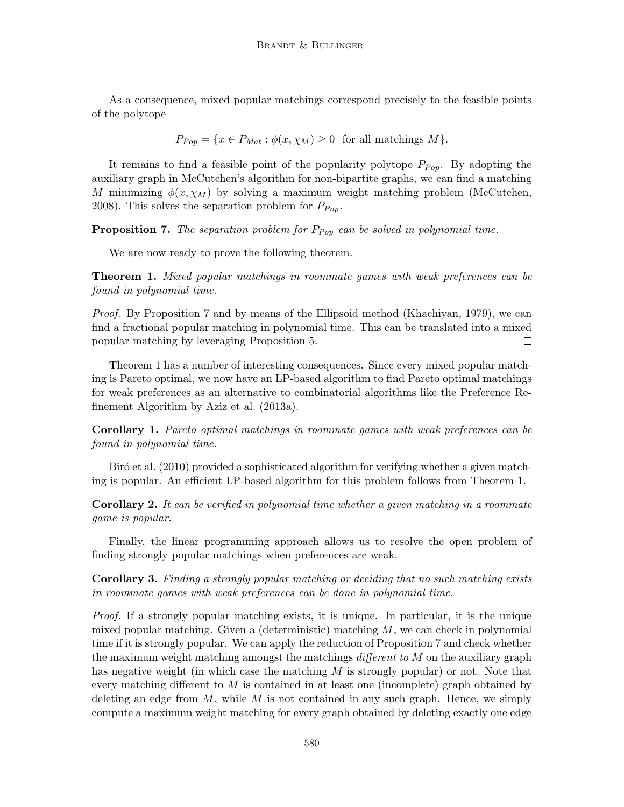As a consequence, mixed popular matchings correspond precisely to the feasible points of the polytope

$$
P_{Pop} = \{x \in P_{Mat} : \phi(x, \chi_M) \ge 0 \text{ for all matchings } M\}.
$$

It remains to find a feasible point of the popularity polytope  $P_{Pop}$ . By adopting the auxiliary graph in McCutchen's algorithm for non-bipartite graphs, we can find a matching M minimizing  $\phi(x, \chi_M)$  by solving a maximum weight matching problem (McCutchen, 2008). This solves the separation problem for  $P_{Pop}$ .

**Proposition 7.** The separation problem for  $P_{Pop}$  can be solved in polynomial time.

We are now ready to prove the following theorem.

Theorem 1. Mixed popular matchings in roommate games with weak preferences can be found in polynomial time.

Proof. By Proposition 7 and by means of the Ellipsoid method (Khachiyan, 1979), we can find a fractional popular matching in polynomial time. This can be translated into a mixed popular matching by leveraging Proposition 5.  $\Box$ 

Theorem 1 has a number of interesting consequences. Since every mixed popular matching is Pareto optimal, we now have an LP-based algorithm to find Pareto optimal matchings for weak preferences as an alternative to combinatorial algorithms like the Preference Refinement Algorithm by Aziz et al. (2013a).

Corollary 1. Pareto optimal matchings in roommate games with weak preferences can be found in polynomial time.

Biró et al. (2010) provided a sophisticated algorithm for verifying whether a given matching is popular. An efficient LP-based algorithm for this problem follows from Theorem 1.

Corollary 2. It can be verified in polynomial time whether a given matching in a roommate game is popular.

Finally, the linear programming approach allows us to resolve the open problem of finding strongly popular matchings when preferences are weak.

Corollary 3. Finding a strongly popular matching or deciding that no such matching exists in roommate games with weak preferences can be done in polynomial time.

Proof. If a strongly popular matching exists, it is unique. In particular, it is the unique mixed popular matching. Given a (deterministic) matching  $M$ , we can check in polynomial time if it is strongly popular. We can apply the reduction of Proposition 7 and check whether the maximum weight matching amongst the matchings *different to M* on the auxiliary graph has negative weight (in which case the matching  $M$  is strongly popular) or not. Note that every matching different to M is contained in at least one (incomplete) graph obtained by deleting an edge from  $M$ , while  $M$  is not contained in any such graph. Hence, we simply compute a maximum weight matching for every graph obtained by deleting exactly one edge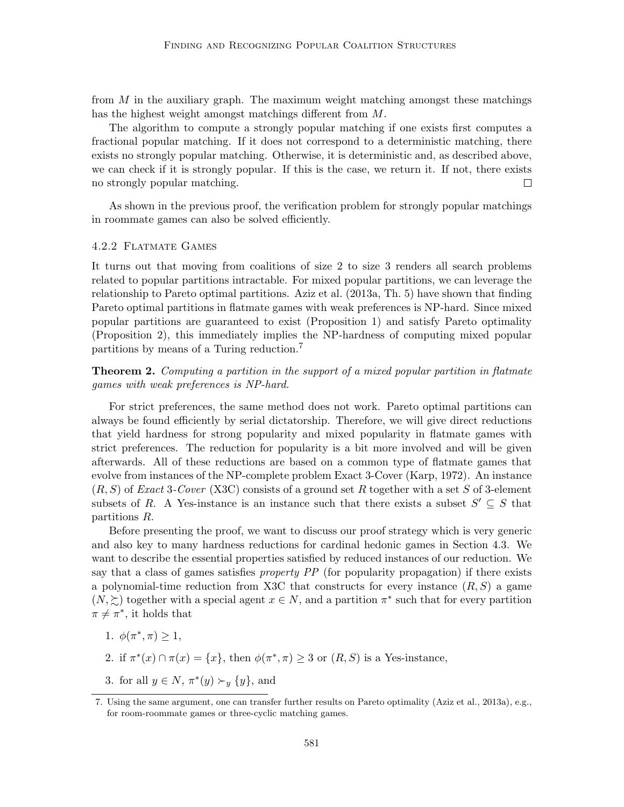from  $M$  in the auxiliary graph. The maximum weight matching amongst these matchings has the highest weight amongst matchings different from M.

The algorithm to compute a strongly popular matching if one exists first computes a fractional popular matching. If it does not correspond to a deterministic matching, there exists no strongly popular matching. Otherwise, it is deterministic and, as described above, we can check if it is strongly popular. If this is the case, we return it. If not, there exists no strongly popular matching.  $\Box$ 

As shown in the previous proof, the verification problem for strongly popular matchings in roommate games can also be solved efficiently.

#### 4.2.2 Flatmate Games

It turns out that moving from coalitions of size 2 to size 3 renders all search problems related to popular partitions intractable. For mixed popular partitions, we can leverage the relationship to Pareto optimal partitions. Aziz et al. (2013a, Th. 5) have shown that finding Pareto optimal partitions in flatmate games with weak preferences is NP-hard. Since mixed popular partitions are guaranteed to exist (Proposition 1) and satisfy Pareto optimality (Proposition 2), this immediately implies the NP-hardness of computing mixed popular partitions by means of a Turing reduction.<sup>7</sup>

**Theorem 2.** Computing a partition in the support of a mixed popular partition in flatmate games with weak preferences is NP-hard.

For strict preferences, the same method does not work. Pareto optimal partitions can always be found efficiently by serial dictatorship. Therefore, we will give direct reductions that yield hardness for strong popularity and mixed popularity in flatmate games with strict preferences. The reduction for popularity is a bit more involved and will be given afterwards. All of these reductions are based on a common type of flatmate games that evolve from instances of the NP-complete problem Exact 3-Cover (Karp, 1972). An instance  $(R, S)$  of *Exact* 3-Cover (X3C) consists of a ground set R together with a set S of 3-element subsets of R. A Yes-instance is an instance such that there exists a subset  $S' \subseteq S$  that partitions R.

Before presenting the proof, we want to discuss our proof strategy which is very generic and also key to many hardness reductions for cardinal hedonic games in Section 4.3. We want to describe the essential properties satisfied by reduced instances of our reduction. We say that a class of games satisfies *property PP* (for popularity propagation) if there exists a polynomial-time reduction from X3C that constructs for every instance  $(R, S)$  a game  $(N, \geq)$  together with a special agent  $x \in N$ , and a partition  $\pi^*$  such that for every partition  $\pi \neq \pi^*$ , it holds that

- 1.  $\phi(\pi^*, \pi) \geq 1$ ,
- 2. if  $\pi^*(x) \cap \pi(x) = \{x\}$ , then  $\phi(\pi^*, \pi) \geq 3$  or  $(R, S)$  is a Yes-instance,
- 3. for all  $y \in N$ ,  $\pi^*(y) \succ_y \{y\}$ , and

<sup>7.</sup> Using the same argument, one can transfer further results on Pareto optimality (Aziz et al., 2013a), e.g., for room-roommate games or three-cyclic matching games.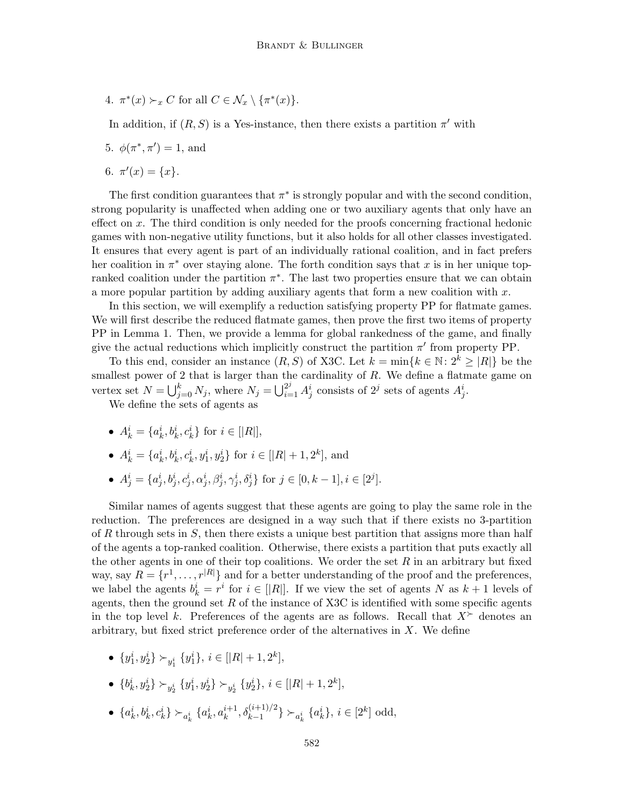4.  $\pi^*(x) \succ_x C$  for all  $C \in \mathcal{N}_x \setminus {\{\pi^*(x)\}}$ .

In addition, if  $(R, S)$  is a Yes-instance, then there exists a partition  $\pi'$  with

5.  $\phi(\pi^*, \pi') = 1$ , and

6.  $\pi'(x) = \{x\}.$ 

The first condition guarantees that  $\pi^*$  is strongly popular and with the second condition, strong popularity is unaffected when adding one or two auxiliary agents that only have an effect on x. The third condition is only needed for the proofs concerning fractional hedonic games with non-negative utility functions, but it also holds for all other classes investigated. It ensures that every agent is part of an individually rational coalition, and in fact prefers her coalition in  $\pi^*$  over staying alone. The forth condition says that x is in her unique topranked coalition under the partition  $\pi^*$ . The last two properties ensure that we can obtain a more popular partition by adding auxiliary agents that form a new coalition with  $x$ .

In this section, we will exemplify a reduction satisfying property PP for flatmate games. We will first describe the reduced flatmate games, then prove the first two items of property PP in Lemma 1. Then, we provide a lemma for global rankedness of the game, and finally give the actual reductions which implicitly construct the partition  $\pi'$  from property PP.

To this end, consider an instance  $(R, S)$  of X3C. Let  $k = \min\{k \in \mathbb{N} : 2^k \geq |R|\}$  be the smallest power of 2 that is larger than the cardinality of  $R$ . We define a flatmate game on vertex set  $N = \bigcup_{j=0}^{k} N_j$ , where  $N_j = \bigcup_{i=1}^{2^j} A_j^i$  consists of  $2^j$  sets of agents  $A_j^i$ .

We define the sets of agents as

- $A_k^i = \{a_k^i, b_k^i, c_k^i\}$  for  $i \in [R_R]$ ,
- $A_k^i = \{a_k^i, b_k^i, c_k^i, y_1^i, y_2^i\}$  for  $i \in [|R| + 1, 2^k]$ , and
- $A_j^i = \{a_j^i, b_j^i, c_j^i, \alpha_j^i, \beta_j^i, \gamma_j^i, \delta_j^i\}$  for  $j \in [0, k-1], i \in [2^j]$ .

Similar names of agents suggest that these agents are going to play the same role in the reduction. The preferences are designed in a way such that if there exists no 3-partition of R through sets in  $S$ , then there exists a unique best partition that assigns more than half of the agents a top-ranked coalition. Otherwise, there exists a partition that puts exactly all the other agents in one of their top coalitions. We order the set  $R$  in an arbitrary but fixed way, say  $R = \{r^1, \ldots, r^{|R|}\}\$ and for a better understanding of the proof and the preferences, we label the agents  $b_k^i = r^i$  for  $i \in [|R|]$ . If we view the set of agents N as  $k+1$  levels of agents, then the ground set  $R$  of the instance of X3C is identified with some specific agents in the top level k. Preferences of the agents are as follows. Recall that  $X^{\succ}$  denotes an arbitrary, but fixed strict preference order of the alternatives in  $X$ . We define

•  $\{y_1^i, y_2^i\} \succ_{y_1^i} \{y_1^i\}, i \in [|R|+1, 2^k],$ 

• 
$$
\{b_k^i, y_2^i\} \succ_{y_2^i} \{y_1^i, y_2^i\} \succ_{y_2^i} \{y_2^i\}, i \in [|R|+1, 2^k],
$$

•  $\{a_k^i, b_k^i, c_k^i\} \succ_{a_k^i} \{a_k^i, a_k^{i+1}, \delta_{k-1}^{(i+1)/2}\} \succ_{a_k^i} \{a_k^i\}, i \in [2^k]$  odd,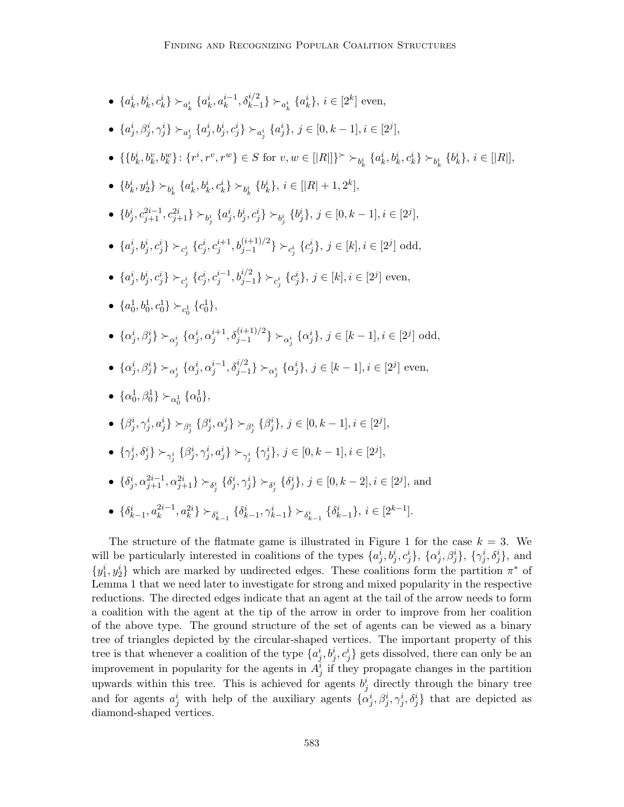- $\{a_k^i, b_k^i, c_k^i\} \succ_{a_k^i} \{a_k^i, a_k^{i-1}, \delta_{k-1}^{i/2}\} \succ_{a_k^i} \{a_k^i\}, i \in [2^k]$  even,
- $\{a_j^i, \beta_j^i, \gamma_j^i\} \succ_{a_j^i} \{a_j^i, b_j^i, c_j^i\} \succ_{a_j^i} \{a_j^i\}, \ j \in [0, k-1], i \in [2^j],$
- { ${b_k^i, b_k^v, b_k^w}$ }:  ${r^i, r^v, r^w}$ } ∈ S for  $v, w \in [|R|]$ }<sup> $\succ$ </sup> $\succ_{b_k^i} {a_k^i, b_k^i, c_k^i}$ }  $\succ_{b_k^i} {b_k^i}$ ,  $i \in [|R|]$ ,
- $\{b_k^i, y_2^i\} \succ_{b_k^i} \{a_k^i, b_k^i, c_k^i\} \succ_{b_k^i} \{b_k^i\}, i \in [|R|+1, 2^k]$
- $\{b^i_j, c^{2i-1}_{j+1}, c^{2i}_{j+1}\} \succ_{b^i_j} \{a^i_j, b^i_j, c^i_j\} \succ_{b^i_j} \{b^i_j\}, j \in [0, k-1], i \in [2^j],$
- ${a_j^i, b_j^i, c_j^i}$   $\succ_{c_j^i} {c_j^i, c_j^{i+1}, b_{j-1}^{(i+1)/2}}$   $\succ_{c_j^i} {c_j^i}, j \in [k], i \in [2^j]$  odd,
- $\{a_j^i, b_j^i, c_j^i\} \succ_{c_j^i} \{c_j^i, c_j^{i-1}, b_{j-1}^{i/2}\} \succ_{c_j^i} \{c_j^i\}, \ j \in [k], i \in [2^j]$  even,
- $\{a_0^1, b_0^1, c_0^1\} \succ_{c_0^1} \{c_0^1\},\$
- $\{\alpha_j^i, \beta_j^i\} \succ_{\alpha_j^i} \{\alpha_j^i, \alpha_j^{i+1}, \delta_{j-1}^{(i+1)/2}\} \succ_{\alpha_j^i} \{\alpha_j^i\}, \ j \in [k-1], i \in [2^j]$  odd,
- $\{\alpha_j^i, \beta_j^i\} \succ_{\alpha_j^i} \{\alpha_j^i, \alpha_j^{i-1}, \delta_{j-1}^{i/2}\} \succ_{\alpha_j^i} \{\alpha_j^i\}, \ j \in [k-1], i \in [2^j]$  even,
- $\{\alpha_0^1, \beta_0^1\} \succ_{\alpha_0^1} \{\alpha_0^1\},\$
- $\{\beta^i_j, \gamma^i_j, a^i_j\}$  ≻ $_{\beta^i_j}$  { $\beta^i_j, \alpha^i_j\}$  ≻ $_{\beta^i_j}$  { $\beta^i_j$ },  $j \in [0, k-1], i \in [2^j]$ ,
- $\bullet \ \{\gamma^i_j, \delta^i_j\} \succ_{\gamma^i_j} \{\beta^i_j, \gamma^i_j, a^i_j\} \succ_{\gamma^i_j} \{\gamma^i_j\}, \, j \in [0, k-1], i \in [2^j],$
- $\{\delta^i_j, \alpha^{2i-1}_{j+1}, \alpha^{2i}_{j+1}\} \succ_{\delta^i_j} \{\delta^i_j, \gamma^i_j\} \succ_{\delta^i_j} \{\delta^i_j\}, j \in [0, k-2], i \in [2^j]$ , and
- $\{\delta_{k-1}^i, a_k^{2i-1}, a_k^{2i}\}$   $\succ_{\delta_{k-1}^i}$   $\{\delta_{k-1}^i, \gamma_{k-1}^i\}$   $\succ_{\delta_{k-1}^i}$   $\{\delta_{k-1}^i\}$ ,  $i \in [2^{k-1}]$ .

The structure of the flatmate game is illustrated in Figure 1 for the case  $k = 3$ . We will be particularly interested in coalitions of the types  $\{a_j^i, b_j^i, c_j^i\}, \{\alpha_j^i, \beta_j^i\}, \{\gamma_j^i, \delta_j^i\},\$  and  $\{y_1^i, y_2^i\}$  which are marked by undirected edges. These coalitions form the partition  $\pi^*$  of Lemma 1 that we need later to investigate for strong and mixed popularity in the respective reductions. The directed edges indicate that an agent at the tail of the arrow needs to form a coalition with the agent at the tip of the arrow in order to improve from her coalition of the above type. The ground structure of the set of agents can be viewed as a binary tree of triangles depicted by the circular-shaped vertices. The important property of this tree is that whenever a coalition of the type  $\{a_j^i, b_j^i, c_j^i\}$  gets dissolved, there can only be an improvement in popularity for the agents in  $A_j^i$  if they propagate changes in the partition upwards within this tree. This is achieved for agents  $b_j^i$  directly through the binary tree and for agents  $a_j^i$  with help of the auxiliary agents  $\{\alpha_j^i, \beta_j^i, \gamma_j^i, \delta_j^i\}$  that are depicted as diamond-shaped vertices.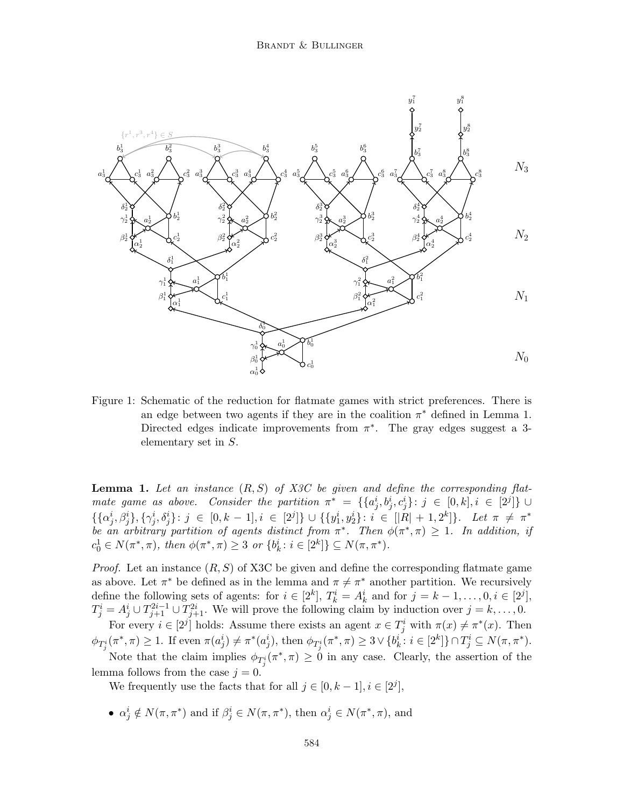

Figure 1: Schematic of the reduction for flatmate games with strict preferences. There is an edge between two agents if they are in the coalition  $\pi^*$  defined in Lemma 1. Directed edges indicate improvements from  $\pi^*$ . The gray edges suggest a 3elementary set in S.

**Lemma 1.** Let an instance  $(R, S)$  of X3C be given and define the corresponding flatmate game as above. Consider the partition  $\pi^* = \{ \{a_j^i, b_j^i, c_j^i\} : j \in [0, k], i \in [2^j] \}$  $\{\{\alpha_j^i,\beta_j^i\},\{\gamma_j^i,\delta_j^i\} \colon j \in [0,k-1], i \in [2^j]\} \cup \{\{y_1^i,y_2^i\} \colon i \in [|R|+1,2^k]\}.$  Let  $\pi \neq \pi^*$ be an arbitrary partition of agents distinct from  $\pi^*$ . Then  $\phi(\pi^*, \pi) \geq 1$ . In addition, if  $c_0^1 \in N(\pi^*, \pi)$ , then  $\phi(\pi^*, \pi) \geq 3$  or  $\{b_k^i : i \in [2^k]\} \subseteq N(\pi, \pi^*)$ .

*Proof.* Let an instance  $(R, S)$  of X3C be given and define the corresponding flatmate game as above. Let  $\pi^*$  be defined as in the lemma and  $\pi \neq \pi^*$  another partition. We recursively define the following sets of agents: for  $i \in [2^k]$ ,  $T_k^i = A_k^i$  and for  $j = k - 1, \ldots, 0, i \in [2^j]$ ,  $T_j^i = A_j^i \cup T_{j+1}^{2i-1} \cup T_{j+1}^{2i}$ . We will prove the following claim by induction over  $j = k, \ldots, 0$ . For every  $i \in [2^j]$  holds: Assume there exists an agent  $x \in T_j^i$  with  $\pi(x) \neq \pi^*(x)$ . Then

 $\phi_{T^i_j}(\pi^*, \pi) \geq 1$ . If even  $\pi(a_j^i) \neq \pi^*(a_j^i)$ , then  $\phi_{T^i_j}(\pi^*, \pi) \geq 3 \vee \{b_k^i : i \in [2^k]\} \cap T^i_j \subseteq N(\pi, \pi^*)$ .

Note that the claim implies  $\phi_{T_j^i}(\pi^*, \pi) \geq 0$  in any case. Clearly, the assertion of the lemma follows from the case  $j = 0$ .

We frequently use the facts that for all  $j \in [0, k-1], i \in [2^j]$ ,

•  $\alpha_j^i \notin N(\pi, \pi^*)$  and if  $\beta_j^i \in N(\pi, \pi^*)$ , then  $\alpha_j^i \in N(\pi^*, \pi)$ , and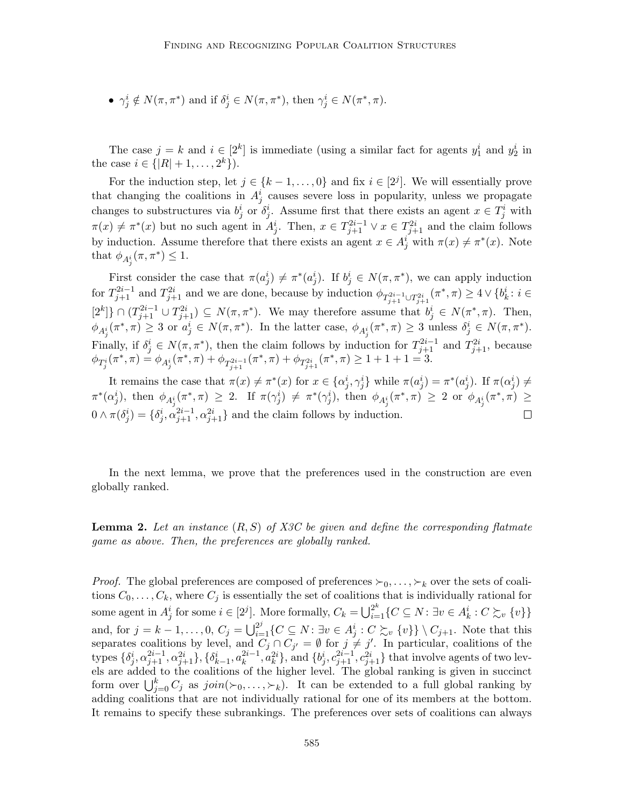•  $\gamma_j^i \notin N(\pi, \pi^*)$  and if  $\delta_j^i \in N(\pi, \pi^*)$ , then  $\gamma_j^i \in N(\pi^*, \pi)$ .

The case  $j = k$  and  $i \in [2^k]$  is immediate (using a similar fact for agents  $y_1^i$  and  $y_2^i$  in the case  $i \in \{ |R| + 1, \ldots, 2^k \}$ .

For the induction step, let  $j \in \{k-1,\ldots,0\}$  and fix  $i \in [2^j]$ . We will essentially prove that changing the coalitions in  $A_j^i$  causes severe loss in popularity, unless we propagate changes to substructures via  $b_j^i$  or  $\delta_j^i$ . Assume first that there exists an agent  $x \in T_j^i$  with  $\pi(x) \neq \pi^*(x)$  but no such agent in  $A_j^i$ . Then,  $x \in T_{j+1}^{2i-1} \vee x \in T_{j+1}^{2i}$  and the claim follows by induction. Assume therefore that there exists an agent  $x \in A_j^i$  with  $\pi(x) \neq \pi^*(x)$ . Note that  $\phi_{A_j^i}(\pi, \pi^*) \leq 1$ .

First consider the case that  $\pi(a_j^i) \neq \pi^*(a_j^i)$ . If  $b_j^i \in N(\pi, \pi^*)$ , we can apply induction for  $T_{j+1}^{2i-1}$  and  $T_{j+1}^{2i}$  and we are done, because by induction  $\phi_{T_{j+1}^{2i-1}\cup T_{j+1}^{2i}}(\pi^*, \pi) \geq 4 \vee \{b_k^i : i \in$  $[2^k] \} \cap (T^{2i-1}_{j+1} \cup T^{2i}_{j+1}) \subseteq N(\pi, \pi^*)$ . We may therefore assume that  $b_j^i \in N(\pi^*, \pi)$ . Then,  $\phi_{A_j^i}(\pi^*, \pi) \geq 3$  or  $a_j^i \in N(\pi, \pi^*)$ . In the latter case,  $\phi_{A_j^i}(\pi^*, \pi) \geq 3$  unless  $\delta_j^i \in N(\pi, \pi^*)$ . Finally, if  $\delta_j^i \in N(\pi, \pi^*)$ , then the claim follows by induction for  $T_{j+1}^{2i-1}$  and  $T_{j+1}^{2i}$ , because  $\phi_{T^i_j}(\pi^*, \pi) = \phi_{A^i_j}(\pi^*, \pi) + \phi_{T^{2i-1}_{j+1}}(\pi^*, \pi) + \phi_{T^{2i}_{j+1}}(\pi^*, \pi) \geq 1+1+1=3.$ 

It remains the case that  $\pi(x) \neq \pi^*(x)$  for  $x \in {\{\alpha_j^i, \gamma_j^i\}}$  while  $\pi(a_j^i) = \pi^*(a_j^i)$ . If  $\pi(\alpha_j^i) \neq$  $\pi^*(\alpha_j^i)$ , then  $\phi_{A_j^i}(\pi^*, \pi) \geq 2$ . If  $\pi(\gamma_j^i) \neq \pi^*(\gamma_j^i)$ , then  $\phi_{A_j^i}(\pi^*, \pi) \geq 2$  or  $\phi_{A_j^i}(\pi^*, \pi) \geq 2$  $0 \wedge \pi(\delta_j^i) = \{\delta_j^i, \alpha_{j+1}^{2i-1}, \alpha_{j+1}^{2i}\}\$ and the claim follows by induction.  $\Box$ 

In the next lemma, we prove that the preferences used in the construction are even globally ranked.

**Lemma 2.** Let an instance  $(R, S)$  of X3C be given and define the corresponding flatmate game as above. Then, the preferences are globally ranked.

*Proof.* The global preferences are composed of preferences  $\succ_0, \ldots, \succ_k$  over the sets of coalitions  $C_0, \ldots, C_k$ , where  $C_j$  is essentially the set of coalitions that is individually rational for some agent in  $A_j^i$  for some  $i \in [2^j]$ . More formally,  $C_k = \bigcup_{i=1}^{2^k} \{C \subseteq N : \exists v \in A_k^i : C \succsim_v \{v\}\}\$ and, for  $j = k - 1, \ldots, 0, C_j = \bigcup_{i=1}^{2^j} \{C \subseteq N : \exists v \in A_j^i : C \succsim_v \{v\}\} \setminus C_{j+1}$ . Note that this separates coalitions by level, and  $C_j \cap C_{j'} = \emptyset$  for  $j \neq j'$ . In particular, coalitions of the types  $\{\delta^i_j, \alpha^{2i-1}_{j+1}, \alpha^{2i}_{j+1}\}, \{\delta^i_{k-1}, a^{2i-1}_{k}, a^{2i}_{k}\},$  and  $\{b^i_j, c^{2i-1}_{j+1}, c^{2i}_{j+1}\}$  that involve agents of two levels are added to the coalitions of the higher level. The global ranking is given in succinct form over  $\bigcup_{j=0}^k C_j$  as  $join(\succ_0,\ldots,\succ_k)$ . It can be extended to a full global ranking by adding coalitions that are not individually rational for one of its members at the bottom. It remains to specify these subrankings. The preferences over sets of coalitions can always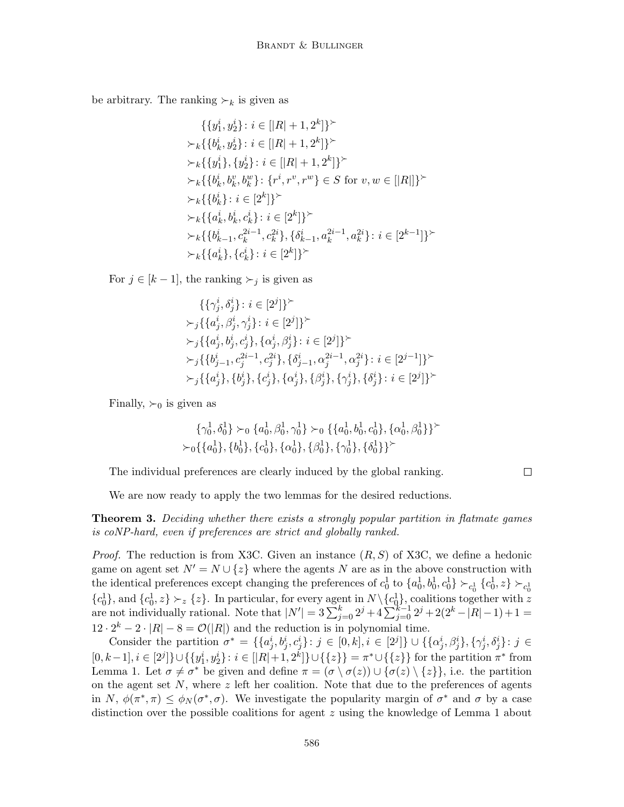be arbitrary. The ranking  $\succ_k$  is given as

$$
\{\{y_1^i, y_2^i\} : i \in [|R| + 1, 2^k]\}^{\succ}
$$
\n
$$
\succ_k \{\{b_k^i, y_2^i\} : i \in [|R| + 1, 2^k]\}^{\succ}
$$
\n
$$
\succ_k \{\{y_1^i\}, \{y_2^i\} : i \in [|R| + 1, 2^k]\}^{\succ}
$$
\n
$$
\succ_k \{\{b_k^i, b_k^v, b_k^w\} : \{r^i, r^v, r^w\} \in S \text{ for } v, w \in [|R|]\}^{\succ}
$$
\n
$$
\succ_k \{\{b_k^i\} : i \in [2^k]\}^{\succ}
$$
\n
$$
\succ_k \{\{a_k^i, b_k^i, c_k^i\} : i \in [2^k]\}^{\succ}
$$
\n
$$
\succ_k \{\{b_{k-1}^i, c_k^{2i-1}, c_k^{2i}\}, \{\delta_{k-1}^i, a_k^{2i-1}, a_k^{2i}\} : i \in [2^{k-1}]\}^{\succ}
$$
\n
$$
\succ_k \{\{a_k^i\}, \{c_k^i\} : i \in [2^k]\}^{\succ}
$$

For  $j \in [k-1]$ , the ranking  $\succ_j$  is given as

$$
\{\{\gamma_j^i, \delta_j^i\} : i \in [2^j]\}^{\succ}
$$
  
\n
$$
\succ_j \{\{a_j^i, \beta_j^i, \gamma_j^i\} : i \in [2^j]\}^{\succ}
$$
  
\n
$$
\succ_j \{\{a_j^i, b_j^i, c_j^i\}, \{\alpha_j^i, \beta_j^i\} : i \in [2^j]\}^{\succ}
$$
  
\n
$$
\succ_j \{\{b_{j-1}^i, c_j^{2i-1}, c_j^{2i}\}, \{\delta_{j-1}^i, \alpha_j^{2i-1}, \alpha_j^{2i}\} : i \in [2^{j-1}]\}^{\succ}
$$
  
\n
$$
\succ_j \{\{a_j^i\}, \{b_j^i\}, \{c_j^i\}, \{\alpha_j^i\}, \{\beta_j^i\}, \{\gamma_j^i\}, \{\delta_j^i\} : i \in [2^j]\}^{\succ}
$$

Finally,  $\succ_0$  is given as

$$
\{\gamma_0^1, \delta_0^1\} \succ_0 \{a_0^1, \beta_0^1, \gamma_0^1\} \succ_0 \{\{a_0^1, b_0^1, c_0^1\}, \{\alpha_0^1, \beta_0^1\}\}^{\succ}
$$
  

$$
\succ_0 \{\{a_0^1\}, \{b_0^1\}, \{c_0^1\}, \{\alpha_0^1\}, \{\beta_0^1\}, \{\gamma_0^1\}, \{\delta_0^1\}\}^{\succ}
$$

The individual preferences are clearly induced by the global ranking.

 $\Box$ 

We are now ready to apply the two lemmas for the desired reductions.

**Theorem 3.** Deciding whether there exists a strongly popular partition in flatmate games is coNP-hard, even if preferences are strict and globally ranked.

*Proof.* The reduction is from X3C. Given an instance  $(R, S)$  of X3C, we define a hedonic game on agent set  $N' = N \cup \{z\}$  where the agents N are as in the above construction with the identical preferences except changing the preferences of  $c_0^1$  to  $\{a_0^1, b_0^1, c_0^1\} \succ_{c_0^1} \{c_0^1, z\} \succ_{c_0^1} c_0^1$  ${c_0^1\brace c_0^1}$ , and  ${c_0^1\brace c_2^1}$ ,  $\sum_{z\in\{z\}}$ . In particular, for every agent in  $N\setminus{c_0^1\brace c_0^1}$ , coalitions together with z are not individually rational. Note that  $|N'| = 3 \sum_{j=0}^{k} 2^{j} + 4 \sum_{j=0}^{k-1} 2^{j} + 2(2^{k} - |R| - 1) + 1 =$  $12 \cdot 2^{k} - 2 \cdot |R| - 8 = \mathcal{O}(|R|)$  and the reduction is in polynomial time.

Consider the partition  $\sigma^* = \{ \{a_j^i, b_j^i, c_j^i\} : j \in [0, k], i \in [2^j] \} \cup \{ \{\alpha_j^i, \beta_j^i\}, \{\gamma_j^i, \delta_j^i\} : j \in [0, k] \}$  $[0, k-1], i \in [2^j] \} \cup \{\{y_1^i, y_2^i\} : i \in [|R|+1, 2^k] \} \cup \{\{z\}\} = \pi^* \cup \{\{z\}\}\$  for the partition  $\pi^*$  from Lemma 1. Let  $\sigma \neq \sigma^*$  be given and define  $\pi = (\sigma \setminus \sigma(z)) \cup {\sigma(z) \setminus \{z\}}$ , i.e. the partition on the agent set  $N$ , where  $z$  left her coalition. Note that due to the preferences of agents in N,  $\phi(\pi^*, \pi) \leq \phi_N(\sigma^*, \sigma)$ . We investigate the popularity margin of  $\sigma^*$  and  $\sigma$  by a case distinction over the possible coalitions for agent z using the knowledge of Lemma 1 about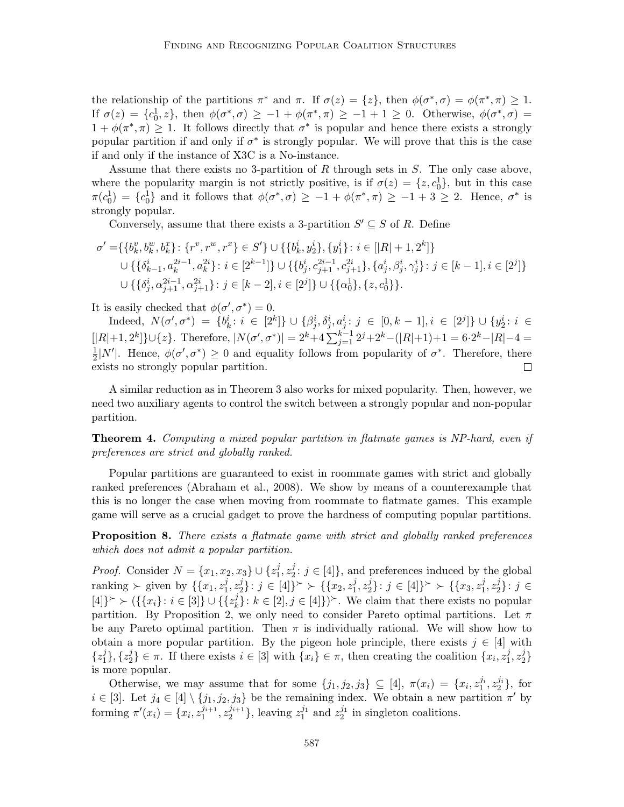the relationship of the partitions  $\pi^*$  and  $\pi$ . If  $\sigma(z) = \{z\}$ , then  $\phi(\sigma^*, \sigma) = \phi(\pi^*, \pi) \geq 1$ . If  $\sigma(z) = \{c_0^1, z\}$ , then  $\phi(\sigma^*, \sigma) \ge -1 + \phi(\pi^*, \pi) \ge -1 + 1 \ge 0$ . Otherwise,  $\phi(\sigma^*, \sigma) =$  $1 + \phi(\pi^*, \pi) \geq 1$ . It follows directly that  $\sigma^*$  is popular and hence there exists a strongly popular partition if and only if  $\sigma^*$  is strongly popular. We will prove that this is the case if and only if the instance of X3C is a No-instance.

Assume that there exists no 3-partition of R through sets in S. The only case above, where the popularity margin is not strictly positive, is if  $\sigma(z) = \{z, c_0^1\}$ , but in this case  $\pi(c_0^1) = \{c_0^1\}$  and it follows that  $\phi(\sigma^*, \sigma) \ge -1 + \phi(\pi^*, \pi) \ge -1 + 3 \ge 2$ . Hence,  $\sigma^*$  is strongly popular.

Conversely, assume that there exists a 3-partition  $S' \subseteq S$  of R. Define

$$
\sigma' = \{ \{b_k^v, b_k^w, b_k^x\} \colon \{r^v, r^w, r^x\} \in S' \} \cup \{ \{b_k^i, y_2^i\}, \{y_1^i\} \colon i \in [|R|+1, 2^k] \}
$$
\n
$$
\cup \{ \{\delta_{k-1}^i, a_k^{2i-1}, a_k^{2i}\} \colon i \in [2^{k-1}] \} \cup \{ \{b_j^i, c_{j+1}^{2i-1}, c_{j+1}^{2i}\}, \{a_j^i, \beta_j^i, \gamma_j^i\} \colon j \in [k-1], i \in [2^j] \}
$$
\n
$$
\cup \{ \{\delta_j^i, \alpha_{j+1}^{2i-1}, \alpha_{j+1}^{2i}\} \colon j \in [k-2], i \in [2^j] \} \cup \{ \{\alpha_0^1\}, \{z, c_0^1\} \}.
$$

It is easily checked that  $\phi(\sigma', \sigma^*) = 0$ .

 $\text{Indeed, } N(\sigma', \sigma^*) = \{b_k^i : i \in [2^k]\} \cup \{\beta_j^i, \delta_j^i, a_j^i : j \in [0, k-1], i \in [2^j]\} \cup \{y_2^i : i \in [2^j]\}$  $[|R|+1, 2^k] \} \cup \{z\}$ . Therefore,  $|N(\sigma', \sigma^*)| = 2^k + 4 \sum_{j=1}^{k-1} 2^j + 2^k - (|R|+1) + 1 = 6 \cdot 2^k - |R| - 4 = 6 \cdot 2^k - 4$ 1  $\frac{1}{2}|N'|$ . Hence,  $\phi(\sigma', \sigma^*) \geq 0$  and equality follows from popularity of  $\sigma^*$ . Therefore, there exists no strongly popular partition.  $\Box$ 

A similar reduction as in Theorem 3 also works for mixed popularity. Then, however, we need two auxiliary agents to control the switch between a strongly popular and non-popular partition.

Theorem 4. Computing a mixed popular partition in flatmate games is NP-hard, even if preferences are strict and globally ranked.

Popular partitions are guaranteed to exist in roommate games with strict and globally ranked preferences (Abraham et al., 2008). We show by means of a counterexample that this is no longer the case when moving from roommate to flatmate games. This example game will serve as a crucial gadget to prove the hardness of computing popular partitions.

**Proposition 8.** There exists a flatmate game with strict and globally ranked preferences which does not admit a popular partition.

*Proof.* Consider  $N = \{x_1, x_2, x_3\} \cup \{z_1^j\}$  $\frac{j}{1}, z_2^j$  $2: j \in [4]$ , and preferences induced by the global ranking ≻ given by  $\{\{x_1, z_1^j\}$  $\frac{j}{1}, z_2^j$  $\{x_2, y_2^j\}$ :  $j \in [4]$ }  $\succ \{ \{x_2, z_1^j\}$  $j_1^j, z_2^j$  $\{x_2^j\}$ :  $j \in [4]$ }  $\succ \{x_3, z_1^j\}$  $\frac{j}{1}, z_2^j$  $\{j_2\}$ :  $j \in$  $[4]\}^{\succ} \succ (\{\{x_i\} : i \in [3]\} \cup \{\{z_k^j\} : i \in [3]\}]$  $\{f_k\}: k \in [2], j \in [4]\}$ . We claim that there exists no popular partition. By Proposition 2, we only need to consider Pareto optimal partitions. Let  $\pi$ be any Pareto optimal partition. Then  $\pi$  is individually rational. We will show how to obtain a more popular partition. By the pigeon hole principle, there exists  $j \in [4]$  with  $\{z_1^j\}$  $_{1}^{j}\},\{z_{2}^{j}$  $\{x_i\} \in \pi$ . If there exists  $i \in [3]$  with  $\{x_i\} \in \pi$ , then creating the coalition  $\{x_i, z_1\}$  $\frac{j}{1}, z_2^j$  $\begin{smallmatrix} 2 \ 2 \end{smallmatrix}$ is more popular.

Otherwise, we may assume that for some  $\{j_1, j_2, j_3\} \subseteq [4]$ ,  $\pi(x_i) = \{x_i, z_1^{j_i}, z_2^{j_i}\}$ , for  $i \in [3]$ . Let  $j_4 \in [4] \setminus \{j_1, j_2, j_3\}$  be the remaining index. We obtain a new partition  $\pi'$  by forming  $\pi'(x_i) = \{x_i, z_1^{j_{i+1}}\}$  $\frac{j_{i+1}}{1}, z_2^{j_{i+1}}$  $\{z_2^{j_1}\}\$ , leaving  $z_1^{j_1}$  and  $z_2^{j_1}$  in singleton coalitions.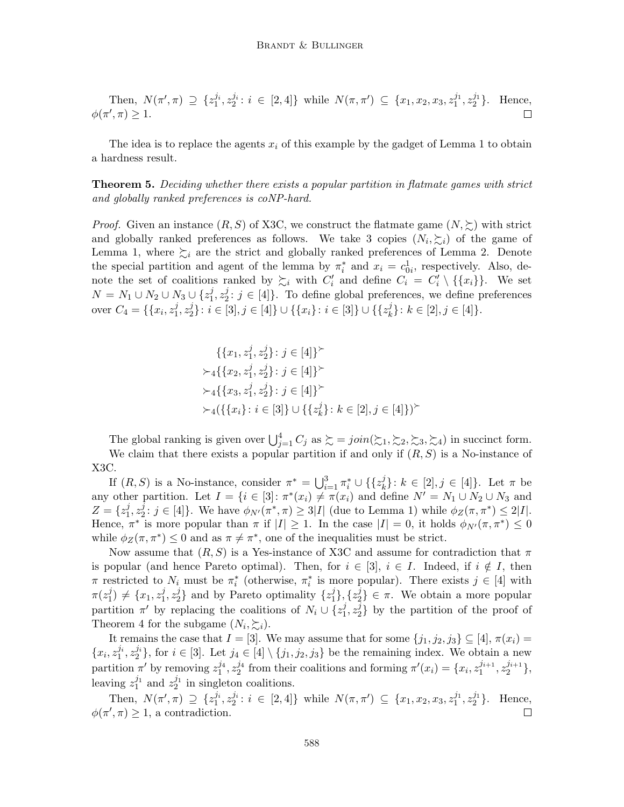Then, 
$$
N(\pi', \pi) \supseteq \{z_1^{j_i}, z_2^{j_i} : i \in [2, 4]\}
$$
 while  $N(\pi, \pi') \subseteq \{x_1, x_2, x_3, z_1^{j_1}, z_2^{j_1}\}$ . Hence,  $\phi(\pi', \pi) \geq 1$ .

The idea is to replace the agents  $x_i$  of this example by the gadget of Lemma 1 to obtain a hardness result.

Theorem 5. Deciding whether there exists a popular partition in flatmate games with strict and globally ranked preferences is coNP-hard.

*Proof.* Given an instance  $(R, S)$  of X3C, we construct the flatmate game  $(N, \geq)$  with strict and globally ranked preferences as follows. We take 3 copies  $(N_i, \xi_i)$  of the game of Lemma 1, where  $\succsim_i$  are the strict and globally ranked preferences of Lemma 2. Denote the special partition and agent of the lemma by  $\pi_i^*$  and  $x_i = c_{0i}^1$ , respectively. Also, denote the set of coalitions ranked by  $\succsim_i$  with  $C'_i$  and define  $C_i = C'_i \setminus {\{x_i\}}$ . We set  $N=N_1\cup N_2\cup N_3\cup \{z_1^j$  $\frac{j}{1}, z_2^j$  $2: j \in [4]$ . To define global preferences, we define preferences over  $C_4 = \{ \{x_i, z_1^j\}$  $\frac{j}{1}, z_2^j$  $\{i\}_{2}^{j}: i\in [3], j\in [4]\}\cup \{\{x_{i}\}: i\in [3]\}\cup \{\{z_{k}^{j}\}_{k}\}$  ${k \atop k}$ :  $k \in [2], j \in [4]$ .

$$
\{\{x_1, z_1^j, z_2^j\} : j \in [4]\}^{\succ}
$$
  
\n
$$
\succ_4 \{\{x_2, z_1^j, z_2^j\} : j \in [4]\}^{\succ}
$$
  
\n
$$
\succ_4 \{\{x_3, z_1^j, z_2^j\} : j \in [4]\}^{\succ}
$$
  
\n
$$
\succ_4 (\{\{x_i\} : i \in [3]\} \cup \{\{z_k^j\} : k \in [2], j \in [4]\})^{\succ}
$$

The global ranking is given over  $\bigcup_{j=1}^4 C_j$  as  $\succsim = \text{join}(\succsim_1, \succsim_2, \succsim_3, \succsim_4)$  in succinct form. We claim that there exists a popular partition if and only if  $(R, S)$  is a No-instance of X3C.

If  $(R, S)$  is a No-instance, consider  $\pi^* = \bigcup_{i=1}^3 \pi_i^* \cup \{\{z_k^j\}$  $\{f_k\}: k \in [2], j \in [4]\}.$  Let  $\pi$  be any other partition. Let  $I = \{i \in [3] : \pi^*(x_i) \neq \pi(x_i) \text{ and define } N' = N_1 \cup N_2 \cup N_3 \text{ and }$  $Z = \{z_1^j\}$  $\frac{j}{1}, z_2^{\bar j}$  $2^j : j \in [4]$ . We have  $\phi_{N'}(\pi^*, \pi) \geq 3|I|$  (due to Lemma 1) while  $\phi_Z(\pi, \pi^*) \leq 2|I|$ . Hence,  $\pi^*$  is more popular than  $\pi$  if  $|I| \geq 1$ . In the case  $|I| = 0$ , it holds  $\phi_{N'}(\pi, \pi^*) \leq 0$ while  $\phi_Z(\pi, \pi^*) \leq 0$  and as  $\pi \neq \pi^*$ , one of the inequalities must be strict.

Now assume that  $(R, S)$  is a Yes-instance of X3C and assume for contradiction that  $\pi$ is popular (and hence Pareto optimal). Then, for  $i \in [3]$ ,  $i \in I$ . Indeed, if  $i \notin I$ , then  $\pi$  restricted to  $N_i$  must be  $\pi_i^*$  (otherwise,  $\pi_i^*$  is more popular). There exists  $j \in [4]$  with  $\pi(z_1^j)$  $j_1^j$   $\neq \{x_1, z_1^j\}$  $\frac{j}{1}, z_2^j$  $\{z_1^j\}$  and by Pareto optimality  $\{z_1^j\}$  $\{i\}, \{z_2^j\}$  $\{2\} \in \pi$ . We obtain a more popular partition  $\pi'$  by replacing the coalitions of  $N_i \cup \{z_1^j\}$  $\frac{j}{1}, z_2^j$  $2<sup>1</sup>$  by the partition of the proof of Theorem 4 for the subgame  $(N_i, \sum_i)$ .

It remains the case that  $I = [3]$ . We may assume that for some  $\{j_1, j_2, j_3\} \subseteq [4]$ ,  $\pi(x_i) =$  $\{x_i, z_1^{j_i}, z_2^{j_i}\}\,$  for  $i \in [3]$ . Let  $j_4 \in [4] \setminus \{j_1, j_2, j_3\}$  be the remaining index. We obtain a new partition  $\pi'$  by removing  $z_1^{j_4}$ ,  $z_2^{j_4}$  from their coalitions and forming  $\pi'(x_i) = \{x_i, z_1^{j_{i+1}}\}$  $j_{i+1}$ ,  $z_2^{j_{i+1}}$  $\genfrac{\{}{\}}{0pt}{}{j_{i+1}}{2},$ leaving  $z_1^{j_1}$  and  $z_2^{j_1}$  in singleton coalitions.

Then,  $N(\pi', \pi) \supseteq \{z_1^{j_i}, z_2^{j_i} : i \in [2, 4]\}$  while  $N(\pi, \pi') \subseteq \{x_1, x_2, x_3, z_1^{j_1}, z_2^{j_1}\}$ . Hence,  $\phi(\pi', \pi) \geq 1$ , a contradiction. П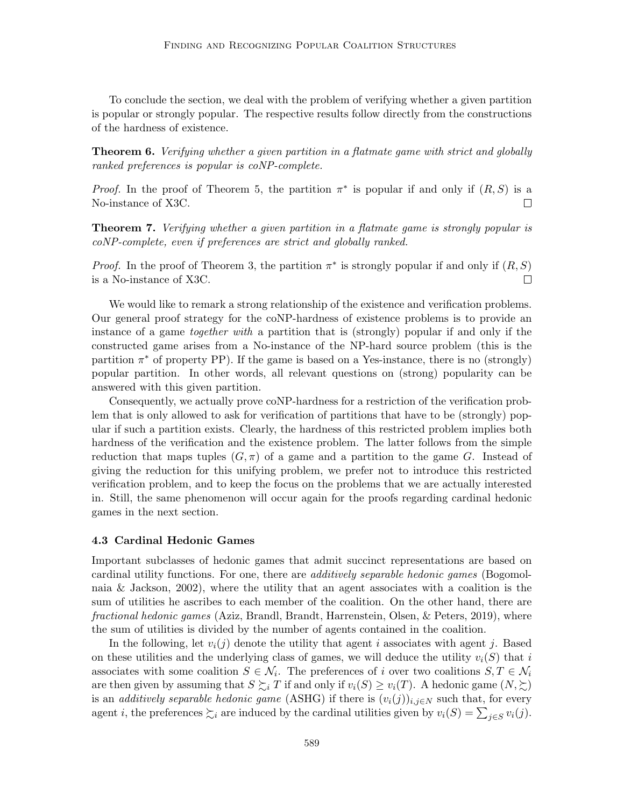To conclude the section, we deal with the problem of verifying whether a given partition is popular or strongly popular. The respective results follow directly from the constructions of the hardness of existence.

**Theorem 6.** Verifying whether a given partition in a flatmate game with strict and globally ranked preferences is popular is coNP-complete.

*Proof.* In the proof of Theorem 5, the partition  $\pi^*$  is popular if and only if  $(R, S)$  is a No-instance of X3C. П

**Theorem 7.** Verifying whether a given partition in a flatmate game is strongly popular is coNP-complete, even if preferences are strict and globally ranked.

*Proof.* In the proof of Theorem 3, the partition  $\pi^*$  is strongly popular if and only if  $(R, S)$ is a No-instance of X3C.  $\Box$ 

We would like to remark a strong relationship of the existence and verification problems. Our general proof strategy for the coNP-hardness of existence problems is to provide an instance of a game together with a partition that is (strongly) popular if and only if the constructed game arises from a No-instance of the NP-hard source problem (this is the partition  $\pi^*$  of property PP). If the game is based on a Yes-instance, there is no (strongly) popular partition. In other words, all relevant questions on (strong) popularity can be answered with this given partition.

Consequently, we actually prove coNP-hardness for a restriction of the verification problem that is only allowed to ask for verification of partitions that have to be (strongly) popular if such a partition exists. Clearly, the hardness of this restricted problem implies both hardness of the verification and the existence problem. The latter follows from the simple reduction that maps tuples  $(G,\pi)$  of a game and a partition to the game G. Instead of giving the reduction for this unifying problem, we prefer not to introduce this restricted verification problem, and to keep the focus on the problems that we are actually interested in. Still, the same phenomenon will occur again for the proofs regarding cardinal hedonic games in the next section.

#### 4.3 Cardinal Hedonic Games

Important subclasses of hedonic games that admit succinct representations are based on cardinal utility functions. For one, there are *additively separable hedonic games* (Bogomolnaia & Jackson, 2002), where the utility that an agent associates with a coalition is the sum of utilities he ascribes to each member of the coalition. On the other hand, there are fractional hedonic games (Aziz, Brandl, Brandt, Harrenstein, Olsen, & Peters, 2019), where the sum of utilities is divided by the number of agents contained in the coalition.

In the following, let  $v_i(j)$  denote the utility that agent i associates with agent j. Based on these utilities and the underlying class of games, we will deduce the utility  $v_i(S)$  that i associates with some coalition  $S \in \mathcal{N}_i$ . The preferences of i over two coalitions  $S, T \in \mathcal{N}_i$ are then given by assuming that  $S \succsim_i T$  if and only if  $v_i(S) \ge v_i(T)$ . A hedonic game  $(N, \succsim)$ is an *additively separable hedonic game* (ASHG) if there is  $(v_i(j))_{i,j\in N}$  such that, for every agent *i*, the preferences  $\succsim_i$  are induced by the cardinal utilities given by  $v_i(S) = \sum_{j \in S} v_i(j)$ .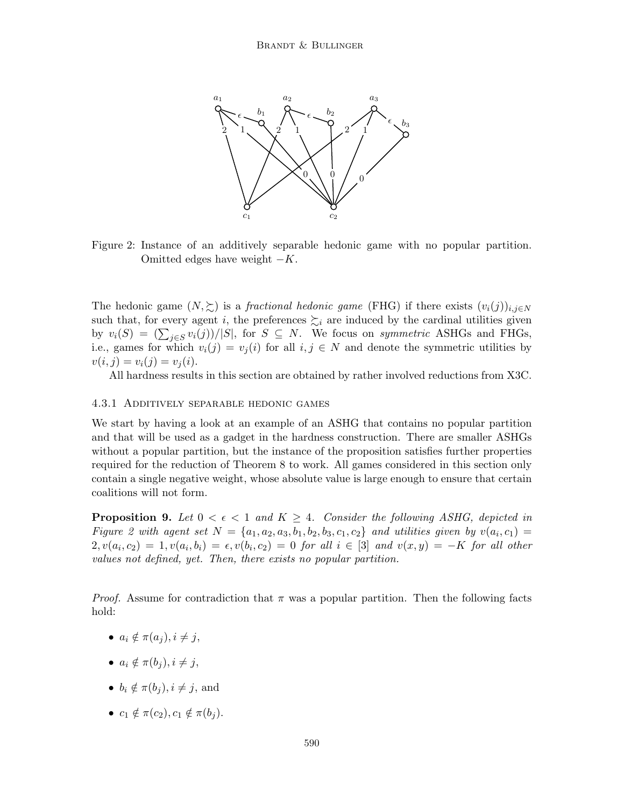

Figure 2: Instance of an additively separable hedonic game with no popular partition. Omitted edges have weight  $-K$ .

The hedonic game  $(N, \geq)$  is a *fractional hedonic game* (FHG) if there exists  $(v_i(j))_{i,j\in N}$ such that, for every agent i, the preferences  $\succsim_i$  are induced by the cardinal utilities given by  $v_i(S) = (\sum_{j \in S} v_i(j)) / |S|$ , for  $S \subseteq N$ . We focus on *symmetric* ASHGs and FHGs, i.e., games for which  $v_i(j) = v_j(i)$  for all  $i, j \in N$  and denote the symmetric utilities by  $v(i, j) = v_i(j) = v_j(i).$ 

All hardness results in this section are obtained by rather involved reductions from X3C.

#### 4.3.1 Additively separable hedonic games

We start by having a look at an example of an ASHG that contains no popular partition and that will be used as a gadget in the hardness construction. There are smaller ASHGs without a popular partition, but the instance of the proposition satisfies further properties required for the reduction of Theorem 8 to work. All games considered in this section only contain a single negative weight, whose absolute value is large enough to ensure that certain coalitions will not form.

**Proposition 9.** Let  $0 < \epsilon < 1$  and  $K \geq 4$ . Consider the following ASHG, depicted in Figure 2 with agent set  $N = \{a_1, a_2, a_3, b_1, b_2, b_3, c_1, c_2\}$  and utilities given by  $v(a_i, c_1) =$  $2, v(a_i, c_2) = 1, v(a_i, b_i) = \epsilon, v(b_i, c_2) = 0$  for all  $i \in [3]$  and  $v(x, y) = -K$  for all other values not defined, yet. Then, there exists no popular partition.

*Proof.* Assume for contradiction that  $\pi$  was a popular partition. Then the following facts hold:

- $a_i \notin \pi(a_i), i \neq j$ ,
- $a_i \notin \pi(b_i), i \neq j$ ,
- $b_i \notin \pi(b_i), i \neq j$ , and
- $c_1 \notin \pi(c_2), c_1 \notin \pi(b_i)$ .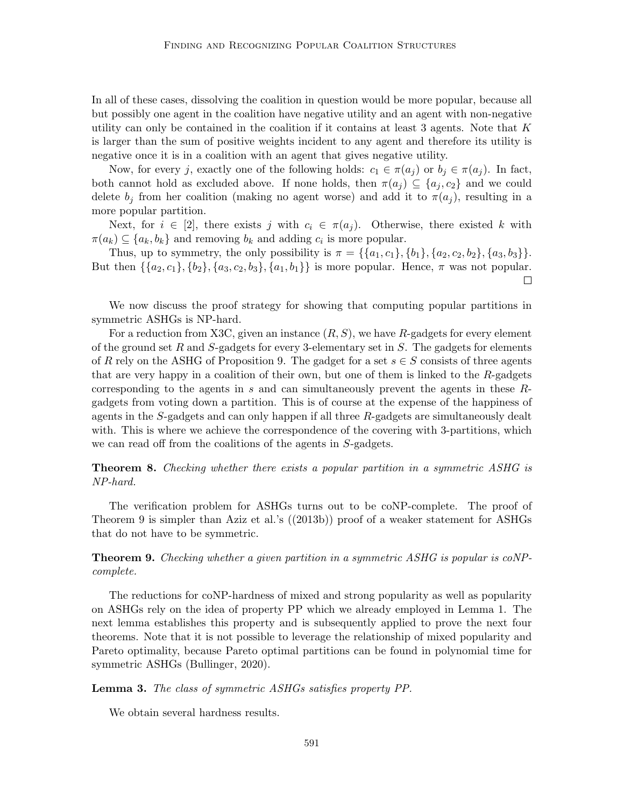In all of these cases, dissolving the coalition in question would be more popular, because all but possibly one agent in the coalition have negative utility and an agent with non-negative utility can only be contained in the coalition if it contains at least 3 agents. Note that  $K$ is larger than the sum of positive weights incident to any agent and therefore its utility is negative once it is in a coalition with an agent that gives negative utility.

Now, for every j, exactly one of the following holds:  $c_1 \in \pi(a_i)$  or  $b_i \in \pi(a_i)$ . In fact, both cannot hold as excluded above. If none holds, then  $\pi(a_j) \subseteq \{a_j, c_2\}$  and we could delete  $b_j$  from her coalition (making no agent worse) and add it to  $\pi(a_j)$ , resulting in a more popular partition.

Next, for  $i \in [2]$ , there exists j with  $c_i \in \pi(a_i)$ . Otherwise, there existed k with  $\pi(a_k) \subseteq \{a_k, b_k\}$  and removing  $b_k$  and adding  $c_i$  is more popular.

Thus, up to symmetry, the only possibility is  $\pi = \{\{a_1, c_1\}, \{b_1\}, \{a_2, c_2, b_2\}, \{a_3, b_3\}\}.$ But then  $\{\{a_2, c_1\}, \{b_2\}, \{a_3, c_2, b_3\}, \{a_1, b_1\}\}\$ is more popular. Hence,  $\pi$  was not popular.  $\Box$ 

We now discuss the proof strategy for showing that computing popular partitions in symmetric ASHGs is NP-hard.

For a reduction from X3C, given an instance  $(R, S)$ , we have R-gadgets for every element of the ground set R and  $S$ -gadgets for every 3-elementary set in S. The gadgets for elements of R rely on the ASHG of Proposition 9. The gadget for a set  $s \in S$  consists of three agents that are very happy in a coalition of their own, but one of them is linked to the  $R$ -gadgets corresponding to the agents in s and can simultaneously prevent the agents in these Rgadgets from voting down a partition. This is of course at the expense of the happiness of agents in the S-gadgets and can only happen if all three R-gadgets are simultaneously dealt with. This is where we achieve the correspondence of the covering with 3-partitions, which we can read off from the coalitions of the agents in S-gadgets.

Theorem 8. Checking whether there exists a popular partition in a symmetric ASHG is NP-hard.

The verification problem for ASHGs turns out to be coNP-complete. The proof of Theorem 9 is simpler than Aziz et al.'s ((2013b)) proof of a weaker statement for ASHGs that do not have to be symmetric.

## Theorem 9. Checking whether a given partition in a symmetric ASHG is popular is coNPcomplete.

The reductions for coNP-hardness of mixed and strong popularity as well as popularity on ASHGs rely on the idea of property PP which we already employed in Lemma 1. The next lemma establishes this property and is subsequently applied to prove the next four theorems. Note that it is not possible to leverage the relationship of mixed popularity and Pareto optimality, because Pareto optimal partitions can be found in polynomial time for symmetric ASHGs (Bullinger, 2020).

## Lemma 3. The class of symmetric ASHGs satisfies property PP.

We obtain several hardness results.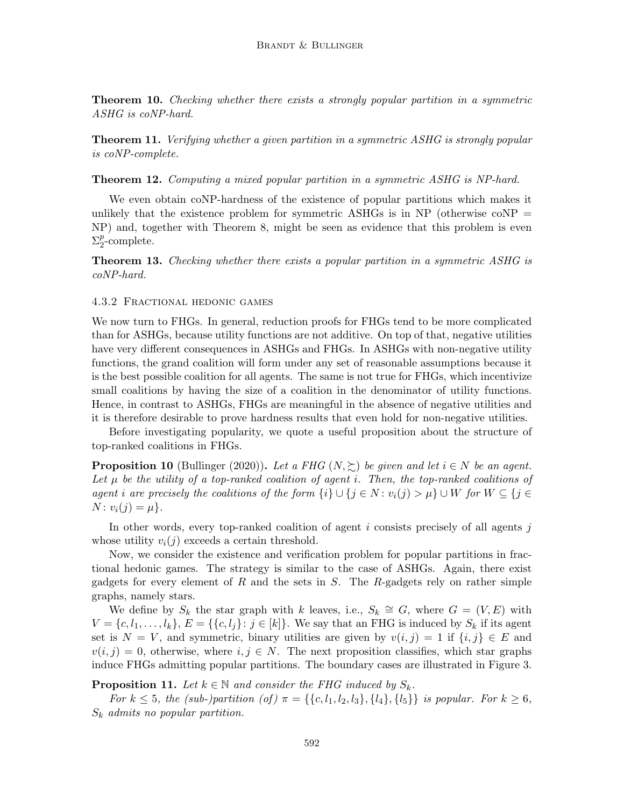**Theorem 10.** Checking whether there exists a strongly popular partition in a symmetric ASHG is coNP-hard.

**Theorem 11.** Verifying whether a given partition in a symmetric ASHG is strongly popular is coNP-complete.

#### Theorem 12. Computing a mixed popular partition in a symmetric ASHG is NP-hard.

We even obtain coNP-hardness of the existence of popular partitions which makes it unlikely that the existence problem for symmetric ASHGs is in NP (otherwise  $\text{coNP} =$ NP) and, together with Theorem 8, might be seen as evidence that this problem is even  $\Sigma_2^p$  $_{2}^{p}$ -complete.

**Theorem 13.** Checking whether there exists a popular partition in a symmetric ASHG is coNP-hard.

#### 4.3.2 Fractional hedonic games

We now turn to FHGs. In general, reduction proofs for FHGs tend to be more complicated than for ASHGs, because utility functions are not additive. On top of that, negative utilities have very different consequences in ASHGs and FHGs. In ASHGs with non-negative utility functions, the grand coalition will form under any set of reasonable assumptions because it is the best possible coalition for all agents. The same is not true for FHGs, which incentivize small coalitions by having the size of a coalition in the denominator of utility functions. Hence, in contrast to ASHGs, FHGs are meaningful in the absence of negative utilities and it is therefore desirable to prove hardness results that even hold for non-negative utilities.

Before investigating popularity, we quote a useful proposition about the structure of top-ranked coalitions in FHGs.

**Proposition 10** (Bullinger (2020)). Let a FHG  $(N, \succeq)$  be given and let  $i \in N$  be an agent. Let  $\mu$  be the utility of a top-ranked coalition of agent i. Then, the top-ranked coalitions of agent i are precisely the coalitions of the form  $\{i\} \cup \{j \in N : v_i(j) > \mu\} \cup W$  for  $W \subseteq \{j \in N : v_j(j) > \mu\}$  $N: v_i(j) = \mu$ .

In other words, every top-ranked coalition of agent  $i$  consists precisely of all agents  $j$ whose utility  $v_i(j)$  exceeds a certain threshold.

Now, we consider the existence and verification problem for popular partitions in fractional hedonic games. The strategy is similar to the case of ASHGs. Again, there exist gadgets for every element of  $R$  and the sets in  $S$ . The  $R$ -gadgets rely on rather simple graphs, namely stars.

We define by  $S_k$  the star graph with k leaves, i.e.,  $S_k \cong G$ , where  $G = (V, E)$  with  $V = \{c, l_1, \ldots, l_k\}, E = \{\{c, l_j\} : j \in [k]\}.$  We say that an FHG is induced by  $S_k$  if its agent set is  $N = V$ , and symmetric, binary utilities are given by  $v(i, j) = 1$  if  $\{i, j\} \in E$  and  $v(i, j) = 0$ , otherwise, where  $i, j \in N$ . The next proposition classifies, which star graphs induce FHGs admitting popular partitions. The boundary cases are illustrated in Figure 3.

**Proposition 11.** Let  $k \in \mathbb{N}$  and consider the FHG induced by  $S_k$ .

For  $k \le 5$ , the (sub-)partition (of)  $\pi = \{\{c, l_1, l_2, l_3\}, \{l_4\}, \{l_5\}\}\$ is popular. For  $k \ge 6$ ,  $S_k$  admits no popular partition.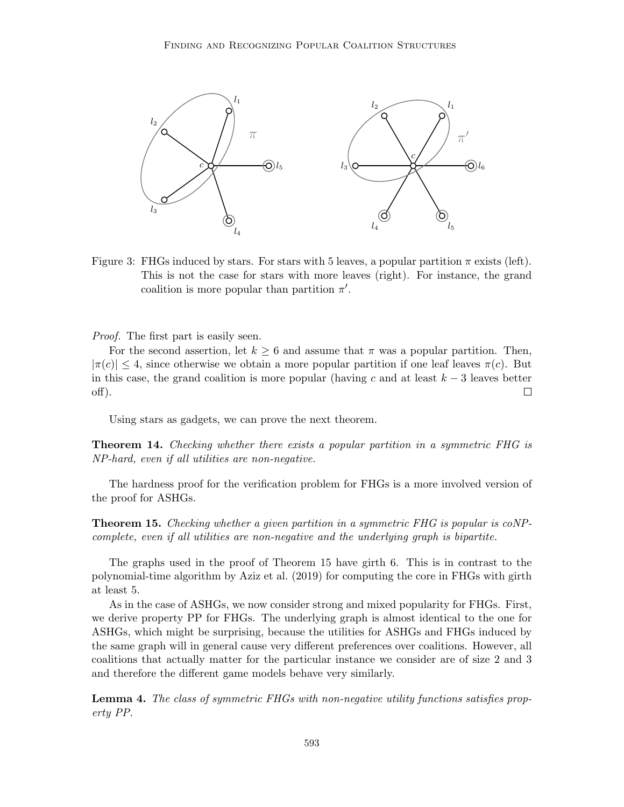

Figure 3: FHGs induced by stars. For stars with 5 leaves, a popular partition  $\pi$  exists (left). This is not the case for stars with more leaves (right). For instance, the grand coalition is more popular than partition  $\pi'$ .

#### Proof. The first part is easily seen.

For the second assertion, let  $k \geq 6$  and assume that  $\pi$  was a popular partition. Then,  $|\pi(c)| \leq 4$ , since otherwise we obtain a more popular partition if one leaf leaves  $\pi(c)$ . But in this case, the grand coalition is more popular (having c and at least  $k-3$  leaves better off).  $\Box$ 

Using stars as gadgets, we can prove the next theorem.

**Theorem 14.** Checking whether there exists a popular partition in a symmetric FHG is NP-hard, even if all utilities are non-negative.

The hardness proof for the verification problem for FHGs is a more involved version of the proof for ASHGs.

Theorem 15. Checking whether a given partition in a symmetric FHG is popular is coNPcomplete, even if all utilities are non-negative and the underlying graph is bipartite.

The graphs used in the proof of Theorem 15 have girth 6. This is in contrast to the polynomial-time algorithm by Aziz et al. (2019) for computing the core in FHGs with girth at least 5.

As in the case of ASHGs, we now consider strong and mixed popularity for FHGs. First, we derive property PP for FHGs. The underlying graph is almost identical to the one for ASHGs, which might be surprising, because the utilities for ASHGs and FHGs induced by the same graph will in general cause very different preferences over coalitions. However, all coalitions that actually matter for the particular instance we consider are of size 2 and 3 and therefore the different game models behave very similarly.

**Lemma 4.** The class of symmetric FHGs with non-negative utility functions satisfies property PP.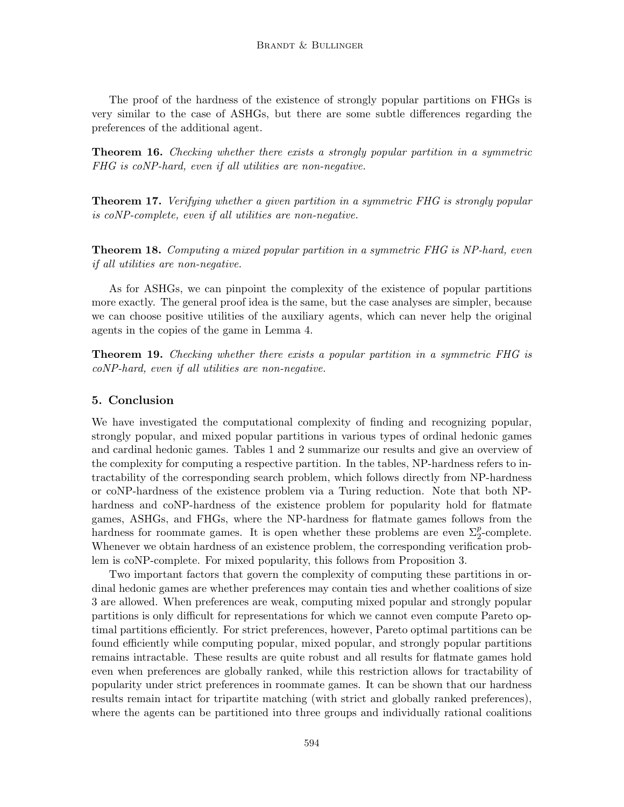The proof of the hardness of the existence of strongly popular partitions on FHGs is very similar to the case of ASHGs, but there are some subtle differences regarding the preferences of the additional agent.

Theorem 16. Checking whether there exists a strongly popular partition in a symmetric FHG is coNP-hard, even if all utilities are non-negative.

**Theorem 17.** Verifying whether a given partition in a symmetric FHG is strongly popular is coNP-complete, even if all utilities are non-negative.

Theorem 18. Computing a mixed popular partition in a symmetric FHG is NP-hard, even if all utilities are non-negative.

As for ASHGs, we can pinpoint the complexity of the existence of popular partitions more exactly. The general proof idea is the same, but the case analyses are simpler, because we can choose positive utilities of the auxiliary agents, which can never help the original agents in the copies of the game in Lemma 4.

**Theorem 19.** Checking whether there exists a popular partition in a symmetric FHG is coNP-hard, even if all utilities are non-negative.

## 5. Conclusion

We have investigated the computational complexity of finding and recognizing popular, strongly popular, and mixed popular partitions in various types of ordinal hedonic games and cardinal hedonic games. Tables 1 and 2 summarize our results and give an overview of the complexity for computing a respective partition. In the tables, NP-hardness refers to intractability of the corresponding search problem, which follows directly from NP-hardness or coNP-hardness of the existence problem via a Turing reduction. Note that both NPhardness and coNP-hardness of the existence problem for popularity hold for flatmate games, ASHGs, and FHGs, where the NP-hardness for flatmate games follows from the hardness for roommate games. It is open whether these problems are even  $\Sigma_2^p$ -complete. Whenever we obtain hardness of an existence problem, the corresponding verification problem is coNP-complete. For mixed popularity, this follows from Proposition 3.

Two important factors that govern the complexity of computing these partitions in ordinal hedonic games are whether preferences may contain ties and whether coalitions of size 3 are allowed. When preferences are weak, computing mixed popular and strongly popular partitions is only difficult for representations for which we cannot even compute Pareto optimal partitions efficiently. For strict preferences, however, Pareto optimal partitions can be found efficiently while computing popular, mixed popular, and strongly popular partitions remains intractable. These results are quite robust and all results for flatmate games hold even when preferences are globally ranked, while this restriction allows for tractability of popularity under strict preferences in roommate games. It can be shown that our hardness results remain intact for tripartite matching (with strict and globally ranked preferences), where the agents can be partitioned into three groups and individually rational coalitions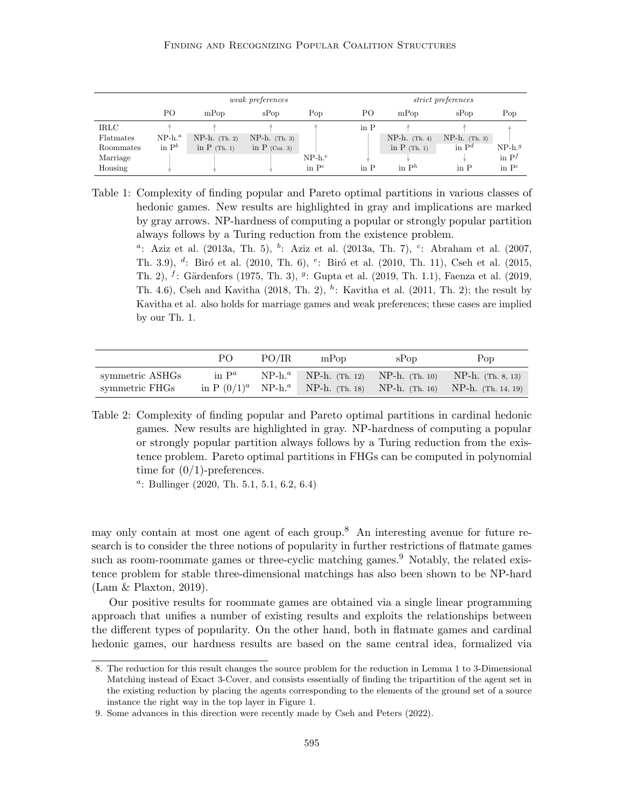#### Finding and Recognizing Popular Coalition Structures

|             | <i>weak preferences</i> |                 |                 |           |                          | <i>strict preferences</i> |                          |          |  |
|-------------|-------------------------|-----------------|-----------------|-----------|--------------------------|---------------------------|--------------------------|----------|--|
|             | PО                      | mPop            | sPop            | Pop       | PО                       | mPop                      | sPop                     | Pop      |  |
| <b>IRLC</b> |                         |                 |                 |           | in $P$                   |                           |                          |          |  |
| Flatmates   | $NP-h.^a$               | $NP-h.$ (Th. 2) | $NP-h.$ (Th. 3) |           |                          | $NP-h.$ (Th. 4)           | $NP-h.$ (Th. 3)          |          |  |
| Roommates   | in $P^b$                | in $P$ (Th. 1)  | in $P$ (Cor. 3) |           |                          | in $P$ (Th. 1)            | in $P^d$                 | $NP-h.g$ |  |
| Marriage    |                         |                 |                 | $NP-h.^e$ |                          |                           |                          | in $P^f$ |  |
| Housing     |                         |                 |                 | in $P^c$  | $\overline{\text{in}}$ P | in $P^h$                  | $\overline{\text{in}}$ P | in $P^c$ |  |

Table 1: Complexity of finding popular and Pareto optimal partitions in various classes of hedonic games. New results are highlighted in gray and implications are marked by gray arrows. NP-hardness of computing a popular or strongly popular partition always follows by a Turing reduction from the existence problem.

<sup>a</sup>: Aziz et al. (2013a, Th. 5), <sup>b</sup>: Aziz et al. (2013a, Th. 7), <sup>c</sup>: Abraham et al. (2007, Th. 3.9),  $d$ : Biró et al. (2010, Th. 6),  $e$ : Biró et al. (2010, Th. 11), Cseh et al. (2015, Th. 2),  $^f$ : Gärdenfors (1975, Th. 3),  $^g$ : Gupta et al. (2019, Th. 1.1), Faenza et al. (2019, Th. 4.6), Cseh and Kavitha  $(2018, Th. 2)$ , <sup>h</sup>: Kavitha et al.  $(2011, Th. 2)$ ; the result by Kavitha et al. also holds for marriage games and weak preferences; these cases are implied by our Th. 1.

|                 | PO.      | PO/IR | $m$ Pop | sPop | Pop                                                                               |
|-----------------|----------|-------|---------|------|-----------------------------------------------------------------------------------|
| symmetric ASHGs | in $P^a$ |       |         |      | $NP-h.^a$ NP-h. (Th. 12) NP-h. (Th. 10) NP-h. (Th. 8, 13)                         |
| symmetric FHGs  |          |       |         |      | in $P(0/1)^a$ NP-h. <sup>a</sup> NP-h. (Th. 18) NP-h. (Th. 16) NP-h. (Th. 14, 19) |

Table 2: Complexity of finding popular and Pareto optimal partitions in cardinal hedonic games. New results are highlighted in gray. NP-hardness of computing a popular or strongly popular partition always follows by a Turing reduction from the existence problem. Pareto optimal partitions in FHGs can be computed in polynomial time for  $(0/1)$ -preferences.

a : Bullinger (2020, Th. 5.1, 5.1, 6.2, 6.4)

may only contain at most one agent of each group.<sup>8</sup> An interesting avenue for future research is to consider the three notions of popularity in further restrictions of flatmate games such as room-roommate games or three-cyclic matching games.<sup>9</sup> Notably, the related existence problem for stable three-dimensional matchings has also been shown to be NP-hard (Lam & Plaxton, 2019).

Our positive results for roommate games are obtained via a single linear programming approach that unifies a number of existing results and exploits the relationships between the different types of popularity. On the other hand, both in flatmate games and cardinal hedonic games, our hardness results are based on the same central idea, formalized via

<sup>8.</sup> The reduction for this result changes the source problem for the reduction in Lemma 1 to 3-Dimensional Matching instead of Exact 3-Cover, and consists essentially of finding the tripartition of the agent set in the existing reduction by placing the agents corresponding to the elements of the ground set of a source instance the right way in the top layer in Figure 1.

<sup>9.</sup> Some advances in this direction were recently made by Cseh and Peters (2022).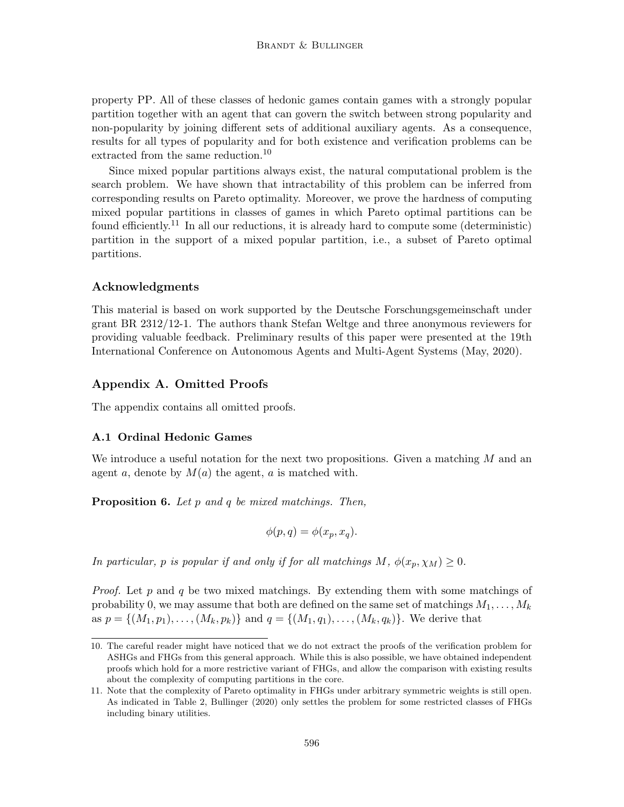property PP. All of these classes of hedonic games contain games with a strongly popular partition together with an agent that can govern the switch between strong popularity and non-popularity by joining different sets of additional auxiliary agents. As a consequence, results for all types of popularity and for both existence and verification problems can be extracted from the same reduction.<sup>10</sup>

Since mixed popular partitions always exist, the natural computational problem is the search problem. We have shown that intractability of this problem can be inferred from corresponding results on Pareto optimality. Moreover, we prove the hardness of computing mixed popular partitions in classes of games in which Pareto optimal partitions can be found efficiently.<sup>11</sup> In all our reductions, it is already hard to compute some (deterministic) partition in the support of a mixed popular partition, i.e., a subset of Pareto optimal partitions.

## Acknowledgments

This material is based on work supported by the Deutsche Forschungsgemeinschaft under grant BR 2312/12-1. The authors thank Stefan Weltge and three anonymous reviewers for providing valuable feedback. Preliminary results of this paper were presented at the 19th International Conference on Autonomous Agents and Multi-Agent Systems (May, 2020).

## Appendix A. Omitted Proofs

The appendix contains all omitted proofs.

### A.1 Ordinal Hedonic Games

We introduce a useful notation for the next two propositions. Given a matching  $M$  and an agent a, denote by  $M(a)$  the agent, a is matched with.

**Proposition 6.** Let  $p$  and  $q$  be mixed matchings. Then,

$$
\phi(p,q) = \phi(x_p, x_q).
$$

In particular, p is popular if and only if for all matchings  $M$ ,  $\phi(x_p, \chi_M) \geq 0$ .

*Proof.* Let p and q be two mixed matchings. By extending them with some matchings of probability 0, we may assume that both are defined on the same set of matchings  $M_1, \ldots, M_k$ as  $p = \{(M_1, p_1), \ldots, (M_k, p_k)\}\$  and  $q = \{(M_1, q_1), \ldots, (M_k, q_k)\}\$ . We derive that

<sup>10.</sup> The careful reader might have noticed that we do not extract the proofs of the verification problem for ASHGs and FHGs from this general approach. While this is also possible, we have obtained independent proofs which hold for a more restrictive variant of FHGs, and allow the comparison with existing results about the complexity of computing partitions in the core.

<sup>11.</sup> Note that the complexity of Pareto optimality in FHGs under arbitrary symmetric weights is still open. As indicated in Table 2, Bullinger (2020) only settles the problem for some restricted classes of FHGs including binary utilities.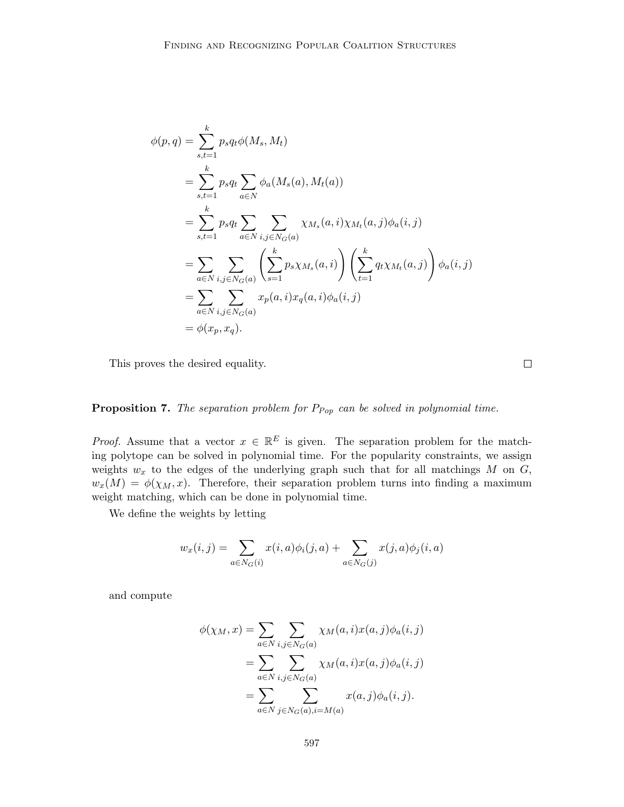$$
\phi(p,q) = \sum_{s,t=1}^{k} p_s q_t \phi(M_s, M_t)
$$
  
\n
$$
= \sum_{s,t=1}^{k} p_s q_t \sum_{a \in N} \phi_a(M_s(a), M_t(a))
$$
  
\n
$$
= \sum_{s,t=1}^{k} p_s q_t \sum_{a \in N} \sum_{i,j \in N_G(a)} \chi_{M_s}(a, i) \chi_{M_t}(a, j) \phi_a(i, j)
$$
  
\n
$$
= \sum_{a \in N} \sum_{i,j \in N_G(a)} \left( \sum_{s=1}^{k} p_s \chi_{M_s}(a, i) \right) \left( \sum_{t=1}^{k} q_t \chi_{M_t}(a, j) \right) \phi_a(i, j)
$$
  
\n
$$
= \sum_{a \in N} \sum_{i,j \in N_G(a)} x_p(a, i) x_q(a, i) \phi_a(i, j)
$$
  
\n
$$
= \phi(x_p, x_q).
$$

This proves the desired equality.

## **Proposition 7.** The separation problem for  $P_{Pop}$  can be solved in polynomial time.

*Proof.* Assume that a vector  $x \in \mathbb{R}^E$  is given. The separation problem for the matching polytope can be solved in polynomial time. For the popularity constraints, we assign weights  $w_x$  to the edges of the underlying graph such that for all matchings M on  $G$ ,  $w_x(M) = \phi(\chi_M, x)$ . Therefore, their separation problem turns into finding a maximum weight matching, which can be done in polynomial time.

We define the weights by letting

$$
w_x(i,j) = \sum_{a \in N_G(i)} x(i,a)\phi_i(j,a) + \sum_{a \in N_G(j)} x(j,a)\phi_j(i,a)
$$

and compute

$$
\phi(\chi_M, x) = \sum_{a \in N} \sum_{i,j \in N_G(a)} \chi_M(a, i) x(a, j) \phi_a(i, j)
$$

$$
= \sum_{a \in N} \sum_{i,j \in N_G(a)} \chi_M(a, i) x(a, j) \phi_a(i, j)
$$

$$
= \sum_{a \in N} \sum_{j \in N_G(a), i=M(a)} x(a, j) \phi_a(i, j).
$$

 $\Box$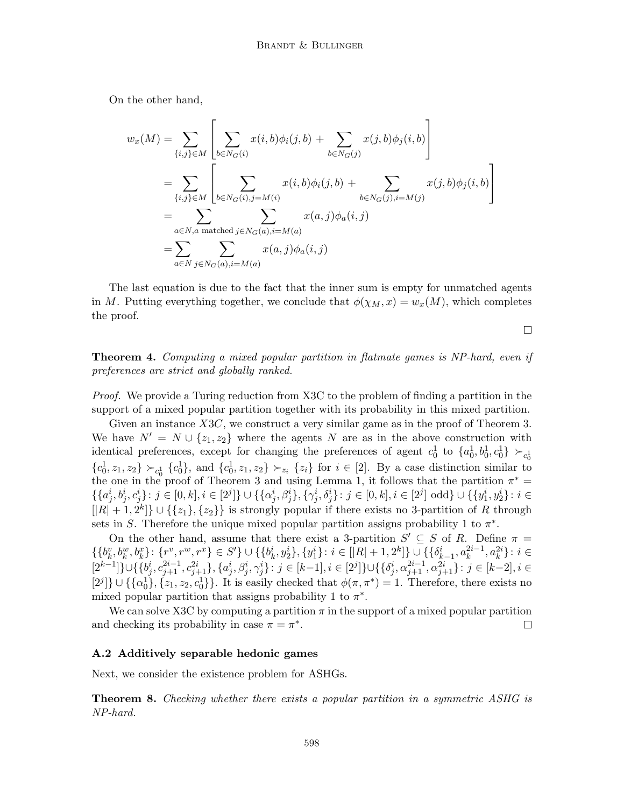On the other hand,

$$
w_x(M) = \sum_{\{i,j\} \in M} \left[ \sum_{b \in N_G(i)} x(i,b)\phi_i(j,b) + \sum_{b \in N_G(j)} x(j,b)\phi_j(i,b) \right]
$$
  
= 
$$
\sum_{\{i,j\} \in M} \left[ \sum_{b \in N_G(i), j=M(i)} x(i,b)\phi_i(j,b) + \sum_{b \in N_G(j), i=M(j)} x(j,b)\phi_j(i,b) \right]
$$
  
= 
$$
\sum_{a \in N, a \text{ matched } j \in N_G(a), i=M(a)} x(a,j)\phi_a(i,j)
$$
  
= 
$$
\sum_{a \in N} \sum_{j \in N_G(a), i=M(a)} x(a,j)\phi_a(i,j)
$$

The last equation is due to the fact that the inner sum is empty for unmatched agents in M. Putting everything together, we conclude that  $\phi(\chi_M, x) = w_x(M)$ , which completes the proof.

 $\Box$ 

Theorem 4. Computing a mixed popular partition in flatmate games is NP-hard, even if preferences are strict and globally ranked.

Proof. We provide a Turing reduction from X3C to the problem of finding a partition in the support of a mixed popular partition together with its probability in this mixed partition.

Given an instance X3C, we construct a very similar game as in the proof of Theorem 3. We have  $N' = N \cup \{z_1, z_2\}$  where the agents N are as in the above construction with identical preferences, except for changing the preferences of agent  $c_0^1$  to  $\{a_0^1, b_0^1, c_0^1\} \succ_{c_0^1}$  ${c_0^1, z_1, z_2} \succ_{c_0^1} {c_0^1},$  and  ${c_0^1, z_1, z_2} \succ_{z_i} {z_i}$  for  $i \in [2]$ . By a case distinction similar to the one in the proof of Theorem 3 and using Lemma 1, it follows that the partition  $\pi^* =$  $\{\{a_j^i,b_j^i,c_j^i\}\colon j\in [0,k], i\in [2^j]\} \cup \{\{\alpha_j^i,\beta_j^i\}, \{\gamma_j^i,\delta_j^i\}\colon j\in [0,k], i\in [2^j] \text{ odd} \} \cup \{\{y_1^i,y_2^i\}\colon i\in [2^j]\}$  $[|R|+1, 2^k] \cup {\zeta_1}, {\zeta_2}$  is strongly popular if there exists no 3-partition of R through sets in S. Therefore the unique mixed popular partition assigns probability 1 to  $\pi^*$ .

On the other hand, assume that there exist a 3-partition  $S' \subseteq S$  of R. Define  $\pi =$  $\{\{b_k^v,b_k^w,b_k^x\}\colon \{r^v,r^w,r^x\}\in S'\}\cup \{\{b_k^i,y_2^i\},\{y_1^i\}\colon i\in [|R|+1,2^k]\}\cup \{\{\delta_{k-1}^i,a_k^{2i-1},a_k^{2i}\}\colon i\in [R|+1,2^k]\}$  $[2^{k-1}] \} \cup \{ \{b_j^i, c_{j+1}^{2i-1}, c_{j+1}^{2i}\}, \{a_j^i, \beta_j^i, \gamma_j^i\} \colon j \in [k-1], i \in [2^j] \} \cup \{ \{\delta_j^i, \alpha_{j+1}^{2i-1}, \alpha_{j+1}^{2i}\} \colon j \in [k-2], i \in [k-1], j \in [k-1], j \in [k-1], j \in [k-1], j \in [k-1], j \in [k-1], j \in [k-1], j \in [k-1], j \in [k-1], j \in [k-1], j \in [k-1], j \in$  $[2^j] \cup \{\{\alpha_0^1\}, \{z_1, z_2, c_0^1\}\}\.$  It is easily checked that  $\phi(\pi, \pi^*) = 1$ . Therefore, there exists no mixed popular partition that assigns probability 1 to  $\pi^*$ .

We can solve X3C by computing a partition  $\pi$  in the support of a mixed popular partition and checking its probability in case  $\pi = \pi^*$ .  $\Box$ 

#### A.2 Additively separable hedonic games

Next, we consider the existence problem for ASHGs.

Theorem 8. Checking whether there exists a popular partition in a symmetric ASHG is NP-hard.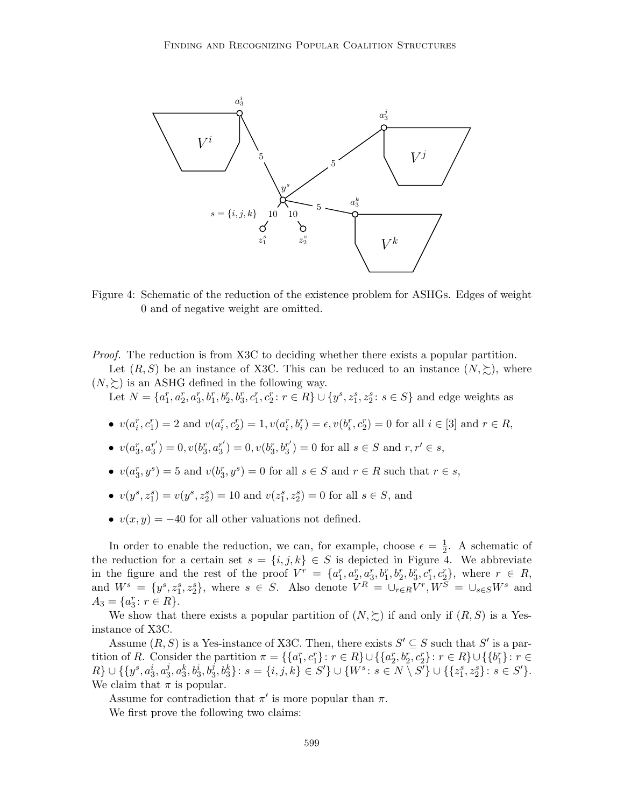

Figure 4: Schematic of the reduction of the existence problem for ASHGs. Edges of weight 0 and of negative weight are omitted.

Proof. The reduction is from X3C to deciding whether there exists a popular partition.

Let  $(R, S)$  be an instance of X3C. This can be reduced to an instance  $(N, \succeq)$ , where  $(N, \succeq)$  is an ASHG defined in the following way.

Let  $N = \{a_1^r, a_2^r, a_3^r, b_1^r, b_2^r, b_3^r, c_1^r, c_2^r : r \in R\} \cup \{y^s, z_1^s, z_2^s : s \in S\}$  and edge weights as

- $v(a_i^r, c_1^r) = 2$  and  $v(a_i^r, c_2^r) = 1, v(a_i^r, b_i^r) = \epsilon, v(b_i^r, c_2^r) = 0$  for all  $i \in [3]$  and  $r \in R$ ,
- $\bullet \;\; v(a^r_3,a^{r'}_3)$  $s_3^{r'}$ ) = 0,  $v(b_3^r, a_3^{r'}$  $s_3^{r'}$ ) = 0,  $v(b_3^r, b_3^{r'}$  $s'_{3}$ ) = 0 for all  $s \in S$  and  $r, r' \in s$ ,
- $v(a_3^r, y^s) = 5$  and  $v(b_3^r, y^s) = 0$  for all  $s \in S$  and  $r \in R$  such that  $r \in s$ ,
- $v(y^s, z_1^s) = v(y^s, z_2^s) = 10$  and  $v(z_1^s, z_2^s) = 0$  for all  $s \in S$ , and
- $v(x, y) = -40$  for all other valuations not defined.

In order to enable the reduction, we can, for example, choose  $\epsilon = \frac{1}{2}$  $\frac{1}{2}$ . A schematic of the reduction for a certain set  $s = \{i, j, k\} \in S$  is depicted in Figure 4. We abbreviate in the figure and the rest of the proof  $V^r = \{a_1^r, a_2^r, a_3^r, b_1^r, b_2^r, b_3^r, c_1^r, c_2^r\}$ , where  $r \in R$ , and  $W^s = \{y^s, z_1^s, z_2^s\}$ , where  $s \in S$ . Also denote  $V^R = \bigcup_{r \in R} V^r$ ,  $W^S = \bigcup_{s \in S} W^s$  and  $A_3 = \{a_3^r : r \in R\}.$ 

We show that there exists a popular partition of  $(N, \succeq)$  if and only if  $(R, S)$  is a Yesinstance of X3C.

Assume  $(R, S)$  is a Yes-instance of X3C. Then, there exists  $S' \subseteq S$  such that  $S'$  is a partition of R. Consider the partition  $\pi = \{ \{a_1^r, c_1^r\} : r \in R \} \cup \{ \{a_2^r, b_2^r, c_2^r\} : r \in R \} \cup \{ \{b_1^r\} : r \in R \}$  $R\} \cup \{\{y^s, a_3^i, a_3^j\}$  $\{a_3^j, a_3^k, b_3^j, b_3^j\};\, s=\{i,j,k\}\in S'\}\cup\{W^s\colon s\in N\setminus S'\}\cup\{\{z_1^s, z_2^s\}\colon s\in S'\}.$ We claim that  $\pi$  is popular.

Assume for contradiction that  $\pi'$  is more popular than  $\pi$ .

We first prove the following two claims: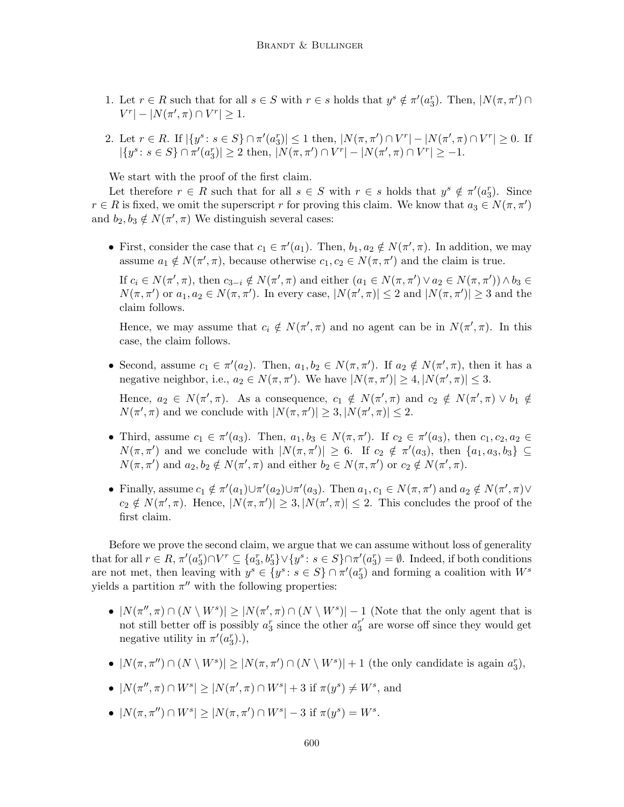- 1. Let  $r \in R$  such that for all  $s \in S$  with  $r \in s$  holds that  $y^s \notin \pi'(a_3^r)$ . Then,  $|N(\pi, \pi') \cap$  $|V^r| - |N(\pi', \pi) \cap V^r| \geq 1.$
- 2. Let  $r \in R$ . If  $|\{y^s : s \in S\} \cap \pi'(a_3^r)| \le 1$  then,  $|N(\pi, \pi') \cap V^r| |N(\pi', \pi) \cap V^r| \ge 0$ . If  $|\{y^s \colon s \in S\} \cap \pi'(a_3^r)| \ge 2 \text{ then, } |N(\pi, \pi') \cap V^r| - |N(\pi', \pi) \cap V^r| \ge -1.$

We start with the proof of the first claim.

Let therefore  $r \in R$  such that for all  $s \in S$  with  $r \in s$  holds that  $y^s \notin \pi'(a_3^r)$ . Since  $r \in R$  is fixed, we omit the superscript r for proving this claim. We know that  $a_3 \in N(\pi, \pi')$ and  $b_2, b_3 \notin N(\pi', \pi)$  We distinguish several cases:

• First, consider the case that  $c_1 \in \pi'(a_1)$ . Then,  $b_1, a_2 \notin N(\pi', \pi)$ . In addition, we may assume  $a_1 \notin N(\pi', \pi)$ , because otherwise  $c_1, c_2 \in N(\pi, \pi')$  and the claim is true.

If  $c_i \in N(\pi', \pi)$ , then  $c_{3-i} \notin N(\pi', \pi)$  and either  $(a_1 \in N(\pi, \pi') \lor a_2 \in N(\pi, \pi')) \land b_3 \in$  $N(\pi, \pi')$  or  $a_1, a_2 \in N(\pi, \pi')$ . In every case,  $|N(\pi', \pi)| \leq 2$  and  $|N(\pi, \pi')| \geq 3$  and the claim follows.

Hence, we may assume that  $c_i \notin N(\pi', \pi)$  and no agent can be in  $N(\pi', \pi)$ . In this case, the claim follows.

- Second, assume  $c_1 \in \pi'(a_2)$ . Then,  $a_1, b_2 \in N(\pi, \pi')$ . If  $a_2 \notin N(\pi', \pi)$ , then it has a negative neighbor, i.e.,  $a_2 \in N(\pi, \pi')$ . We have  $|N(\pi, \pi')| \geq 4, |N(\pi', \pi)| \leq 3$ . Hence,  $a_2 \in N(\pi', \pi)$ . As a consequence,  $c_1 \notin N(\pi', \pi)$  and  $c_2 \notin N(\pi', \pi) \vee b_1 \notin$  $N(\pi', \pi)$  and we conclude with  $|N(\pi, \pi')| \geq 3$ ,  $|N(\pi', \pi)| \leq 2$ .
- Third, assume  $c_1 \in \pi'(a_3)$ . Then,  $a_1, b_3 \in N(\pi, \pi')$ . If  $c_2 \in \pi'(a_3)$ , then  $c_1, c_2, a_2 \in$  $N(\pi, \pi')$  and we conclude with  $|N(\pi, \pi')| \geq 6$ . If  $c_2 \notin \pi'(a_3)$ , then  $\{a_1, a_3, b_3\} \subseteq$  $N(\pi, \pi')$  and  $a_2, b_2 \notin N(\pi', \pi)$  and either  $b_2 \in N(\pi, \pi')$  or  $c_2 \notin N(\pi', \pi)$ .
- Finally, assume  $c_1 \notin \pi'(a_1) \cup \pi'(a_2) \cup \pi'(a_3)$ . Then  $a_1, c_1 \in N(\pi, \pi')$  and  $a_2 \notin N(\pi', \pi) \vee$  $c_2 \notin N(\pi', \pi)$ . Hence,  $|N(\pi, \pi')| \geq 3$ ,  $|N(\pi', \pi)| \leq 2$ . This concludes the proof of the first claim.

Before we prove the second claim, we argue that we can assume without loss of generality that for all  $r \in R$ ,  $\pi'(a_3^r) \cap V^r \subseteq \{a_3^r, b_3^r\} \vee \{y^s : s \in S\} \cap \pi'(a_3^r) = \emptyset$ . Indeed, if both conditions are not met, then leaving with  $y^s \in \{y^s : s \in S\} \cap \pi'(a_3^r)$  and forming a coalition with  $W^s$ yields a partition  $\pi''$  with the following properties:

- $|N(\pi'', \pi) \cap (N \setminus W^s)| \ge |N(\pi', \pi) \cap (N \setminus W^s)| 1$  (Note that the only agent that is not still better off is possibly  $a_3^r$  since the other  $a_3^{r'}$  $s<sub>3</sub>$ <sup>r'</sup> are worse off since they would get negative utility in  $\pi'(a_3^r)$ .),
- $|N(\pi, \pi'') \cap (N \setminus W^s)| \ge |N(\pi, \pi') \cap (N \setminus W^s)| + 1$  (the only candidate is again  $a_3^r$ ),
- $|N(\pi'', \pi) \cap W^s| \ge |N(\pi', \pi) \cap W^s| + 3$  if  $\pi(y^s) \ne W^s$ , and
- $|N(\pi, \pi'') \cap W^s| \ge |N(\pi, \pi') \cap W^s| 3$  if  $\pi(y^s) = W^s$ .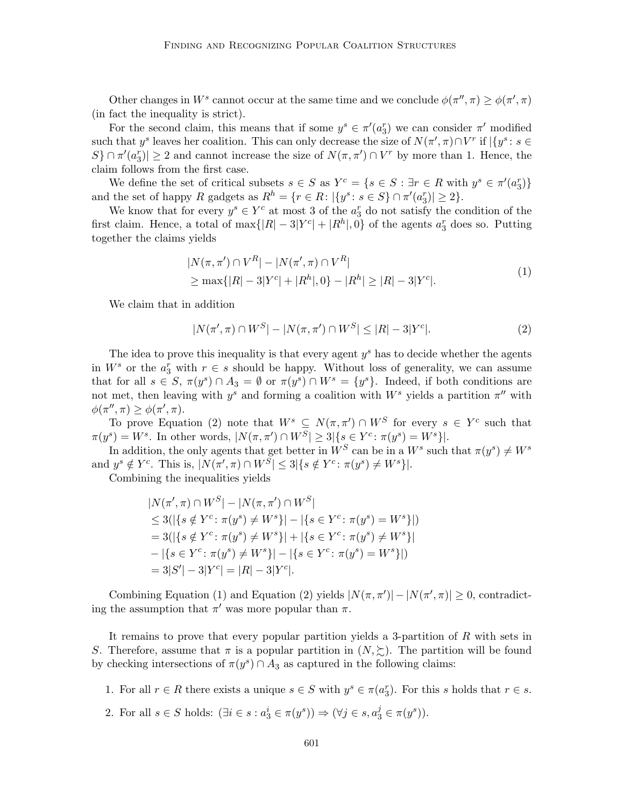Other changes in  $W^s$  cannot occur at the same time and we conclude  $\phi(\pi'', \pi) \geq \phi(\pi', \pi)$ (in fact the inequality is strict).

For the second claim, this means that if some  $y^s \in \pi'(a_3^r)$  we can consider  $\pi'$  modified such that  $y^s$  leaves her coalition. This can only decrease the size of  $N(\pi', \pi) \cap V^r$  if  $\vert \{y^s : s \in V^r\}\vert$  $S\}\cap \pi'(a_3^r)|\geq 2$  and cannot increase the size of  $N(\pi, \pi')\cap V^r$  by more than 1. Hence, the claim follows from the first case.

We define the set of critical subsets  $s \in S$  as  $Y^c = \{ s \in S : \exists r \in R \text{ with } y^s \in \pi'(a_3^r) \}$ and the set of happy R gadgets as  $R^h = \{r \in R : |\{y^s : s \in S\} \cap \pi'(a_3^r)| \geq 2\}.$ 

We know that for every  $y^s \in Y^c$  at most 3 of the  $a_3^r$  do not satisfy the condition of the first claim. Hence, a total of  $\max\{|R| - 3|Y^{c}| + |R^{h}|, 0\}$  of the agents  $a_3^r$  does so. Putting together the claims yields

$$
|N(\pi, \pi') \cap V^R| - |N(\pi', \pi) \cap V^R|
$$
  
\n
$$
\geq \max\{|R| - 3|Y^c| + |R^h|, 0\} - |R^h| \geq |R| - 3|Y^c|.
$$
 (1)

We claim that in addition

$$
|N(\pi', \pi) \cap W^S| - |N(\pi, \pi') \cap W^S| \le |R| - 3|Y^c|.
$$
 (2)

The idea to prove this inequality is that every agent  $y<sup>s</sup>$  has to decide whether the agents in  $W^s$  or the  $a_3^r$  with  $r \in s$  should be happy. Without loss of generality, we can assume that for all  $s \in S$ ,  $\pi(y^s) \cap A_3 = \emptyset$  or  $\pi(y^s) \cap W^s = \{y^s\}$ . Indeed, if both conditions are not met, then leaving with  $y^s$  and forming a coalition with  $W^s$  yields a partition  $\pi''$  with  $\phi(\pi'', \pi) \geq \phi(\pi', \pi).$ 

To prove Equation (2) note that  $W^s \subseteq N(\pi, \pi') \cap W^S$  for every  $s \in Y^c$  such that  $\pi(y^s) = W^s$ . In other words,  $|N(\pi, \pi') \cap W^S| \geq 3 | \{ s \in Y^c : \pi(y^s) = W^s \} |$ .

In addition, the only agents that get better in  $W^S$  can be in a  $W^s$  such that  $\pi(y^s) \neq W^s$ and  $y^s \notin Y^c$ . This is,  $|N(\pi', \pi) \cap W^S| \leq 3 |\{s \notin Y^c : \pi(y^s) \neq W^s\}|$ .

Combining the inequalities yields

$$
|N(\pi', \pi) \cap W^S| - |N(\pi, \pi') \cap W^S|
$$
  
\n
$$
\leq 3(|\{s \notin Y^c : \pi(y^s) \neq W^s\}| - |\{s \in Y^c : \pi(y^s) = W^s\}|)
$$
  
\n
$$
= 3(|\{s \notin Y^c : \pi(y^s) \neq W^s\}| + |\{s \in Y^c : \pi(y^s) \neq W^s\}|
$$
  
\n
$$
- |\{s \in Y^c : \pi(y^s) \neq W^s\}| - |\{s \in Y^c : \pi(y^s) = W^s\}|)
$$
  
\n
$$
= 3|S'| - 3|Y^c| = |R| - 3|Y^c|.
$$

Combining Equation (1) and Equation (2) yields  $|N(\pi, \pi')| - |N(\pi', \pi)| \geq 0$ , contradicting the assumption that  $\pi'$  was more popular than  $\pi$ .

It remains to prove that every popular partition yields a 3-partition of R with sets in S. Therefore, assume that  $\pi$  is a popular partition in  $(N, \Sigma)$ . The partition will be found by checking intersections of  $\pi(y^s) \cap A_3$  as captured in the following claims:

- 1. For all  $r \in R$  there exists a unique  $s \in S$  with  $y^s \in \pi(a_3^r)$ . For this s holds that  $r \in s$ .
- 2. For all  $s \in S$  holds:  $(\exists i \in s : a_3^i \in \pi(y^s)) \Rightarrow (\forall j \in s, a_3^j \in \pi(y^s)).$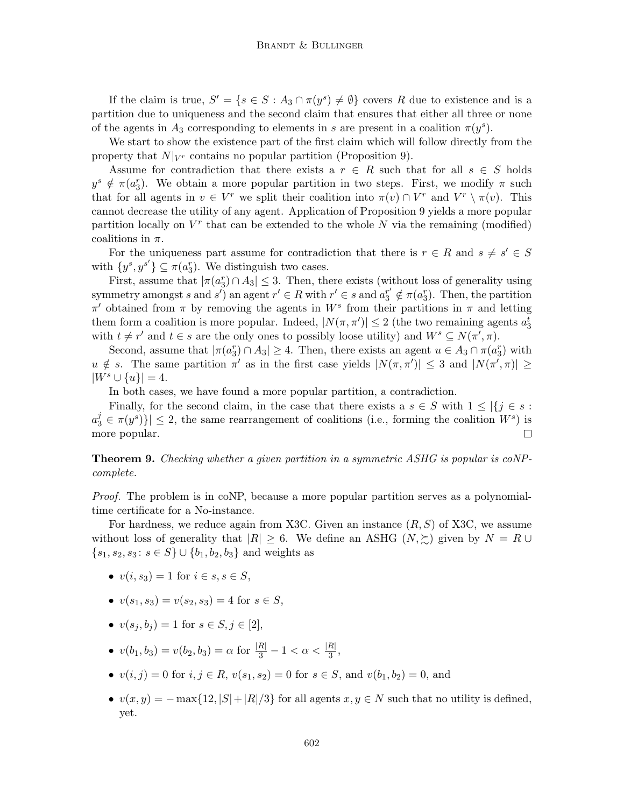If the claim is true,  $S' = \{s \in S : A_3 \cap \pi(y^s) \neq \emptyset\}$  covers R due to existence and is a partition due to uniqueness and the second claim that ensures that either all three or none of the agents in  $A_3$  corresponding to elements in s are present in a coalition  $\pi(y^s)$ .

We start to show the existence part of the first claim which will follow directly from the property that  $N|_{V_r}$  contains no popular partition (Proposition 9).

Assume for contradiction that there exists a  $r \in R$  such that for all  $s \in S$  holds  $y^s \notin \pi(a_3^r)$ . We obtain a more popular partition in two steps. First, we modify  $\pi$  such that for all agents in  $v \in V^r$  we split their coalition into  $\pi(v) \cap V^r$  and  $V^r \setminus \pi(v)$ . This cannot decrease the utility of any agent. Application of Proposition 9 yields a more popular partition locally on  $V^r$  that can be extended to the whole  $N$  via the remaining (modified) coalitions in  $\pi$ .

For the uniqueness part assume for contradiction that there is  $r \in R$  and  $s \neq s' \in S$ with  $\{y^s, y^{s'}\} \subseteq \pi(a_3^r)$ . We distinguish two cases.

First, assume that  $|\pi(a_3^r) \cap A_3| \leq 3$ . Then, there exists (without loss of generality using symmetry amongst s and s') an agent  $r' \in R$  with  $r' \in s$  and  $a_3^{r'} \notin \pi(a_3^r)$ . Then, the partition  $\pi'$  obtained from π by removing the agents in W<sup>s</sup> from their partitions in π and letting them form a coalition is more popular. Indeed,  $|N(\pi, \pi')| \leq 2$  (the two remaining agents  $a_3^t$ ) with  $t \neq r'$  and  $t \in s$  are the only ones to possibly loose utility) and  $W^s \subseteq N(\pi', \pi)$ .

Second, assume that  $|\pi(a_3^r) \cap A_3| \geq 4$ . Then, there exists an agent  $u \in A_3 \cap \pi(a_3^r)$  with  $u \notin s$ . The same partition  $\pi'$  as in the first case yields  $|N(\pi, \pi')| \leq 3$  and  $|N(\pi', \pi)| \geq$  $|W^s \cup \{u\}| = 4.$ 

In both cases, we have found a more popular partition, a contradiction.

Finally, for the second claim, in the case that there exists a  $s \in S$  with  $1 \leq |\{j \in s : S\}|$  $a_3^j \in \pi(y^s)$ }  $\leq$  2, the same rearrangement of coalitions (i.e., forming the coalition  $W^s$ ) is more popular.  $\Box$ 

Theorem 9. Checking whether a given partition in a symmetric ASHG is popular is coNPcomplete.

Proof. The problem is in coNP, because a more popular partition serves as a polynomialtime certificate for a No-instance.

For hardness, we reduce again from X3C. Given an instance  $(R, S)$  of X3C, we assume without loss of generality that  $|R| \geq 6$ . We define an ASHG  $(N, \succeq)$  given by  $N = R \cup$  $\{s_1, s_2, s_3 : s \in S\} \cup \{b_1, b_2, b_3\}$  and weights as

- $v(i, s_3) = 1$  for  $i \in s, s \in S$ ,
- $v(s_1, s_3) = v(s_2, s_3) = 4$  for  $s \in S$ ,
- $v(s_i, b_i) = 1$  for  $s \in S, j \in [2]$ ,

•  $v(b_1, b_3) = v(b_2, b_3) = \alpha$  for  $\frac{|R|}{3} - 1 < \alpha < \frac{|R|}{3}$ ,

- $v(i, j) = 0$  for  $i, j \in R$ ,  $v(s_1, s_2) = 0$  for  $s \in S$ , and  $v(b_1, b_2) = 0$ , and
- $v(x, y) = -\max\{12, |S| + |R|/3\}$  for all agents  $x, y \in N$  such that no utility is defined, yet.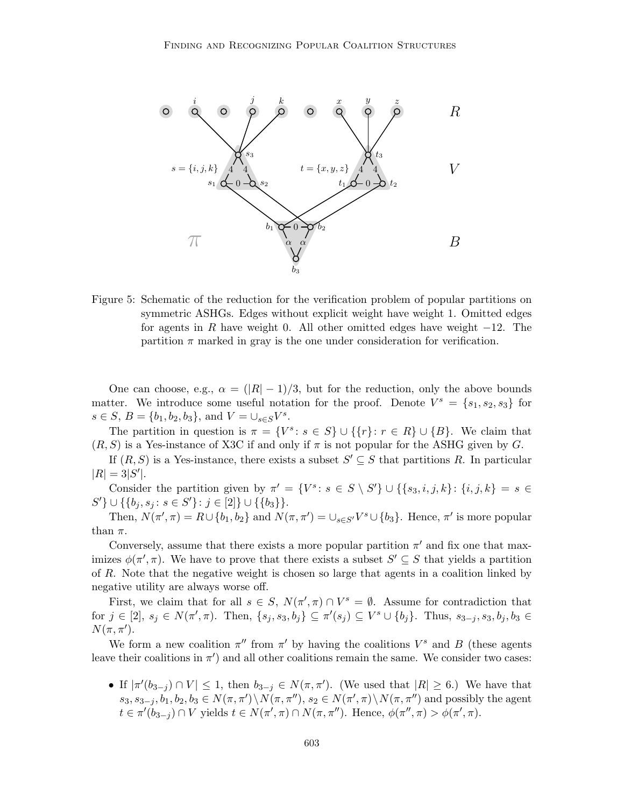

Figure 5: Schematic of the reduction for the verification problem of popular partitions on symmetric ASHGs. Edges without explicit weight have weight 1. Omitted edges for agents in R have weight 0. All other omitted edges have weight  $-12$ . The partition  $\pi$  marked in gray is the one under consideration for verification.

One can choose, e.g.,  $\alpha = (|R| - 1)/3$ , but for the reduction, only the above bounds matter. We introduce some useful notation for the proof. Denote  $V^s = \{s_1, s_2, s_3\}$  for  $s \in S, B = \{b_1, b_2, b_3\}, \text{ and } V = \bigcup_{s \in S} V^s.$ 

The partition in question is  $\pi = \{V^s : s \in S\} \cup \{\{r\} : r \in R\} \cup \{B\}$ . We claim that  $(R, S)$  is a Yes-instance of X3C if and only if  $\pi$  is not popular for the ASHG given by G.

If  $(R, S)$  is a Yes-instance, there exists a subset  $S' \subseteq S$  that partitions R. In particular  $|R| = 3|S'|.$ 

Consider the partition given by  $\pi' = \{V^s : s \in S \setminus S'\} \cup \{\{s_3, i, j, k\} : \{i, j, k\} = s \in S\}$  $S'$ }  $\cup$  {{b<sub>j</sub>, s<sub>j</sub>: s  $\in$  S'}: j  $\in$  [2]}  $\cup$  {{b<sub>3</sub>}}.

Then,  $N(\pi', \pi) = R \cup \{b_1, b_2\}$  and  $N(\pi, \pi') = \cup_{s \in S'} V^s \cup \{b_3\}$ . Hence,  $\pi'$  is more popular than  $\pi$ .

Conversely, assume that there exists a more popular partition  $\pi'$  and fix one that maximizes  $\phi(\pi', \pi)$ . We have to prove that there exists a subset  $S' \subseteq S$  that yields a partition of R. Note that the negative weight is chosen so large that agents in a coalition linked by negative utility are always worse off.

First, we claim that for all  $s \in S$ ,  $N(\pi', \pi) \cap V^s = \emptyset$ . Assume for contradiction that for  $j \in [2]$ ,  $s_j \in N(\pi', \pi)$ . Then,  $\{s_j, s_3, b_j\} \subseteq \pi'(s_j) \subseteq V^s \cup \{b_j\}$ . Thus,  $s_{3-j}, s_3, b_j, b_3 \in$  $N(\pi, \pi^{\prime}).$ 

We form a new coalition  $\pi''$  from  $\pi'$  by having the coalitions  $V^s$  and B (these agents leave their coalitions in  $\pi'$ ) and all other coalitions remain the same. We consider two cases:

• If  $|\pi'(b_{3-j}) \cap V| \leq 1$ , then  $b_{3-j} \in N(\pi, \pi')$ . (We used that  $|R| \geq 6$ .) We have that  $s_3, s_{3-j}, b_1, b_2, b_3 \in N(\pi, \pi') \setminus N(\pi, \pi'')$ ,  $s_2 \in N(\pi', \pi) \setminus N(\pi, \pi'')$  and possibly the agent  $t \in \pi'(\tilde{b}_{3-j}) \cap V$  yields  $t \in N(\pi', \pi) \cap N(\pi, \pi'')$ . Hence,  $\phi(\pi'', \pi) > \phi(\pi', \pi)$ .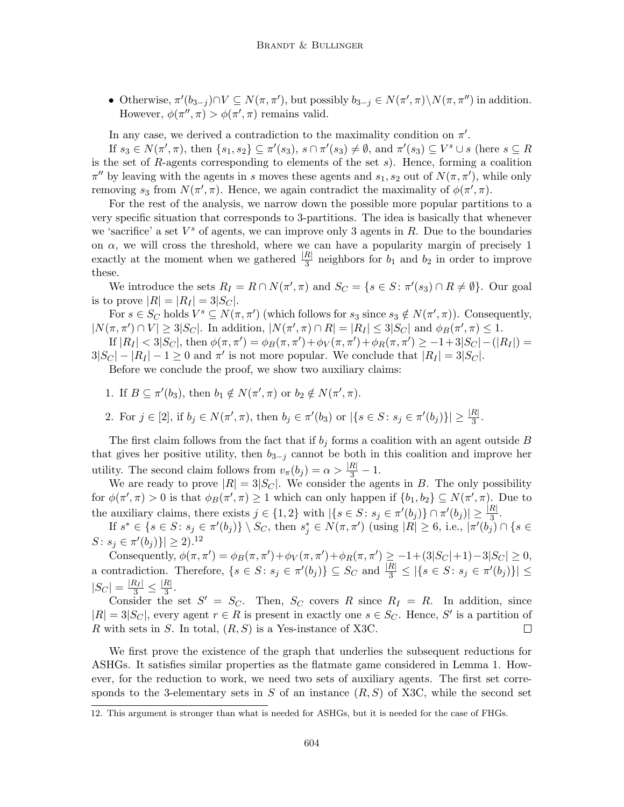• Otherwise,  $\pi'(b_{3-j}) \cap V \subseteq N(\pi, \pi')$ , but possibly  $b_{3-j} \in N(\pi', \pi) \backslash N(\pi, \pi'')$  in addition. However,  $\phi(\pi'', \pi) > \phi(\pi', \pi)$  remains valid.

In any case, we derived a contradiction to the maximality condition on  $\pi'$ .

If  $s_3 \in N(\pi', \pi)$ , then  $\{s_1, s_2\} \subseteq \pi'(s_3)$ ,  $s \cap \pi'(s_3) \neq \emptyset$ , and  $\pi'(s_3) \subseteq V^s \cup s$  (here  $s \subseteq R$ is the set of R-agents corresponding to elements of the set  $s$ ). Hence, forming a coalition  $\pi''$  by leaving with the agents in s moves these agents and  $s_1, s_2$  out of  $N(\pi, \pi')$ , while only removing  $s_3$  from  $N(\pi', \pi)$ . Hence, we again contradict the maximality of  $\phi(\pi', \pi)$ .

For the rest of the analysis, we narrow down the possible more popular partitions to a very specific situation that corresponds to 3-partitions. The idea is basically that whenever we 'sacrifice' a set  $V^s$  of agents, we can improve only 3 agents in  $R$ . Due to the boundaries on  $\alpha$ , we will cross the threshold, where we can have a popularity margin of precisely 1 exactly at the moment when we gathered  $\frac{|R|}{3}$  neighbors for  $b_1$  and  $b_2$  in order to improve these.

We introduce the sets  $R_I = R \cap N(\pi', \pi)$  and  $S_C = \{s \in S : \pi'(s_3) \cap R \neq \emptyset\}$ . Our goal is to prove  $|R| = |R_I| = 3|S_C|$ .

For  $s \in S_C$  holds  $V^s \subseteq N(\pi, \pi')$  (which follows for  $s_3$  since  $s_3 \notin N(\pi', \pi)$ ). Consequently,  $|N(\pi, \pi') \cap V| \geq 3|S_C|$ . In addition,  $|N(\pi', \pi) \cap R| = |R_I| \leq 3|S_C|$  and  $\phi_B(\pi', \pi) \leq 1$ .

If  $|R_I| < 3|S_C|$ , then  $\phi(\pi, \pi') = \phi_B(\pi, \pi') + \phi_V(\pi, \pi') + \phi_R(\pi, \pi') \ge -1 + 3|S_C| - (|R_I|) =$  $3|S_C| - |R_I| - 1 \ge 0$  and  $\pi'$  is not more popular. We conclude that  $|R_I| = 3|S_C|$ .

Before we conclude the proof, we show two auxiliary claims:

- 1. If  $B \subseteq \pi'(b_3)$ , then  $b_1 \notin N(\pi', \pi)$  or  $b_2 \notin N(\pi', \pi)$ .
- 2. For  $j \in [2]$ , if  $b_j \in N(\pi', \pi)$ , then  $b_j \in \pi'(b_3)$  or  $|\{s \in S : s_j \in \pi'(b_j)\}| \geq \frac{|R|}{3}$ .

The first claim follows from the fact that if  $b_j$  forms a coalition with an agent outside B that gives her positive utility, then  $b_{3-j}$  cannot be both in this coalition and improve her utility. The second claim follows from  $v_{\pi}(b_j) = \alpha > \frac{|R|}{3} - 1$ .

We are ready to prove  $|R| = 3|S_C|$ . We consider the agents in B. The only possibility for  $\phi(\pi', \pi) > 0$  is that  $\phi_B(\pi', \pi) \ge 1$  which can only happen if  $\{b_1, b_2\} \subseteq N(\pi', \pi)$ . Due to the auxiliary claims, there exists  $j \in \{1,2\}$  with  $|\{s \in S : s_j \in \pi'(b_j)\} \cap \pi'(b_j)| \geq \frac{|R|}{3}$ .

If  $s^* \in \{s \in S : s_j \in \pi'(b_j)\} \setminus S_C$ , then  $s_j^* \in N(\pi, \pi')$  (using  $|R| \geq 6$ , i.e.,  $|\pi'(b_j) \cap \{s \in S\}$  $S: s_j \in \pi'(b_j) \} \geq 2$ .<sup>12</sup>

Consequently,  $\phi(\pi, \pi') = \phi_B(\pi, \pi') + \phi_V(\pi, \pi') + \phi_R(\pi, \pi') \ge -1 + (3|S_C| + 1) - 3|S_C| \ge 0$ , a contradiction. Therefore,  $\{s \in S : s_j \in \pi'(b_j)\} \subseteq S_C$  and  $\frac{|R|}{3} \leq |\{s \in S : s_j \in \pi'(b_j)\}| \leq$  $|S_C| = \frac{|R_I|}{3} \leq \frac{|R|}{3}$  $rac{\pi_1}{3}$ .

Consider the set  $S' = S_C$ . Then,  $S_C$  covers R since  $R_I = R$ . In addition, since  $|R| = 3|S_C|$ , every agent  $r \in R$  is present in exactly one  $s \in S_C$ . Hence, S' is a partition of R with sets in S. In total,  $(R, S)$  is a Yes-instance of X3C.  $\Box$ 

We first prove the existence of the graph that underlies the subsequent reductions for ASHGs. It satisfies similar properties as the flatmate game considered in Lemma 1. However, for the reduction to work, we need two sets of auxiliary agents. The first set corresponds to the 3-elementary sets in S of an instance  $(R, S)$  of X3C, while the second set

<sup>12.</sup> This argument is stronger than what is needed for ASHGs, but it is needed for the case of FHGs.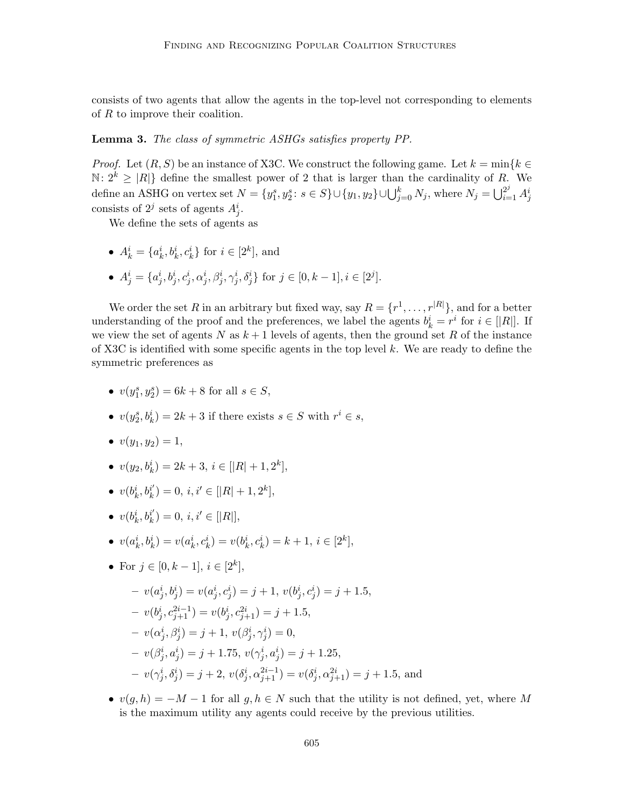consists of two agents that allow the agents in the top-level not corresponding to elements of R to improve their coalition.

## Lemma 3. The class of symmetric ASHGs satisfies property PP.

*Proof.* Let  $(R, S)$  be an instance of X3C. We construct the following game. Let  $k = \min\{k \in \mathbb{R}\}$  $\mathbb{N}: 2^k \geq |R|$  define the smallest power of 2 that is larger than the cardinality of R. We define an ASHG on vertex set  $N = \{y_1^s, y_2^s : s \in S\} \cup \{y_1, y_2\} \cup \bigcup_{j=0}^k N_j$ , where  $N_j = \bigcup_{i=1}^{2^j} A_j^i$ consists of  $2^j$  sets of agents  $A_j^i$ .

We define the sets of agents as

- $A_k^i = \{a_k^i, b_k^i, c_k^i\}$  for  $i \in [2^k]$ , and
- $A_j^i = \{a_j^i, b_j^i, c_j^i, \alpha_j^i, \beta_j^i, \gamma_j^i, \delta_j^i\}$  for  $j \in [0, k-1], i \in [2^j]$ .

We order the set R in an arbitrary but fixed way, say  $R = \{r^1, \ldots, r^{|R|}\},$  and for a better understanding of the proof and the preferences, we label the agents  $b_k^i = r^i$  for  $i \in [R]$ . If we view the set of agents N as  $k+1$  levels of agents, then the ground set R of the instance of X3C is identified with some specific agents in the top level k. We are ready to define the symmetric preferences as

- $v(y_1^s, y_2^s) = 6k + 8$  for all  $s \in S$ ,
- $v(y_2^s, b_k^i) = 2k + 3$  if there exists  $s \in S$  with  $r^i \in s$ ,
- $v(y_1, y_2) = 1$ ,
- $v(y_2, b_k^i) = 2k + 3, i \in [|R| + 1, 2^k],$
- $\bullet \;\; v(b_k^i,b_k^{i^\prime})$  $k_i^{i'} = 0, i, i' \in [|R|+1, 2^k],$
- $\bullet \;\; v(b_k^i,b_k^{i^\prime})$  $\binom{i'}{k} = 0, i, i' \in [|R|],$
- $v(a_k^i, b_k^i) = v(a_k^i, c_k^i) = v(b_k^i, c_k^i) = k + 1, i \in [2^k],$
- For  $j \in [0, k-1], i \in [2^k]$ ,

$$
- v(a_j^i, b_j^i) = v(a_j^i, c_j^i) = j + 1, v(b_j^i, c_j^i) = j + 1.5,
$$
  
\n
$$
- v(b_j^i, c_{j+1}^{2i-1}) = v(b_j^i, c_{j+1}^{2i}) = j + 1.5,
$$
  
\n
$$
- v(\alpha_j^i, \beta_j^i) = j + 1, v(\beta_j^i, \gamma_j^i) = 0,
$$
  
\n
$$
- v(\beta_j^i, a_j^i) = j + 1.75, v(\gamma_j^i, a_j^i) = j + 1.25,
$$
  
\n
$$
- v(\gamma_j^i, \delta_j^i) = j + 2, v(\delta_j^i, \alpha_{j+1}^{2i-1}) = v(\delta_j^i, \alpha_{j+1}^{2i}) = j + 1.5,
$$

•  $v(g, h) = -M - 1$  for all  $g, h \in N$  such that the utility is not defined, yet, where M is the maximum utility any agents could receive by the previous utilities.

and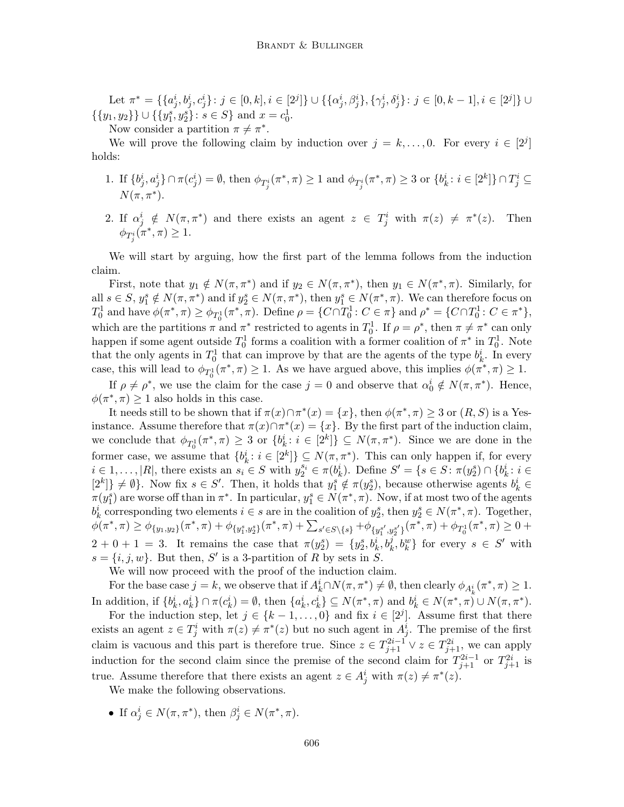Let  $\pi^* = \{\{a_j^i, b_j^i, c_j^i\} : j \in [0, k], i \in [2^j]\} \cup \{\{\alpha_j^i, \beta_j^i\}, \{\gamma_j^i, \delta_j^i\} : j \in [0, k-1], i \in [2^j]\} \cup$  $\{\{y_1, y_2\}\}\cup \{\{y_1^s, y_2^s\} : s \in S\}$  and  $x = c_0^1$ .

Now consider a partition  $\pi \neq \pi^*$ .

We will prove the following claim by induction over  $j = k, \ldots, 0$ . For every  $i \in [2^j]$ holds:

- 1. If  $\{b^i_j, a^i_j\} \cap \pi(c^i_j) = \emptyset$ , then  $\phi_{T^i_j}(\pi^*, \pi) \ge 1$  and  $\phi_{T^i_j}(\pi^*, \pi) \ge 3$  or  $\{b^i_k : i \in [2^k]\} \cap T^i_j \subseteq$  $N(\pi, \pi^*)$ .
- 2. If  $\alpha_j^i \notin N(\pi, \pi^*)$  and there exists an agent  $z \in T_j^i$  with  $\pi(z) \neq \pi^*$ (z). Then  $\phi_{T^i_j}(\pi^*, \pi) \geq 1.$

We will start by arguing, how the first part of the lemma follows from the induction claim.

First, note that  $y_1 \notin N(\pi, \pi^*)$  and if  $y_2 \in N(\pi, \pi^*)$ , then  $y_1 \in N(\pi^*, \pi)$ . Similarly, for all  $s \in S$ ,  $y_1^s \notin N(\pi, \pi^*)$  and if  $y_2^s \in N(\pi, \pi^*)$ , then  $y_1^s \in N(\pi^*, \pi)$ . We can therefore focus on  $T_0^1$  and have  $\phi(\pi^*, \pi) \ge \phi_{T_0^1}(\pi^*, \pi)$ . Define  $\rho = \{C \cap T_0^1 : C \in \pi\}$  and  $\rho^* = \{C \cap T_0^1 : C \in \pi^*\},$ which are the partitions  $\pi$  and  $\pi^*$  restricted to agents in  $T_0^1$ . If  $\rho = \rho^*$ , then  $\pi \neq \pi^*$  can only happen if some agent outside  $T_0^1$  forms a coalition with a former coalition of  $\pi^*$  in  $T_0^1$ . Note that the only agents in  $T_0^1$  that can improve by that are the agents of the type  $b_k^i$ . In every case, this will lead to  $\phi_{T_0^1}(\pi^*, \pi) \ge 1$ . As we have argued above, this implies  $\phi(\pi^*, \pi) \ge 1$ .

If  $\rho \neq \rho^*$ , we use the claim for the case  $j = 0$  and observe that  $\alpha_0^i \notin N(\pi, \pi^*)$ . Hence,  $\phi(\pi^*, \pi) \geq 1$  also holds in this case.

It needs still to be shown that if  $\pi(x) \cap \pi^*(x) = \{x\}$ , then  $\phi(\pi^*, \pi) \geq 3$  or  $(R, S)$  is a Yesinstance. Assume therefore that  $\pi(x) \cap \pi^*(x) = \{x\}$ . By the first part of the induction claim, we conclude that  $\phi_{T_0^1}(\pi^*, \pi) \geq 3$  or  $\{b_k^i : i \in [2^k]\} \subseteq N(\pi, \pi^*)$ . Since we are done in the former case, we assume that  $\{b_k^i : i \in [2^k]\} \subseteq N(\pi, \pi^*)$ . This can only happen if, for every  $i \in 1, \ldots, |R|$ , there exists an  $s_i \in S$  with  $y_2^{s_i} \in \pi(b_k^i)$ . Define  $S' = \{s \in S : \pi(y_2^s) \cap \{b_k^i : i \in S\}$  $[2^k] \neq \emptyset$ . Now fix  $s \in S'$ . Then, it holds that  $y_1^s \notin \pi(y_2^s)$ , because otherwise agents  $b_k^i \in$  $\pi(y_1^s)$  are worse off than in  $\pi^*$ . In particular,  $y_1^s \in N(\pi^*, \pi)$ . Now, if at most two of the agents  $b_k^i$  corresponding two elements  $i \in s$  are in the coalition of  $y_2^s$ , then  $y_2^s \in N(\pi^*, \pi)$ . Together,  $\phi(\pi^*, \pi) \geq \phi_{\{y_1, y_2\}}(\pi^*, \pi) + \phi_{\{y_1^s, y_2^s\}}(\pi^*, \pi) + \sum_{s' \in S \setminus \{s\}} + \phi_{\{y_1^{s'}, y_2^{s'}\}}(\pi^*, \pi) + \phi_{T_0^1}(\pi^*, \pi) \geq 0 +$  $2+0+1=3$ . It remains the case that  $\pi(y_2^s) = \{y_2^s, b_k^i, b_k^j, b_k^w\}$  for every  $s \in S'$  with  $s = \{i, j, w\}$ . But then, S' is a 3-partition of R by sets in S.

We will now proceed with the proof of the induction claim.

For the base case  $j = k$ , we observe that if  $A_k^i \cap N(\pi, \pi^*) \neq \emptyset$ , then clearly  $\phi_{A_k^i}(\pi^*, \pi) \geq 1$ . In addition, if  $\{b_k^i, a_k^i\} \cap \pi(c_k^i) = \emptyset$ , then  $\{a_k^i, c_k^i\} \subseteq N(\pi^*, \pi)$  and  $b_k^i \in N(\pi^*, \pi) \cup N(\pi, \pi^*)$ .

For the induction step, let  $j \in \{k-1,\ldots,0\}$  and fix  $i \in [2^j]$ . Assume first that there exists an agent  $z \in T_j^i$  with  $\pi(z) \neq \pi^*(z)$  but no such agent in  $A_j^i$ . The premise of the first claim is vacuous and this part is therefore true. Since  $z \in T_{j+1}^{2i-1} \vee z \in T_{j+1}^{2i}$ , we can apply induction for the second claim since the premise of the second claim for  $T_{j+1}^{2i-1}$  or  $T_{j+1}^{2i}$  is true. Assume therefore that there exists an agent  $z \in A_j^i$  with  $\pi(z) \neq \pi^*(z)$ .

We make the following observations.

• If  $\alpha_j^i \in N(\pi, \pi^*)$ , then  $\beta_j^i \in N(\pi^*, \pi)$ .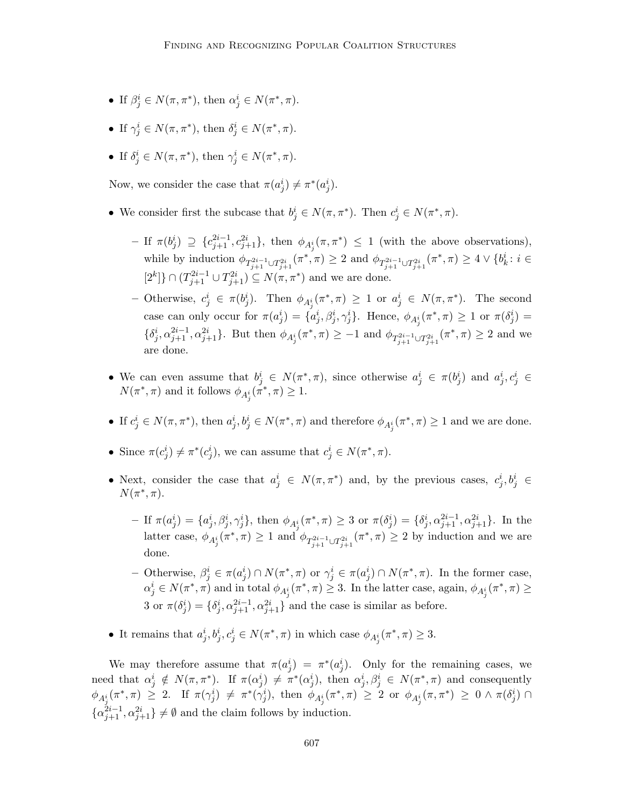- If  $\beta_j^i \in N(\pi, \pi^*)$ , then  $\alpha_j^i \in N(\pi^*, \pi)$ .
- If  $\gamma_j^i \in N(\pi, \pi^*)$ , then  $\delta_j^i \in N(\pi^*, \pi)$ .
- If  $\delta_j^i \in N(\pi, \pi^*)$ , then  $\gamma_j^i \in N(\pi^*, \pi)$ .

Now, we consider the case that  $\pi(a_j^i) \neq \pi^*(a_j^i)$ .

- We consider first the subcase that  $b_j^i \in N(\pi, \pi^*)$ . Then  $c_j^i \in N(\pi^*, \pi)$ .
	- $-$  If  $\pi(b_j^i) \supseteq \{c_{j+1}^{2i-1}, c_{j+1}^{2i}\},\$  then  $\phi_{A_j^i}(\pi, \pi^*) \leq 1$  (with the above observations), while by induction  $\phi_{T_{j+1}^{2i-1} \cup T_{j+1}^{2i}}(\pi^*, \pi) \geq 2$  and  $\phi_{T_{j+1}^{2i-1} \cup T_{j+1}^{2i}}(\pi^*, \pi) \geq 4 \vee \{b_k^i : i \in$  $[2<sup>k</sup>]$ } ∩  $(T_{j+1}^{2i-1} ∪ T_{j+1}^{2i}) ⊆ N(π, π<sup>*</sup>)$  and we are done.
	- − Otherwise,  $c_j^i$  ∈ π $(b_j^i)$ . Then  $\phi_{A_j^i}(\pi^*, \pi) \ge 1$  or  $a_j^i$  ∈  $N(\pi, \pi^*)$ . The second case can only occur for  $\pi(a_j^i) = \{\alpha_j^i, \beta_j^i, \gamma_j^i\}$ . Hence,  $\phi_{A_j^i}(\pi^*, \pi) \geq 1$  or  $\pi(\delta_j^i) =$  $\{\delta^i_j, \alpha^{2i-1}_{j+1}, \alpha^{2i}_{j+1}\}$ . But then  $\phi_{A^i_j}(\pi^*, \pi) \ge -1$  and  $\phi_{T^{2i-1}_{j+1}\cup T^{2i}_{j+1}}(\pi^*, \pi) \ge 2$  and we are done.
- We can even assume that  $b_j^i \in N(\pi^*, \pi)$ , since otherwise  $a_j^i \in \pi(b_j^i)$  and  $a_j^i, c_j^i \in$  $N(\pi^*, \pi)$  and it follows  $\phi_{A_j^i}(\pi^*, \pi) \geq 1$ .
- If  $c_j^i \in N(\pi, \pi^*)$ , then  $a_j^i, b_j^i \in N(\pi^*, \pi)$  and therefore  $\phi_{A_j^i}(\pi^*, \pi) \geq 1$  and we are done.
- Since  $\pi(c_j^i) \neq \pi^*(c_j^i)$ , we can assume that  $c_j^i \in N(\pi^*, \pi)$ .
- Next, consider the case that  $a_j^i \in N(\pi, \pi^*)$  and, by the previous cases,  $c_j^i, b_j^i \in$  $N(\pi^*, \pi)$ .
	- $-$  If  $\pi(a_j^i) = \{a_j^i, \beta_j^i, \gamma_j^i\}$ , then  $\phi_{A_j^i}(\pi^*, \pi) \geq 3$  or  $\pi(\delta_j^i) = \{\delta_j^i, \alpha_{j+1}^{2i-1}, \alpha_{j+1}^{2i}\}$ . In the latter case,  $\phi_{A_j^i}(\pi^*, \pi) \geq 1$  and  $\phi_{T_{j+1}^{2i-1} \cup T_{j+1}^{2i}}(\pi^*, \pi) \geq 2$  by induction and we are done.
	- Otherwise,  $β_j^i ∈ π(a_j^i) ∩ N(π^*, π)$  or  $γ_j^i ∈ π(a_j^i) ∩ N(π^*, π)$ . In the former case,  $\alpha_j^i \in N(\pi^*, \pi)$  and in total  $\phi_{A_j^i}(\pi^*, \pi) \geq 3$ . In the latter case, again,  $\phi_{A_j^i}(\pi^*, \pi) \geq 3$ 3 or  $\pi(\delta_j^i) = \{\delta_j^i, \alpha_{j+1}^{2i-1}, \alpha_{j+1}^{2i}\}\$  and the case is similar as before.
- It remains that  $a_j^i, b_j^i, c_j^i \in N(\pi^*, \pi)$  in which case  $\phi_{A_j^i}(\pi^*, \pi) \geq 3$ .

We may therefore assume that  $\pi(a_j^i) = \pi^*(a_j^i)$ . Only for the remaining cases, we need that  $\alpha_j^i \notin N(\pi, \pi^*)$ . If  $\pi(\alpha_j^i) \neq \pi^*(\alpha_j^i)$ , then  $\alpha_j^i, \beta_j^i \in N(\pi^*, \pi)$  and consequently  $\phi_{A_j^i}(\pi^*, \pi) \geq 2$ . If  $\pi(\gamma_j^i) \neq \pi^*(\gamma_j^i)$ , then  $\phi_{A_j^i}(\pi^*, \pi) \geq 2$  or  $\phi_{A_j^i}(\pi, \pi^*) \geq 0 \wedge \pi(\delta_j^i) \cap$  $\{\alpha_{j+1}^{2i-1}, \alpha_{j+1}^{2i}\}\neq \emptyset$  and the claim follows by induction.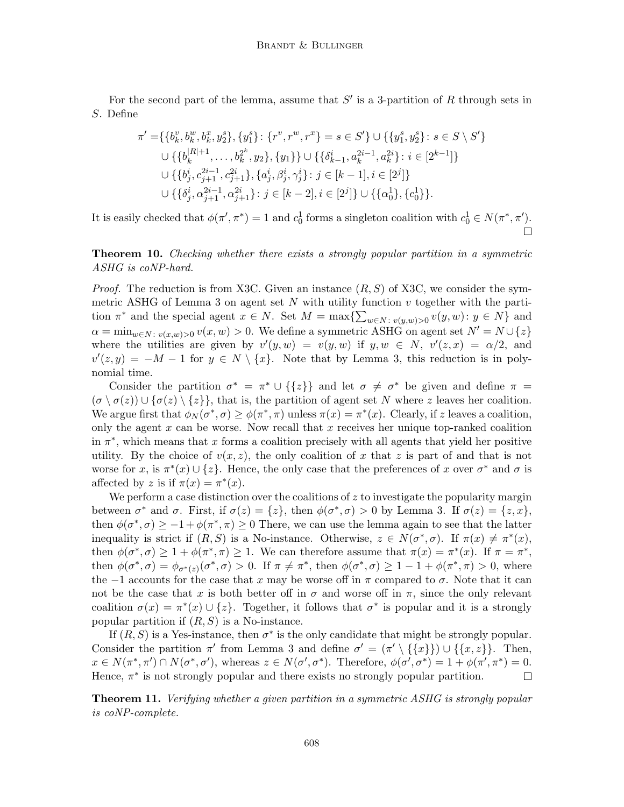For the second part of the lemma, assume that  $S'$  is a 3-partition of R through sets in S. Define

$$
\pi' = \{ \{b_k^v, b_k^w, b_k^x, y_2^s\}, \{y_1^s\} \colon \{r^v, r^w, r^x\} = s \in S' \} \cup \{ \{y_1^s, y_2^s\} \colon s \in S \setminus S' \}
$$
  
\n
$$
\cup \{ \{b_k^{|R|+1}, \dots, b_k^{2^k}, y_2\}, \{y_1\} \} \cup \{ \{\delta_{k-1}^i, a_k^{2i-1}, a_k^{2i}\} \colon i \in [2^{k-1}] \}
$$
  
\n
$$
\cup \{ \{b_j^i, c_{j+1}^{2i-1}, c_{j+1}^{2i}\}, \{a_j^i, \beta_j^i, \gamma_j^i\} \colon j \in [k-1], i \in [2^j] \}
$$
  
\n
$$
\cup \{ \{\delta_j^i, \alpha_{j+1}^{2i-1}, \alpha_{j+1}^{2i}\} \colon j \in [k-2], i \in [2^j] \} \cup \{ \{\alpha_0^1\}, \{c_0^1\} \}.
$$

It is easily checked that  $\phi(\pi', \pi^*) = 1$  and  $c_0^1$  forms a singleton coalition with  $c_0^1 \in N(\pi^*, \pi').$ 

Theorem 10. Checking whether there exists a strongly popular partition in a symmetric ASHG is coNP-hard.

*Proof.* The reduction is from X3C. Given an instance  $(R, S)$  of X3C, we consider the symmetric ASHG of Lemma 3 on agent set  $N$  with utility function  $v$  together with the partition  $\pi^*$  and the special agent  $x \in N$ . Set  $M = \max\{\sum_{w \in N : v(y,w) > 0} v(y,w) : y \in N\}$  and  $\alpha = \min_{w \in N : v(x,w) > 0} v(x,w) > 0.$  We define a symmetric ASHG on agent set  $N' = N \cup \{z\}$ where the utilities are given by  $v'(y, w) = v(y, w)$  if  $y, w \in N$ ,  $v'(z, x) = \alpha/2$ , and  $v'(z, y) = -M - 1$  for  $y \in N \setminus \{x\}$ . Note that by Lemma 3, this reduction is in polynomial time.

Consider the partition  $\sigma^* = \pi^* \cup \{\{z\}\}\$ and let  $\sigma \neq \sigma^*$  be given and define  $\pi =$  $(\sigma \setminus \sigma(z)) \cup {\sigma(z)} \setminus {\z}$ , that is, the partition of agent set N where z leaves her coalition. We argue first that  $\phi_N(\sigma^*, \sigma) \ge \phi(\pi^*, \pi)$  unless  $\pi(x) = \pi^*(x)$ . Clearly, if z leaves a coalition, only the agent  $x$  can be worse. Now recall that  $x$  receives her unique top-ranked coalition in  $\pi^*$ , which means that x forms a coalition precisely with all agents that yield her positive utility. By the choice of  $v(x, z)$ , the only coalition of x that z is part of and that is not worse for x, is  $\pi^*(x) \cup \{z\}$ . Hence, the only case that the preferences of x over  $\sigma^*$  and  $\sigma$  is affected by z is if  $\pi(x) = \pi^*(x)$ .

We perform a case distinction over the coalitions of  $z$  to investigate the popularity margin between  $\sigma^*$  and  $\sigma$ . First, if  $\sigma(z) = \{z\}$ , then  $\phi(\sigma^*, \sigma) > 0$  by Lemma 3. If  $\sigma(z) = \{z, x\}$ , then  $\phi(\sigma^*, \sigma) \geq -1 + \phi(\pi^*, \pi) \geq 0$  There, we can use the lemma again to see that the latter inequality is strict if  $(R, S)$  is a No-instance. Otherwise,  $z \in N(\sigma^*, \sigma)$ . If  $\pi(x) \neq \pi^*(x)$ , then  $\phi(\sigma^*, \sigma) \geq 1 + \phi(\pi^*, \pi) \geq 1$ . We can therefore assume that  $\pi(x) = \pi^*(x)$ . If  $\pi = \pi^*$ , then  $\phi(\sigma^*, \sigma) = \phi_{\sigma^*(z)}(\sigma^*, \sigma) > 0$ . If  $\pi \neq \pi^*$ , then  $\phi(\sigma^*, \sigma) \geq 1 - 1 + \phi(\pi^*, \pi) > 0$ , where the  $-1$  accounts for the case that x may be worse off in  $\pi$  compared to  $\sigma$ . Note that it can not be the case that x is both better off in  $\sigma$  and worse off in  $\pi$ , since the only relevant coalition  $\sigma(x) = \pi^*(x) \cup \{z\}$ . Together, it follows that  $\sigma^*$  is popular and it is a strongly popular partition if  $(R, S)$  is a No-instance.

If  $(R, S)$  is a Yes-instance, then  $\sigma^*$  is the only candidate that might be strongly popular. Consider the partition  $\pi'$  from Lemma 3 and define  $\sigma' = (\pi' \setminus \{\{x\}\}) \cup \{\{x, z\}\}\.$  Then,  $x \in N(\pi^*, \pi') \cap N(\sigma^*, \sigma')$ , whereas  $z \in N(\sigma', \sigma^*)$ . Therefore,  $\phi(\sigma', \sigma^*) = 1 + \phi(\pi', \pi^*) = 0$ . Hence,  $\pi^*$  is not strongly popular and there exists no strongly popular partition.  $\Box$ 

Theorem 11. Verifying whether a given partition in a symmetric ASHG is strongly popular is coNP-complete.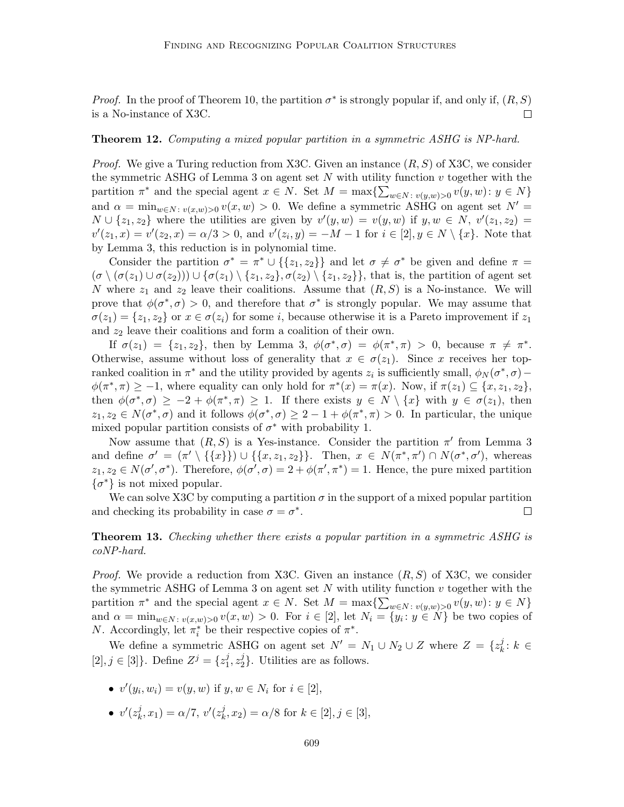*Proof.* In the proof of Theorem 10, the partition  $\sigma^*$  is strongly popular if, and only if,  $(R, S)$  $\Box$ is a No-instance of X3C.

#### Theorem 12. Computing a mixed popular partition in a symmetric ASHG is NP-hard.

*Proof.* We give a Turing reduction from X3C. Given an instance  $(R, S)$  of X3C, we consider the symmetric ASHG of Lemma 3 on agent set  $N$  with utility function  $v$  together with the partition  $\pi^*$  and the special agent  $x \in N$ . Set  $M = \max\{\sum_{w \in N : v(y,w) > 0} v(y,w) : y \in N\}$ and  $\alpha = \min_{w \in N: v(x,w) > 0} v(x,w) > 0$ . We define a symmetric ASHG on agent set  $N' =$  $N \cup \{z_1, z_2\}$  where the utilities are given by  $v'(y, w) = v(y, w)$  if  $y, w \in N$ ,  $v'(z_1, z_2) =$  $v'(z_1, x) = v'(z_2, x) = \alpha/3 > 0$ , and  $v'(z_i, y) = -M - 1$  for  $i \in [2], y \in N \setminus \{x\}$ . Note that by Lemma 3, this reduction is in polynomial time.

Consider the partition  $\sigma^* = \pi^* \cup \{\{z_1, z_2\}\}\$ and let  $\sigma \neq \sigma^*$  be given and define  $\pi =$  $(\sigma \setminus (\sigma(z_1) \cup \sigma(z_2))) \cup \{\sigma(z_1) \setminus \{z_1, z_2\}, \sigma(z_2) \setminus \{z_1, z_2\}\}\$ , that is, the partition of agent set N where  $z_1$  and  $z_2$  leave their coalitions. Assume that  $(R, S)$  is a No-instance. We will prove that  $\phi(\sigma^*, \sigma) > 0$ , and therefore that  $\sigma^*$  is strongly popular. We may assume that  $\sigma(z_1) = \{z_1, z_2\}$  or  $x \in \sigma(z_i)$  for some i, because otherwise it is a Pareto improvement if  $z_1$ and  $z_2$  leave their coalitions and form a coalition of their own.

If  $\sigma(z_1) = \{z_1, z_2\}$ , then by Lemma 3,  $\phi(\sigma^*, \sigma) = \phi(\pi^*, \pi) > 0$ , because  $\pi \neq \pi^*$ . Otherwise, assume without loss of generality that  $x \in \sigma(z_1)$ . Since x receives her topranked coalition in  $\pi^*$  and the utility provided by agents  $z_i$  is sufficiently small,  $\phi_N(\sigma^*, \sigma)$  –  $\phi(\pi^*, \pi) \geq -1$ , where equality can only hold for  $\pi^*(x) = \pi(x)$ . Now, if  $\pi(z_1) \subseteq \{x, z_1, z_2\}$ , then  $\phi(\sigma^*, \sigma) \geq -2 + \phi(\pi^*, \pi) \geq 1$ . If there exists  $y \in N \setminus \{x\}$  with  $y \in \sigma(z_1)$ , then  $z_1, z_2 \in N(\sigma^*, \sigma)$  and it follows  $\phi(\sigma^*, \sigma) \geq 2 - 1 + \phi(\pi^*, \pi) > 0$ . In particular, the unique mixed popular partition consists of  $\sigma^*$  with probability 1.

Now assume that  $(R, S)$  is a Yes-instance. Consider the partition  $\pi'$  from Lemma 3 and define  $\sigma' = (\pi' \setminus \{\{x\}\}) \cup \{\{x, z_1, z_2\}\}\$ . Then,  $x \in N(\pi^*, \pi') \cap N(\sigma^*, \sigma')$ , whereas  $z_1, z_2 \in N(\sigma', \sigma^*)$ . Therefore,  $\phi(\sigma', \sigma) = 2 + \phi(\pi', \pi^*) = 1$ . Hence, the pure mixed partition  $\{\sigma^*\}\$ is not mixed popular.

We can solve X3C by computing a partition  $\sigma$  in the support of a mixed popular partition and checking its probability in case  $\sigma = \sigma^*$ .  $\Box$ 

## **Theorem 13.** Checking whether there exists a popular partition in a symmetric ASHG is coNP-hard.

*Proof.* We provide a reduction from X3C. Given an instance  $(R, S)$  of X3C, we consider the symmetric ASHG of Lemma 3 on agent set  $N$  with utility function  $v$  together with the partition  $\pi^*$  and the special agent  $x \in N$ . Set  $M = \max\{\sum_{w \in N : v(y,w) > 0} v(y,w) : y \in N\}$ and  $\alpha = \min_{w \in N: v(x,w) > 0} v(x,w) > 0$ . For  $i \in [2]$ , let  $N_i = \{y_i : y \in N\}$  be two copies of *N*. Accordingly, let  $\pi_i^*$  be their respective copies of  $\pi^*$ .

We define a symmetric ASHG on agent set  $N' = N_1 \cup N_2 \cup Z$  where  $Z = \{z_k^j\}$  $k^j: k \in$  $[2], j \in [3]$ . Define  $Z^{j} = \{z_1^{j}\}$  $\frac{j}{1}, z_2^j$  $2<sup>2</sup>$ . Utilities are as follows.

- $v'(y_i, w_i) = v(y, w)$  if  $y, w \in N_i$  for  $i \in [2]$ ,
- $\bullet \;\; v'(z^j_k)$  $(k, x_1) = \alpha/7, v'(z_k^j)$  $(k, x_2) = \alpha/8$  for  $k \in [2], j \in [3],$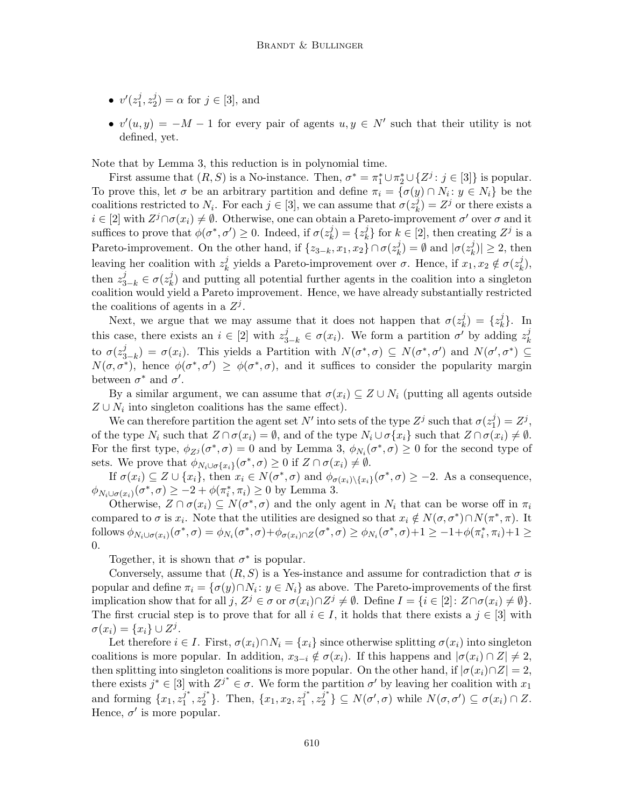- $\bullet \;\; v'(z_1^j)$  $\frac{j}{1}, z_2^j$  $2^j_2$  =  $\alpha$  for  $j \in [3]$ , and
- $v'(u, y) = -M 1$  for every pair of agents  $u, y \in N'$  such that their utility is not defined, yet.

Note that by Lemma 3, this reduction is in polynomial time.

First assume that  $(R, S)$  is a No-instance. Then,  $\sigma^* = \pi_1^* \cup \pi_2^* \cup \{Z^j : j \in [3]\}$  is popular. To prove this, let  $\sigma$  be an arbitrary partition and define  $\pi_i = {\{\sigma(y) \cap N_i : y \in N_i\}}$  be the coalitions restricted to  $N_i$ . For each  $j \in [3]$ , we can assume that  $\sigma(z_k^j)$  $(k)$  =  $Z^j$  or there exists a  $i \in [2]$  with  $Z^j \cap \sigma(x_i) \neq \emptyset$ . Otherwise, one can obtain a Pareto-improvement  $\sigma'$  over  $\sigma$  and it suffices to prove that  $\phi(\sigma^*, \sigma') \geq 0$ . Indeed, if  $\sigma(z)$  $\binom{j}{k} = \{z_k^j\}$  $\{e^{j}\}\}$  for  $k \in [2]$ , then creating  $Z^{j}$  is a Pareto-improvement. On the other hand, if  $\{z_{3-k}, x_1, x_2\} \cap \sigma(z_k^j)$  $\binom{j}{k} = \emptyset$  and  $|\sigma(z_k^j)|$  $|k^j_k\rangle \geq 2$ , then leaving her coalition with  $z_k^j$  $\chi_k^j$  yields a Pareto-improvement over  $\sigma$ . Hence, if  $x_1, x_2 \notin \sigma(z_k^j)$  $_{k}^{j}),$ then  $z_{3-k}^j \in \sigma(z_k^j)$  $\lambda_k^j$  and putting all potential further agents in the coalition into a singleton coalition would yield a Pareto improvement. Hence, we have already substantially restricted the coalitions of agents in a  $Z<sup>j</sup>$ .

Next, we argue that we may assume that it does not happen that  $\sigma(z_k^j)$  $\binom{j}{k} = \{z_k^j\}$  $\{k\}$ . In this case, there exists an  $i \in [2]$  with  $z_{3-k}^j \in \sigma(x_i)$ . We form a partition  $\sigma'$  by adding  $z_k^j$ k to  $\sigma(z_{3}^{j}% )\equiv\sum_{j=1}^{N}z_{j}^{j}z_{j}^{j}$  $\sigma(x_i) = \sigma(x_i)$ . This yields a Partition with  $N(\sigma^*, \sigma) \subseteq N(\sigma^*, \sigma')$  and  $N(\sigma', \sigma^*) \subseteq$  $N(\sigma, \sigma^*)$ , hence  $\phi(\sigma^*, \sigma') \geq \phi(\sigma^*, \sigma)$ , and it suffices to consider the popularity margin between  $\sigma^*$  and  $\sigma'$ .

By a similar argument, we can assume that  $\sigma(x_i) \subseteq Z \cup N_i$  (putting all agents outside  $Z \cup N_i$  into singleton coalitions has the same effect).

We can therefore partition the agent set N' into sets of the type  $Z^j$  such that  $\sigma(z_1^j)$  $j_1^j) = Z^j,$ of the type  $N_i$  such that  $Z \cap \sigma(x_i) = \emptyset$ , and of the type  $N_i \cup \sigma\{x_i\}$  such that  $Z \cap \sigma(x_i) \neq \emptyset$ . For the first type,  $\phi_{Z_i}(\sigma^*, \sigma) = 0$  and by Lemma 3,  $\phi_{N_i}(\sigma^*, \sigma) \ge 0$  for the second type of sets. We prove that  $\phi_{N_i \cup \sigma\{x_i\}}(\sigma^*, \sigma) \geq 0$  if  $Z \cap \sigma(x_i) \neq \emptyset$ .

If  $\sigma(x_i) \subseteq Z \cup \{x_i\}$ , then  $x_i \in N(\sigma^*, \sigma)$  and  $\phi_{\sigma(x_i)\setminus\{x_i\}}(\sigma^*, \sigma) \ge -2$ . As a consequence,  $\phi_{N_i \cup \sigma(x_i)}(\sigma^*, \sigma) \geq -2 + \phi(\pi_i^*, \pi_i) \geq 0$  by Lemma 3.

Otherwise,  $Z \cap \sigma(x_i) \subseteq N(\sigma^*, \sigma)$  and the only agent in  $N_i$  that can be worse off in  $\pi_i$ compared to  $\sigma$  is  $x_i$ . Note that the utilities are designed so that  $x_i \notin N(\sigma, \sigma^*) \cap N(\pi^*, \pi)$ . It follows  $\phi_{N_i \cup \sigma(x_i)}(\sigma^*, \sigma) = \phi_{N_i}(\sigma^*, \sigma) + \phi_{\sigma(x_i) \cap Z}(\sigma^*, \sigma) \ge \phi_{N_i}(\sigma^*, \sigma) + 1 \ge -1 + \phi(\pi_i^*, \pi_i) + 1 \ge$ 0.

Together, it is shown that  $\sigma^*$  is popular.

Conversely, assume that  $(R, S)$  is a Yes-instance and assume for contradiction that  $\sigma$  is popular and define  $\pi_i = {\{\sigma(y) \cap N_i : y \in N_i\}}$  as above. The Pareto-improvements of the first implication show that for all  $j, Z^j \in \sigma$  or  $\sigma(x_i) \cap Z^j \neq \emptyset$ . Define  $I = \{i \in [2] \colon Z \cap \sigma(x_i) \neq \emptyset\}$ . The first crucial step is to prove that for all  $i \in I$ , it holds that there exists a  $j \in [3]$  with  $\sigma(x_i) = \{x_i\} \cup Z^j.$ 

Let therefore  $i \in I$ . First,  $\sigma(x_i) \cap N_i = \{x_i\}$  since otherwise splitting  $\sigma(x_i)$  into singleton coalitions is more popular. In addition,  $x_{3-i} \notin \sigma(x_i)$ . If this happens and  $|\sigma(x_i) \cap Z| \neq 2$ , then splitting into singleton coalitions is more popular. On the other hand, if  $|\sigma(x_i) \cap Z| = 2$ , there exists  $j^* \in [3]$  with  $Z^{j^*} \in \sigma$ . We form the partition  $\sigma'$  by leaving her coalition with  $x_1$ and forming  $\{x_1, z_1^{j^*}\}$  $j^*, z_2^{j^*}$  $j^*$ }. Then, { $x_1, x_2, z_1^{j^*}$  $\frac{j^*}{1}, z_2^{\overline{j}^*}$  $\{\phi_2^{j^*}\}\subseteq N(\sigma',\sigma)$  while  $N(\sigma,\sigma')\subseteq \sigma(x_i)\cap Z$ . Hence,  $\sigma'$  is more popular.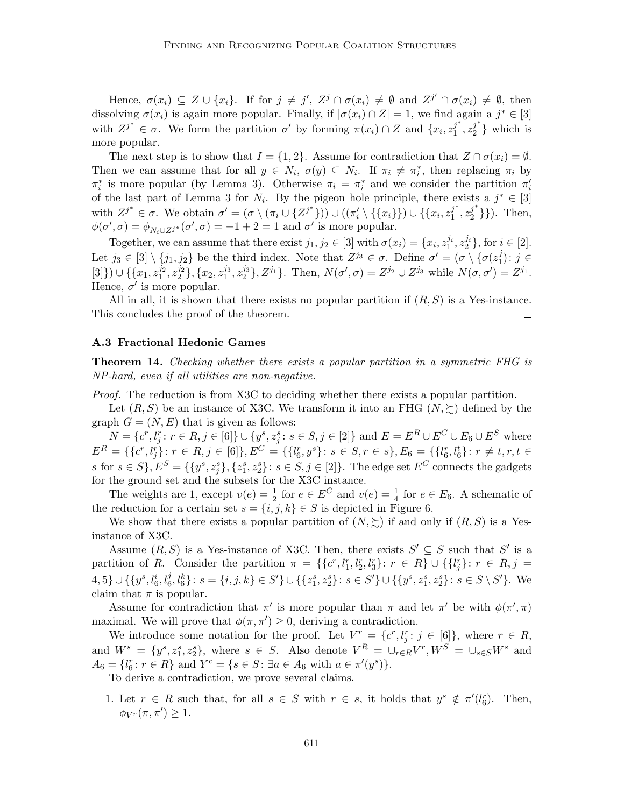Hence,  $\sigma(x_i) \subseteq Z \cup \{x_i\}$ . If for  $j \neq j'$ ,  $Z^j \cap \sigma(x_i) \neq \emptyset$  and  $Z^{j'} \cap \sigma(x_i) \neq \emptyset$ , then dissolving  $\sigma(x_i)$  is again more popular. Finally, if  $|\sigma(x_i) \cap Z| = 1$ , we find again a  $j^* \in [3]$ with  $Z^{j^*} \in \sigma$ . We form the partition  $\sigma'$  by forming  $\pi(x_i) \cap Z$  and  $\{x_i, z_1^{j^*}\}$  $j^*, z_2^{j^*}$  $2^{j}$  which is more popular.

The next step is to show that  $I = \{1, 2\}$ . Assume for contradiction that  $Z \cap \sigma(x_i) = \emptyset$ . Then we can assume that for all  $y \in N_i$ ,  $\sigma(y) \subseteq N_i$ . If  $\pi_i \neq \pi_i^*$ , then replacing  $\pi_i$  by  $\pi_i^*$  is more popular (by Lemma 3). Otherwise  $\pi_i = \pi_i^*$  and we consider the partition  $\pi_i'$ of the last part of Lemma 3 for  $N_i$ . By the pigeon hole principle, there exists a  $j^* \in [3]$ with  $Z^{j^*} \in \sigma$ . We obtain  $\sigma' = (\sigma \setminus (\pi_i \cup \{Z^{j^*}\})) \cup ((\pi'_i \setminus \{\{x_i\}\}) \cup \{\{x_i, z_1^{j^*}\})$  $j^*, z_2^{j^*}$  $\{2^r\}\}\$ . Then,  $\phi(\sigma', \sigma) = \phi_{N_i \cup Z^{j^*}}(\sigma', \sigma) = -1 + 2 = 1$  and  $\sigma'$  is more popular.

Together, we can assume that there exist  $j_1, j_2 \in [3]$  with  $\sigma(x_i) = \{x_i, z_1^{j_i}, z_2^{j_i}\}\,$  for  $i \in [2]$ . Let  $j_3 \in [3] \setminus \{j_1, j_2\}$  be the third index. Note that  $Z^{j_3} \in \sigma$ . Define  $\sigma' = (\sigma \setminus {\sigma(z_1^j)}')$  $j_1^j$ ):  $j \in$  $[3]\}\cup\{\{x_1,z_1^{j_2},z_2^{j_2}\},\{x_2,z_1^{j_3},z_2^{j_3}\},Z^{j_1}\}.$  Then,  $N(\sigma',\sigma)=Z^{j_2}\cup Z^{j_3}$  while  $N(\sigma,\sigma')=Z^{j_1}$ . Hence,  $\sigma'$  is more popular.

All in all, it is shown that there exists no popular partition if  $(R, S)$  is a Yes-instance. This concludes the proof of the theorem.  $\Box$ 

#### A.3 Fractional Hedonic Games

**Theorem 14.** Checking whether there exists a popular partition in a symmetric FHG is NP-hard, even if all utilities are non-negative.

Proof. The reduction is from X3C to deciding whether there exists a popular partition.

Let  $(R, S)$  be an instance of X3C. We transform it into an FHG  $(N, \geq)$  defined by the graph  $G = (N, E)$  that is given as follows:

 $N = \{c^r, l_j^r : r \in R, j \in [6]\} \cup \{y^s, z_j^s : s \in S, j \in [2]\}$  and  $E = E^R \cup E^C \cup E_6 \cup E^S$  where  $E^R = \{\{c^r, l^r_j\} \colon r \in R, j \in [6]\}, E^C = \{\{l^r_6, y^s\} \colon s \in S, r \in s\}, E_6 = \{\{l^r_6, l^t_6\} \colon r \neq t, r, t \in S\}$ s for  $s \in S$ ,  $E^S = \{\{y^s, z_j^s\}, \{z_1^s, z_2^s\} : s \in S, j \in [2]\}$ . The edge set  $E^C$  connects the gadgets for the ground set and the subsets for the X3C instance.

The weights are 1, except  $v(e) = \frac{1}{2}$  for  $e \in E^C$  and  $v(e) = \frac{1}{4}$  for  $e \in E_6$ . A schematic of the reduction for a certain set  $s = \{i, j, k\} \in S$  is depicted in Figure 6.

We show that there exists a popular partition of  $(N, \geq)$  if and only if  $(R, S)$  is a Yesinstance of X3C.

Assume  $(R, S)$  is a Yes-instance of X3C. Then, there exists  $S' \subseteq S$  such that  $S'$  is a partition of R. Consider the partition  $\pi = \{\{c^r, l_1^r, l_2^r, l_3^r\}: r \in R\} \cup \{\{l_j^r\}: r \in R, j =$  $\{4, 5\} \cup \{\{y^s, l_6^i, l_6^j, l_6^k\} : s = \{i, j, k\} \in S'\} \cup \{\{z_1^s, z_2^s\} : s \in S'\} \cup \{\{y^s, z_1^s, z_2^s\} : s \in S \setminus S'\}.$  We claim that  $\pi$  is popular.

Assume for contradiction that  $\pi'$  is more popular than  $\pi$  and let  $\pi'$  be with  $\phi(\pi', \pi)$ maximal. We will prove that  $\phi(\pi, \pi') \geq 0$ , deriving a contradiction.

We introduce some notation for the proof. Let  $V^r = \{c^r, l_j^r : j \in [6]\}$ , where  $r \in R$ , and  $W^s = \{y^s, z_1^s, z_2^s\}$ , where  $s \in S$ . Also denote  $V^R = \cup_{r \in R} V^r$ ,  $W^S = \cup_{s \in S} W^s$  and  $A_6 = \{l_6^r : r \in R\}$  and  $Y^c = \{s \in S : \exists a \in A_6 \text{ with } a \in \pi'(y^s)\}.$ 

To derive a contradiction, we prove several claims.

1. Let  $r \in R$  such that, for all  $s \in S$  with  $r \in s$ , it holds that  $y^s \notin \pi'(l_6^r)$ . Then,  $\phi_{V^r}(\pi, \pi') \geq 1.$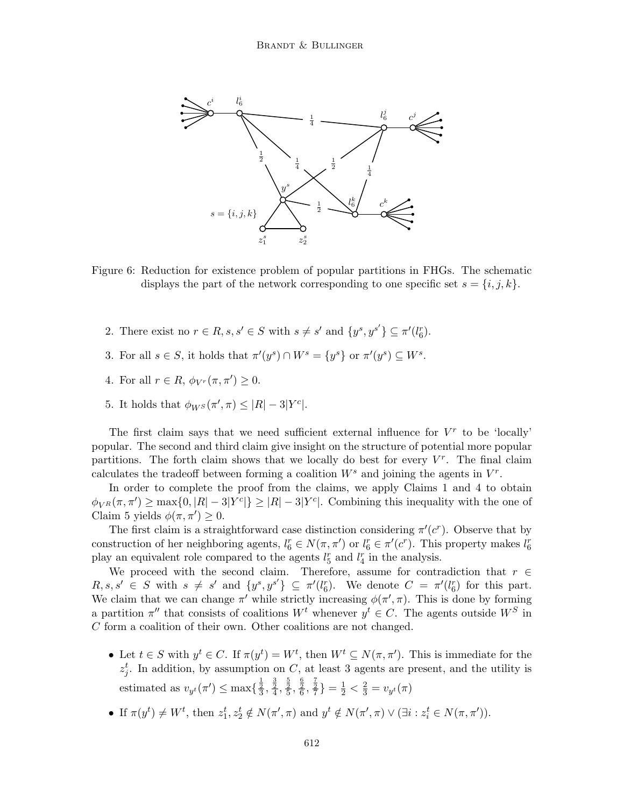

Figure 6: Reduction for existence problem of popular partitions in FHGs. The schematic displays the part of the network corresponding to one specific set  $s = \{i, j, k\}.$ 

- 2. There exist no  $r \in R$ ,  $s, s' \in S$  with  $s \neq s'$  and  $\{y^s, y^{s'}\} \subseteq \pi'(l_6^r)$ .
- 3. For all  $s \in S$ , it holds that  $\pi'(y^s) \cap W^s = \{y^s\}$  or  $\pi'(y^s) \subseteq W^s$ .
- 4. For all  $r \in R$ ,  $\phi_{V^r}(\pi, \pi') \geq 0$ .
- 5. It holds that  $\phi_{W^S}(\pi', \pi) \leq |R| 3|Y^c|$ .

The first claim says that we need sufficient external influence for  $V^r$  to be 'locally' popular. The second and third claim give insight on the structure of potential more popular partitions. The forth claim shows that we locally do best for every  $V^r$ . The final claim calculates the tradeoff between forming a coalition  $W^s$  and joining the agents in  $V^r$ .

In order to complete the proof from the claims, we apply Claims 1 and 4 to obtain  $\phi_{V^R}(\pi, \pi') \ge \max\{0, |R| - 3|Y^c|\} \ge |R| - 3|Y^c|$ . Combining this inequality with the one of Claim 5 yields  $\phi(\pi, \pi') \geq 0$ .

The first claim is a straightforward case distinction considering  $\pi'(c^r)$ . Observe that by construction of her neighboring agents,  $l_6^r \in N(\pi, \pi')$  or  $l_6^r \in \pi'(c^r)$ . This property makes  $l_6^r$ play an equivalent role compared to the agents  $l_5^r$  and  $l_4^r$  in the analysis.

We proceed with the second claim. Therefore, assume for contradiction that  $r \in$  $R, s, s' \in S$  with  $s \neq s'$  and  $\{y^s, y^{s'}\} \subseteq \pi'(l_6^r)$ . We denote  $C = \pi'(l_6^r)$  for this part. We claim that we can change  $\pi'$  while strictly increasing  $\phi(\pi', \pi)$ . This is done by forming a partition  $\pi''$  that consists of coalitions  $W^t$  whenever  $y^t \in C$ . The agents outside  $W^S$  in C form a coalition of their own. Other coalitions are not changed.

- Let  $t \in S$  with  $y^t \in C$ . If  $\pi(y^t) = W^t$ , then  $W^t \subseteq N(\pi, \pi')$ . This is immediate for the  $z_j^t$ . In addition, by assumption on C, at least 3 agents are present, and the utility is estimated as  $v_{y^t}(\pi') \le \max\{\frac{\frac{1}{2}}{3}, \frac{\frac{3}{2}}{4}, \frac{\frac{5}{2}}{5}, \frac{\frac{6}{2}}{6}, \frac{\frac{7}{2}}{7}\} = \frac{1}{2} < \frac{2}{3} = v_{y^t}(\pi)$
- If  $\pi(y^t) \neq W^t$ , then  $z_1^t, z_2^t \notin N(\pi', \pi)$  and  $y^t \notin N(\pi', \pi) \vee (\exists i : z_i^t \in N(\pi, \pi')).$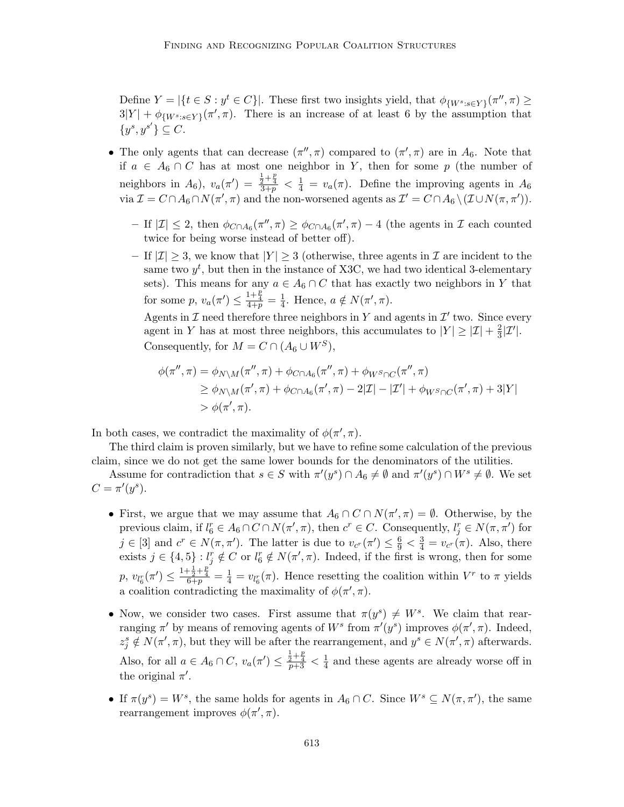Define  $Y = |\{t \in S : y^t \in C\}|$ . These first two insights yield, that  $\phi_{\{W^s : s \in Y\}}(\pi'', \pi) \ge$  $3|Y| + \phi_{\{W^s : s \in Y\}}(\pi', \pi)$ . There is an increase of at least 6 by the assumption that  $\{y^s, y^{s'}\} \subseteq C.$ 

- The only agents that can decrease  $(\pi'', \pi)$  compared to  $(\pi', \pi)$  are in  $A_6$ . Note that if  $a \in A_6 \cap C$  has at most one neighbor in Y, then for some p (the number of neighbors in  $A_6$ ),  $v_a(\pi') = \frac{\frac{1}{2} + \frac{p}{4}}{3+p} < \frac{1}{4} = v_a(\pi)$ . Define the improving agents in  $A_6$ via  $\mathcal{I} = C \cap A_6 \cap N(\pi', \pi)$  and the non-worsened agents as  $\mathcal{I}' = C \cap A_6 \setminus (\mathcal{I} \cup N(\pi, \pi')).$ 
	- $-$  If  $|\mathcal{I}|$  ≤ 2, then  $\phi_{C \cap A_6}(\pi'', \pi) \ge \phi_{C \cap A_6}(\pi', \pi) 4$  (the agents in  $\mathcal{I}$  each counted twice for being worse instead of better off).
	- If  $|\mathcal{I}| \geq 3$ , we know that  $|Y| \geq 3$  (otherwise, three agents in  $\mathcal{I}$  are incident to the same two  $y^t$ , but then in the instance of X3C, we had two identical 3-elementary sets). This means for any  $a \in A_6 \cap C$  that has exactly two neighbors in Y that for some  $p, v_a(\pi') \leq \frac{1+\frac{p}{4}}{4+p} = \frac{1}{4}$  $\frac{1}{4}$ . Hence,  $a \notin N(\pi', \pi)$ .

Agents in  $\mathcal I$  need therefore three neighbors in Y and agents in  $\mathcal I'$  two. Since every agent in Y has at most three neighbors, this accumulates to  $|Y| \geq |\mathcal{I}| + \frac{2}{3}$  $\frac{2}{3}|\mathcal{I}'|$ . Consequently, for  $M = C \cap (A_6 \cup W^S)$ ,

$$
\phi(\pi'', \pi) = \phi_{N \setminus M}(\pi'', \pi) + \phi_{C \cap A_6}(\pi'', \pi) + \phi_{W^S \cap C}(\pi'', \pi)
$$
  
\n
$$
\geq \phi_{N \setminus M}(\pi', \pi) + \phi_{C \cap A_6}(\pi', \pi) - 2|\mathcal{I}| - |\mathcal{I}'| + \phi_{W^S \cap C}(\pi', \pi) + 3|Y|
$$
  
\n
$$
> \phi(\pi', \pi).
$$

In both cases, we contradict the maximality of  $\phi(\pi', \pi)$ .

The third claim is proven similarly, but we have to refine some calculation of the previous claim, since we do not get the same lower bounds for the denominators of the utilities.

Assume for contradiction that  $s \in S$  with  $\pi'(y^s) \cap A_6 \neq \emptyset$  and  $\pi'(y^s) \cap W^s \neq \emptyset$ . We set  $C = \pi'(y^s).$ 

- First, we argue that we may assume that  $A_6 \cap C \cap N(\pi', \pi) = \emptyset$ . Otherwise, by the previous claim, if  $l_6^r \in A_6 \cap C \cap N(\pi', \pi)$ , then  $c^r \in C$ . Consequently,  $l_j^r \in N(\pi, \pi')$  for  $j \in [3]$  and  $c^r \in N(\pi, \pi')$ . The latter is due to  $v_{c}(t) \leq \frac{6}{9} < \frac{3}{4} = v_{c}(t)$ . Also, there exists  $j \in \{4, 5\} : l_j^r \notin C$  or  $l_6^r \notin N(\pi', \pi)$ . Indeed, if the first is wrong, then for some  $p, v_{l_6^r}(\pi') \leq \frac{1+\frac{1}{2}+\frac{p}{4}}{6+p} = \frac{1}{4} = v_{l_6^r}(\pi)$ . Hence resetting the coalition within  $V^r$  to  $\pi$  yields a coalition contradicting the maximality of  $\phi(\pi', \pi)$ .
- Now, we consider two cases. First assume that  $\pi(y^s) \neq W^s$ . We claim that rearranging  $\pi'$  by means of removing agents of  $W^s$  from  $\pi'(y^s)$  improves  $\phi(\pi', \pi)$ . Indeed,  $z_j^s \notin N(\pi', \pi)$ , but they will be after the rearrangement, and  $y^s \in N(\pi', \pi)$  afterwards. Also, for all  $a \in A_6 \cap C$ ,  $v_a(\pi') \leq \frac{\frac{1}{2} + \frac{p}{4}}{p+3} < \frac{1}{4}$  $\frac{1}{4}$  and these agents are already worse off in the original  $\pi'$ .
- If  $\pi(y^s) = W^s$ , the same holds for agents in  $A_6 \cap C$ . Since  $W^s \subseteq N(\pi, \pi')$ , the same rearrangement improves  $\phi(\pi', \pi)$ .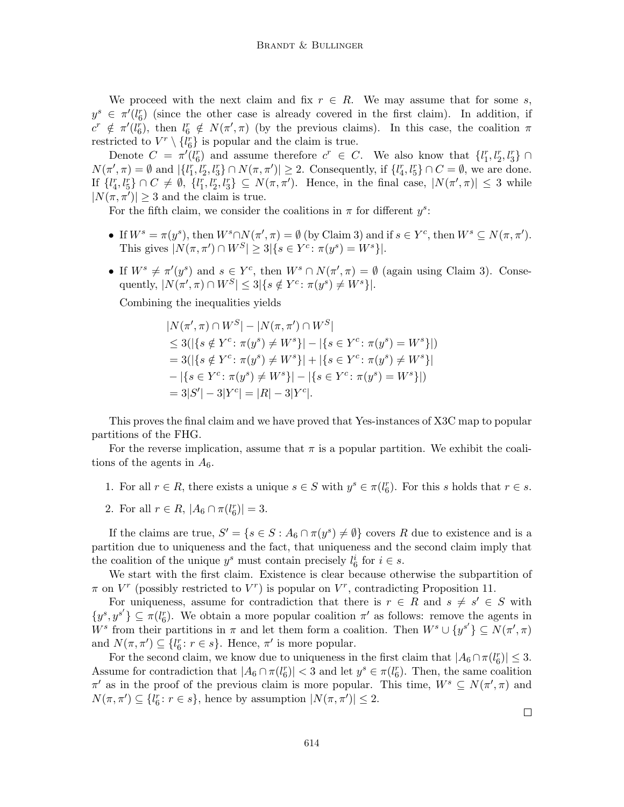We proceed with the next claim and fix  $r \in R$ . We may assume that for some s,  $y^s \in \pi'(l_6^r)$  (since the other case is already covered in the first claim). In addition, if  $c^r \notin \pi'(l_6^r)$ , then  $l_6^r \notin N(\pi', \pi)$  (by the previous claims). In this case, the coalition  $\pi$ restricted to  $V^r \setminus \{l_6^r\}$  is popular and the claim is true.

Denote  $C = \pi'(l_6^r)$  and assume therefore  $c^r \in C$ . We also know that  $\{l_1^r, l_2^r, l_3^r\} \cap$  $N(\pi', \pi) = \emptyset$  and  $|\{l_1^r, l_2^r, l_3^r\} \cap N(\pi, \pi')| \ge 2$ . Consequently, if  $\{l_4^r, l_5^r\} \cap C = \emptyset$ , we are done. If  $\{l_4^r, l_5^r\} \cap C \neq \emptyset$ ,  $\{l_1^r, l_2^r, l_3^r\} \subseteq N(\pi, \pi')$ . Hence, in the final case,  $|N(\pi', \pi)| \leq 3$  while  $|N(\pi, \pi')| \geq 3$  and the claim is true.

For the fifth claim, we consider the coalitions in  $\pi$  for different  $y^s$ :

- If  $W^s = \pi(y^s)$ , then  $W^s \cap N(\pi', \pi) = \emptyset$  (by Claim 3) and if  $s \in Y^c$ , then  $W^s \subseteq N(\pi, \pi')$ . This gives  $|N(\pi, \pi') \cap W^S| \geq 3 |\{s \in Y^c : \pi(y^s) = W^s\}|.$
- If  $W^s \neq \pi'(y^s)$  and  $s \in Y^c$ , then  $W^s \cap N(\pi', \pi) = \emptyset$  (again using Claim 3). Consequently,  $|N(\pi', \pi) \cap W^S| \leq 3 |\{ s \notin Y^c \colon \pi(y^s) \neq W^s \}|.$

Combining the inequalities yields

$$
|N(\pi', \pi) \cap W^S| - |N(\pi, \pi') \cap W^S|
$$
  
\n
$$
\leq 3(|\{s \notin Y^c : \pi(y^s) \neq W^s\}| - |\{s \in Y^c : \pi(y^s) = W^s\}|)
$$
  
\n
$$
= 3(|\{s \notin Y^c : \pi(y^s) \neq W^s\}| + |\{s \in Y^c : \pi(y^s) \neq W^s\}|
$$
  
\n
$$
- |\{s \in Y^c : \pi(y^s) \neq W^s\}| - |\{s \in Y^c : \pi(y^s) = W^s\}|)
$$
  
\n
$$
= 3|S'| - 3|Y^c| = |R| - 3|Y^c|.
$$

This proves the final claim and we have proved that Yes-instances of X3C map to popular partitions of the FHG.

For the reverse implication, assume that  $\pi$  is a popular partition. We exhibit the coalitions of the agents in  $A_6$ .

- 1. For all  $r \in R$ , there exists a unique  $s \in S$  with  $y^s \in \pi(l_6^r)$ . For this s holds that  $r \in s$ .
- 2. For all  $r \in R$ ,  $|A_6 \cap \pi(l_6^r)| = 3$ .

If the claims are true,  $S' = \{s \in S : A_6 \cap \pi(y^s) \neq \emptyset\}$  covers R due to existence and is a partition due to uniqueness and the fact, that uniqueness and the second claim imply that the coalition of the unique  $y^s$  must contain precisely  $l_6^i$  for  $i \in s$ .

We start with the first claim. Existence is clear because otherwise the subpartition of  $\pi$  on  $V^r$  (possibly restricted to  $V^r$ ) is popular on  $V^r$ , contradicting Proposition 11.

For uniqueness, assume for contradiction that there is  $r \in R$  and  $s \neq s' \in S$  with  $\{y^s, y^{s'}\} \subseteq \pi(l_6^r)$ . We obtain a more popular coalition  $\pi'$  as follows: remove the agents in W<sup>s</sup> from their partitions in  $\pi$  and let them form a coalition. Then  $W^s \cup \{y^{s'}\} \subseteq N(\pi', \pi)$ and  $N(\pi, \pi') \subseteq \{l_6^r : r \in s\}$ . Hence,  $\pi'$  is more popular.

For the second claim, we know due to uniqueness in the first claim that  $|A_6 \cap \pi(l_6^r)| \leq 3$ . Assume for contradiction that  $|A_6 \cap \pi(l_6^r)| < 3$  and let  $y^s \in \pi(l_6^r)$ . Then, the same coalition  $\pi'$  as in the proof of the previous claim is more popular. This time,  $W^s \subseteq N(\pi', \pi)$  and  $N(\pi, \pi') \subseteq \{l_6^r : r \in s\}$ , hence by assumption  $|N(\pi, \pi')| \leq 2$ .

 $\Box$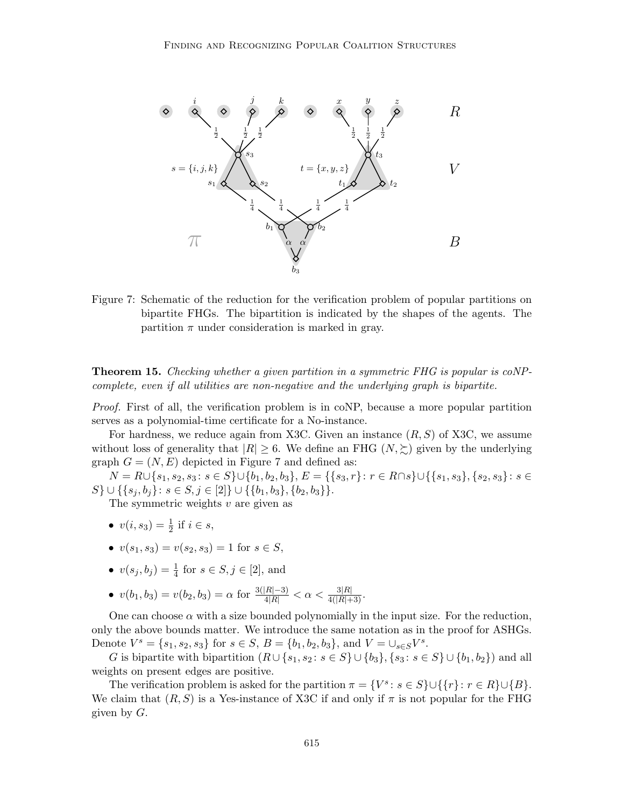

Figure 7: Schematic of the reduction for the verification problem of popular partitions on bipartite FHGs. The bipartition is indicated by the shapes of the agents. The partition  $\pi$  under consideration is marked in gray.

Theorem 15. Checking whether a given partition in a symmetric FHG is popular is coNPcomplete, even if all utilities are non-negative and the underlying graph is bipartite.

Proof. First of all, the verification problem is in coNP, because a more popular partition serves as a polynomial-time certificate for a No-instance.

For hardness, we reduce again from X3C. Given an instance  $(R, S)$  of X3C, we assume without loss of generality that  $|R| \geq 6$ . We define an FHG  $(N, \succeq)$  given by the underlying graph  $G = (N, E)$  depicted in Figure 7 and defined as:

 $N = R \cup \{s_1, s_2, s_3 : s \in S\} \cup \{b_1, b_2, b_3\}, E = \{\{s_3, r\} : r \in R \cap s\} \cup \{\{s_1, s_3\}, \{s_2, s_3\} : s \in S\}$ S} ∪ {{s<sub>j</sub>, b<sub>j</sub>}: s ∈ S, j ∈ [2]} ∪ {{b<sub>1</sub>, b<sub>3</sub>}, {b<sub>2</sub>, b<sub>3</sub>}}.

The symmetric weights  $v$  are given as

- $v(i, s_3) = \frac{1}{2}$  if  $i \in s$ ,
- $v(s_1, s_3) = v(s_2, s_3) = 1$  for  $s \in S$ ,
- $v(s_j, b_j) = \frac{1}{4}$  for  $s \in S, j \in [2]$ , and
- $v(b_1, b_3) = v(b_2, b_3) = \alpha$  for  $\frac{3(|R|-3)}{4|R|} < \alpha < \frac{3|R|}{4(|R|+3)}$ .

One can choose  $\alpha$  with a size bounded polynomially in the input size. For the reduction, only the above bounds matter. We introduce the same notation as in the proof for ASHGs. Denote  $V^s = \{s_1, s_2, s_3\}$  for  $s \in S$ ,  $B = \{b_1, b_2, b_3\}$ , and  $V = \bigcup_{s \in S} V^s$ .

G is bipartite with bipartition  $(R \cup \{s_1, s_2 : s \in S\} \cup \{b_3\}, \{s_3 : s \in S\} \cup \{b_1, b_2\})$  and all weights on present edges are positive.

The verification problem is asked for the partition  $\pi = \{V^s : s \in S\} \cup \{\{r\} : r \in R\} \cup \{B\}.$ We claim that  $(R, S)$  is a Yes-instance of X3C if and only if  $\pi$  is not popular for the FHG given by  $G$ .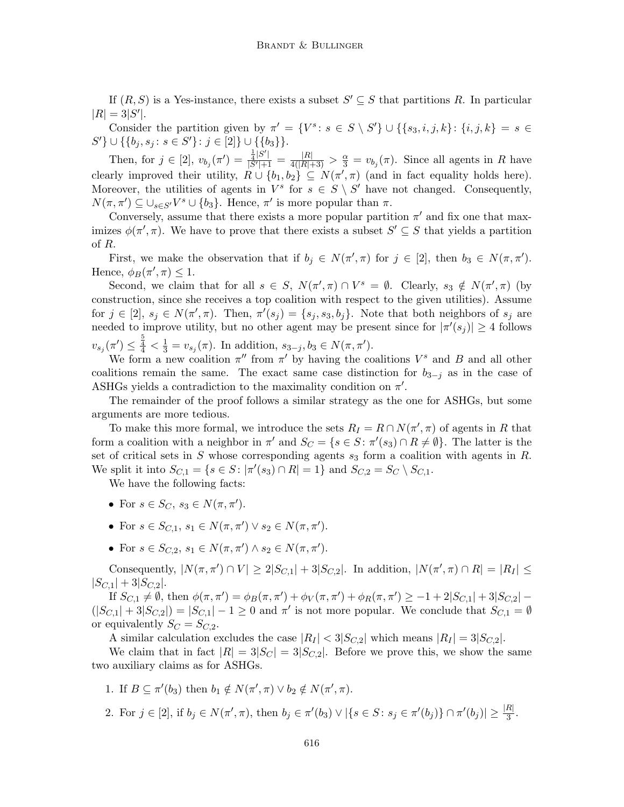If  $(R, S)$  is a Yes-instance, there exists a subset  $S' \subseteq S$  that partitions R. In particular  $|R| = 3|S'|.$ 

Consider the partition given by  $\pi' = \{V^s : s \in S \setminus S'\} \cup \{\{s_3, i, j, k\} : \{i, j, k\} = s \in S\}$  $S'$ }  $\cup$  {{b<sub>j</sub>, s<sub>j</sub>: s  $\in$  S'}: j  $\in$  [2]}  $\cup$  {{b<sub>3</sub>}}.

Then, for  $j \in [2]$ ,  $v_{b_j}(\pi') = \frac{\frac{1}{4}|S'|}{|S'|+1}$  $\frac{\frac{1}{4}|S'|}{|S'|+1} = \frac{|R|}{4(|R|+3)} > \frac{\alpha}{3} = v_{b_j}(\pi)$ . Since all agents in R have clearly improved their utility,  $R \cup \{b_1, b_2\} \subseteq N(\pi', \pi)$  (and in fact equality holds here). Moreover, the utilities of agents in  $V^s$  for  $s \in S \setminus S'$  have not changed. Consequently,  $N(\pi, \pi') \subseteq \bigcup_{s \in S'} V^s \cup \{b_3\}.$  Hence,  $\pi'$  is more popular than  $\pi$ .

Conversely, assume that there exists a more popular partition  $\pi'$  and fix one that maximizes  $\phi(\pi', \pi)$ . We have to prove that there exists a subset  $S' \subseteq S$  that yields a partition of R.

First, we make the observation that if  $b_j \in N(\pi', \pi)$  for  $j \in [2]$ , then  $b_3 \in N(\pi, \pi')$ . Hence,  $\phi_B(\pi', \pi) \leq 1$ .

Second, we claim that for all  $s \in S$ ,  $N(\pi', \pi) \cap V^s = \emptyset$ . Clearly,  $s_3 \notin N(\pi', \pi)$  (by construction, since she receives a top coalition with respect to the given utilities). Assume for  $j \in [2], s_j \in N(\pi', \pi)$ . Then,  $\pi'(s_j) = \{s_j, s_3, b_j\}$ . Note that both neighbors of  $s_j$  are needed to improve utility, but no other agent may be present since for  $|\pi'(s_j)| \geq 4$  follows  $v_{s_j}(\pi') \leq \frac{5}{4} < \frac{1}{3} = v_{s_j}(\pi)$ . In addition,  $s_{3-j}, b_3 \in N(\pi, \pi')$ .

We form a new coalition  $\pi''$  from  $\pi'$  by having the coalitions  $V^s$  and B and all other coalitions remain the same. The exact same case distinction for  $b_{3-j}$  as in the case of ASHGs yields a contradiction to the maximality condition on  $\pi'$ .

The remainder of the proof follows a similar strategy as the one for ASHGs, but some arguments are more tedious.

To make this more formal, we introduce the sets  $R_I = R \cap N(\pi', \pi)$  of agents in R that form a coalition with a neighbor in  $\pi'$  and  $S_C = \{ s \in S : \pi'(s_3) \cap R \neq \emptyset \}$ . The latter is the set of critical sets in S whose corresponding agents  $s_3$  form a coalition with agents in R. We split it into  $S_{C,1} = \{ s \in S : |\pi'(s_3) \cap R| = 1 \}$  and  $S_{C,2} = S_C \setminus S_{C,1}$ .

We have the following facts:

- For  $s \in S_C$ ,  $s_3 \in N(\pi, \pi')$ .
- For  $s \in S_{C,1}, s_1 \in N(\pi, \pi') \vee s_2 \in N(\pi, \pi').$
- For  $s \in S_{C,2}, s_1 \in N(\pi, \pi') \wedge s_2 \in N(\pi, \pi').$

Consequently,  $|N(\pi, \pi') \cap V| \ge 2|S_{C,1}| + 3|S_{C,2}|$ . In addition,  $|N(\pi', \pi) \cap R| = |R_I| \le$  $|S_{C,1}| + 3|S_{C,2}|.$ 

If  $S_{C,1} \neq \emptyset$ , then  $\phi(\pi, \pi') = \phi_B(\pi, \pi') + \phi_V(\pi, \pi') + \phi_R(\pi, \pi') \geq -1 + 2|S_{C,1}| + 3|S_{C,2}| (|S_{C,1}|+3|S_{C,2}|)=|S_{C,1}|-1\geq 0$  and  $\pi'$  is not more popular. We conclude that  $S_{C,1}=\emptyset$ or equivalently  $S_C = S_{C,2}$ .

A similar calculation excludes the case  $|R_I| < 3|S_{C,2}|$  which means  $|R_I| = 3|S_{C,2}|$ .

We claim that in fact  $|R| = 3|S_C| = 3|S_{C,2}|$ . Before we prove this, we show the same two auxiliary claims as for ASHGs.

1. If 
$$
B \subseteq \pi'(b_3)
$$
 then  $b_1 \notin N(\pi', \pi) \lor b_2 \notin N(\pi', \pi)$ .

2. For  $j \in [2]$ , if  $b_j \in N(\pi', \pi)$ , then  $b_j \in \pi'(b_3) \vee |\{s \in S : s_j \in \pi'(b_j)\} \cap \pi'(b_j)| \geq \frac{|R|}{3}$ .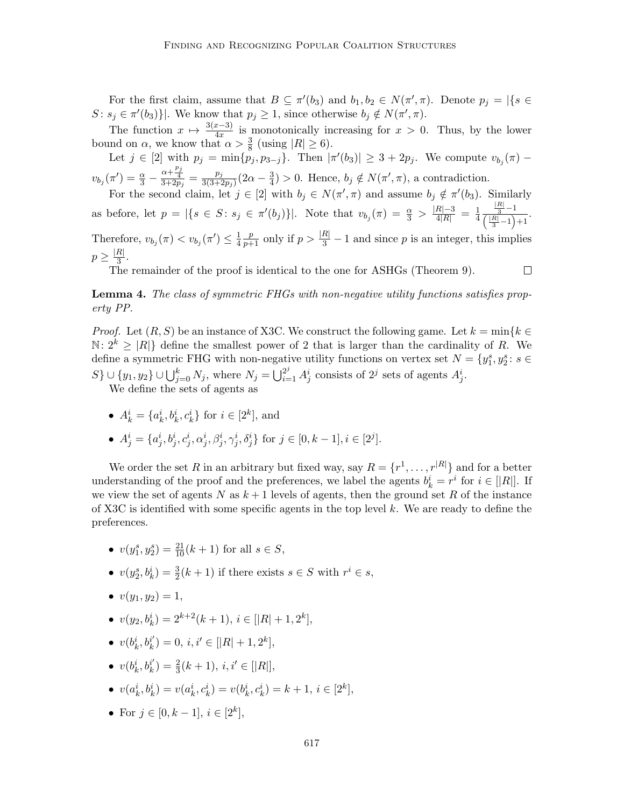For the first claim, assume that  $B \subseteq \pi'(b_3)$  and  $b_1, b_2 \in N(\pi', \pi)$ . Denote  $p_j = |\{s \in$  $S: s_j \in \pi'(b_3)$ . We know that  $p_j \geq 1$ , since otherwise  $b_j \notin N(\pi', \pi)$ .

The function  $x \mapsto \frac{3(x-3)}{4x}$  is monotonically increasing for  $x > 0$ . Thus, by the lower bound on  $\alpha$ , we know that  $\alpha > \frac{3}{8}$  (using  $|R| \ge 6$ ).

Let  $j \in [2]$  with  $p_j = \min\{p_j, p_{3-j}\}.$  Then  $|\pi'(b_3)| \geq 3 + 2p_j$ . We compute  $v_{b_j}(\pi)$  –  $v_{b_j}(\pi') = \frac{\alpha}{3} - \frac{\alpha + \frac{p_j}{4}}{3+2p_j} = \frac{p_j}{3(3+2p_j)}$  $\frac{p_j}{3(3+2p_j)}(2\alpha-\frac{3}{4})$  $\frac{3}{4}$ ) > 0. Hence,  $b_j \notin N(\pi', \pi)$ , a contradiction.

For the second claim, let  $j \in [2]$  with  $b_j \in N(\pi', \pi)$  and assume  $b_j \notin \pi'(b_3)$ . Similarly as before, let  $p = |\{s \in S : s_j \in \pi'(b_j)\}|$ . Note that  $v_{b_j}(\pi) = \frac{\alpha}{3} > \frac{|R| - 3}{4|R|} = \frac{1}{4}$ 4  $\frac{\frac{|R|}{3}-1}{\left(\frac{|R|}{3}-1\right)+1}.$ Therefore,  $v_{b_j}(\pi) < v_{b_j}(\pi') \leq \frac{1}{4}$ 4  $\frac{p}{p+1}$  only if  $p > \frac{|R|}{3} - 1$  and since p is an integer, this implies  $p \geq \frac{|R|}{3}$  $\frac{n_1}{3}$ .

The remainder of the proof is identical to the one for ASHGs (Theorem 9).  $\Box$ 

Lemma 4. The class of symmetric FHGs with non-negative utility functions satisfies property PP.

*Proof.* Let  $(R, S)$  be an instance of X3C. We construct the following game. Let  $k = \min\{k \in \mathbb{R}\}$  $\mathbb{N}: 2^k \geq |R|\}$  define the smallest power of 2 that is larger than the cardinality of R. We define a symmetric FHG with non-negative utility functions on vertex set  $N = \{y_1^s, y_2^s : s \in$  $S$ }  $\cup$  {y<sub>1</sub>, y<sub>2</sub>}  $\cup \bigcup_{j=0}^{k} N_j$ , where  $N_j = \bigcup_{i=1}^{2^j} A_j^i$  consists of  $2^j$  sets of agents  $A_j^i$ .

We define the sets of agents as

• 
$$
A_k^i = \{a_k^i, b_k^i, c_k^i\}
$$
 for  $i \in [2^k]$ , and

• 
$$
A_j^i = \{a_j^i, b_j^i, c_j^i, \alpha_j^i, \beta_j^i, \gamma_j^i, \delta_j^i\}
$$
 for  $j \in [0, k-1], i \in [2^j]$ .

We order the set R in an arbitrary but fixed way, say  $R = \{r^1, \ldots, r^{|R|}\}\$  and for a better understanding of the proof and the preferences, we label the agents  $b_k^i = r^i$  for  $i \in [R]$ . If we view the set of agents N as  $k+1$  levels of agents, then the ground set R of the instance of X3C is identified with some specific agents in the top level  $k$ . We are ready to define the preferences.

- $v(y_1^s, y_2^s) = \frac{21}{10}(k+1)$  for all  $s \in S$ ,
- $v(y_2^s, b_k^i) = \frac{3}{2}(k+1)$  if there exists  $s \in S$  with  $r^i \in s$ ,
- $v(y_1, y_2) = 1$ ,
- $v(y_2, b_k^i) = 2^{k+2}(k+1), i \in [|R|+1, 2^k],$
- $\bullet \;\; v(b_k^i,b_k^{i^\prime})$  $k_i^{i'}$  = 0,  $i, i' \in [|R|+1, 2^k]$ ,
- $\bullet \;\; v(b_k^i,b_k^{i^\prime})$  $k_i^{i'}$ ) =  $\frac{2}{3}(k+1), i, i' \in [|R|],$
- $v(a_k^i, b_k^i) = v(a_k^i, c_k^i) = v(b_k^i, c_k^i) = k + 1, i \in [2^k],$
- For  $j \in [0, k-1], i \in [2^k]$ ,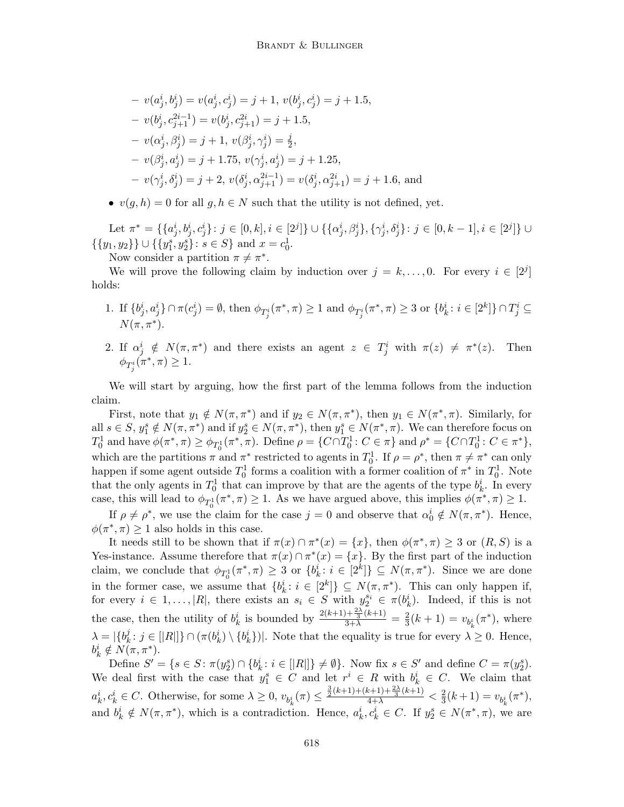$$
- v(a_j^i, b_j^i) = v(a_j^i, c_j^i) = j + 1, v(b_j^i, c_j^i) = j + 1.5,
$$
  
\n
$$
- v(b_j^i, c_{j+1}^{2i-1}) = v(b_j^i, c_{j+1}^{2i}) = j + 1.5,
$$
  
\n
$$
- v(\alpha_j^i, \beta_j^i) = j + 1, v(\beta_j^i, \gamma_j^i) = \frac{j}{2},
$$
  
\n
$$
- v(\beta_j^i, a_j^i) = j + 1.75, v(\gamma_j^i, a_j^i) = j + 1.25,
$$
  
\n
$$
- v(\gamma_j^i, \delta_j^i) = j + 2, v(\delta_j^i, \alpha_{j+1}^{2i-1}) = v(\delta_j^i, \alpha_{j+1}^{2i}) = j + 1.6,
$$
 and

•  $v(g, h) = 0$  for all  $g, h \in N$  such that the utility is not defined, yet.

Let  $\pi^* = \{\{a_j^i, b_j^i, c_j^i\} : j \in [0, k], i \in [2^j]\} \cup \{\{\alpha_j^i, \beta_j^i\}, \{\gamma_j^i, \delta_j^i\} : j \in [0, k-1], i \in [2^j]\} \cup$  $\{\{y_1, y_2\}\}\cup \{\{y_1^s, y_2^s\}: s \in S\}$  and  $x = c_0^1$ .

Now consider a partition  $\pi \neq \pi^*$ .

We will prove the following claim by induction over  $j = k, \ldots, 0$ . For every  $i \in [2^j]$ holds:

- 1. If  $\{b^i_j, a^i_j\} \cap \pi(c^i_j) = \emptyset$ , then  $\phi_{T^i_j}(\pi^*, \pi) \ge 1$  and  $\phi_{T^i_j}(\pi^*, \pi) \ge 3$  or  $\{b^i_k : i \in [2^k]\} \cap T^i_j \subseteq$  $N(\pi, \pi^*)$ .
- 2. If  $\alpha_j^i \notin N(\pi, \pi^*)$  and there exists an agent  $z \in T_j^i$  with  $\pi(z) \neq \pi^*$ (z). Then  $\phi_{T^i_j}(\pi^*, \pi) \geq 1.$

We will start by arguing, how the first part of the lemma follows from the induction claim.

First, note that  $y_1 \notin N(\pi, \pi^*)$  and if  $y_2 \in N(\pi, \pi^*)$ , then  $y_1 \in N(\pi^*, \pi)$ . Similarly, for all  $s \in S$ ,  $y_1^s \notin N(\pi, \pi^*)$  and if  $y_2^s \in N(\pi, \pi^*)$ , then  $y_1^s \in N(\pi^*, \pi)$ . We can therefore focus on  $T_0^1$  and have  $\phi(\pi^*, \pi) \ge \phi_{T_0^1}(\pi^*, \pi)$ . Define  $\rho = \{C \cap T_0^1 : C \in \pi\}$  and  $\rho^* = \{C \cap T_0^1 : C \in \pi^*\},$ which are the partitions  $\pi$  and  $\pi^*$  restricted to agents in  $T_0^1$ . If  $\rho = \rho^*$ , then  $\pi \neq \pi^*$  can only happen if some agent outside  $T_0^1$  forms a coalition with a former coalition of  $\pi^*$  in  $T_0^1$ . Note that the only agents in  $T_0^1$  that can improve by that are the agents of the type  $b_k^i$ . In every case, this will lead to  $\phi_{T_0^1}(\pi^*, \pi) \ge 1$ . As we have argued above, this implies  $\phi(\pi^*, \pi) \ge 1$ .

If  $\rho \neq \rho^*$ , we use the claim for the case  $j = 0$  and observe that  $\alpha_0^i \notin N(\pi, \pi^*)$ . Hence,  $\phi(\pi^*, \pi) \geq 1$  also holds in this case.

It needs still to be shown that if  $\pi(x) \cap \pi^*(x) = \{x\}$ , then  $\phi(\pi^*, \pi) \geq 3$  or  $(R, S)$  is a Yes-instance. Assume therefore that  $\pi(x) \cap \pi^*(x) = \{x\}$ . By the first part of the induction claim, we conclude that  $\phi_{T_0^1}(\pi^*, \pi) \geq 3$  or  $\{b_k^i : i \in [2^k]\} \subseteq N(\pi, \pi^*)$ . Since we are done in the former case, we assume that  $\{b_k^i : i \in [2^k]\} \subseteq N(\pi, \pi^*)$ . This can only happen if, for every  $i \in 1, \ldots, |R|$ , there exists an  $s_i \in S$  with  $y_2^{s_i} \in \pi(b_k^i)$ . Indeed, if this is not the case, then the utility of  $b_k^i$  is bounded by  $\frac{2(k+1)+\frac{2\lambda}{3}(k+1)}{3+\lambda}=\frac{2}{3}$  $\frac{2}{3}(k+1) = v_{b_k^i}(\pi^*)$ , where  $\lambda = |\{b^j_k\}$  $h_k^j : j \in [|R|] \} \cap (\pi(b_k^i) \setminus \{b_k^i\})$ . Note that the equality is true for every  $\lambda \geq 0$ . Hence,  $b_k^i \notin N(\pi, \pi^*).$ 

Define  $S' = \{s \in S : \pi(y_2^s) \cap \{b_k^i : i \in [|R|] \} \neq \emptyset\}$ . Now fix  $s \in S'$  and define  $C = \pi(y_2^s)$ . We deal first with the case that  $y_1^s \in C$  and let  $r^i \in R$  with  $b_k^i \in C$ . We claim that  $a_k^i, c_k^i \in C$ . Otherwise, for some  $\lambda \geq 0$ ,  $v_{b_k^i}(\pi) \leq \frac{\frac{3}{2}(k+1)+(k+1)+\frac{2\lambda}{3}(k+1)}{4+\lambda} < \frac{2}{3}$  $\frac{2}{3}(k+1) = v_{b_k^i}(\pi^*),$ and  $b_k^i \notin N(\pi, \pi^*)$ , which is a contradiction. Hence,  $a_k^i, c_k^i \in C$ . If  $y_2^s \in N(\pi^*, \pi)$ , we are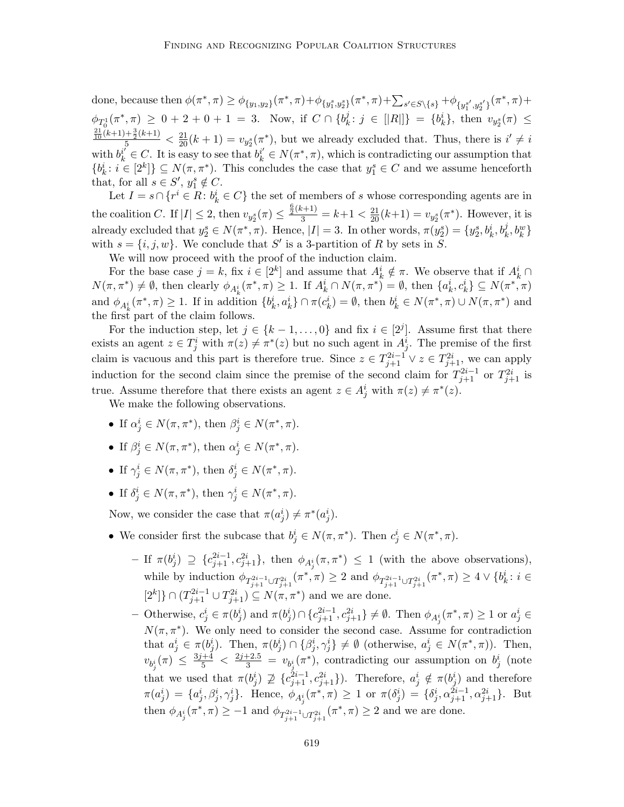done, because then  $\phi(\pi^*, \pi) \geq \phi_{\{y_1, y_2\}}(\pi^*, \pi) + \phi_{\{y_1^s, y_2^s\}}(\pi^*, \pi) + \sum_{s' \in S \setminus \{s\}} + \phi_{\{y_1^{s'}, y_2^{s'}\}}(\pi^*, \pi) +$  $\phi_{T_0^1}(\pi^*, \pi) \ge 0 + 2 + 0 + 1 = 3$ . Now, if  $C \cap \{b_k^j\}$  $\{ \vec{y}_k : j \in [[R]] \} = \{ b_k^i \}, \text{ then } v_{y_2^s}(\pi) \leq$  $\frac{\frac{21}{10}(k+1)+\frac{3}{2}(k+1)}{5} < \frac{21}{20}(k+1) = v_{y_2^s}(\pi^*),$  but we already excluded that. Thus, there is  $i' \neq i$ with  $b_k^{i'} \in C$ . It is easy to see that  $b_k^{i'} \in N(\pi^*, \pi)$ , which is contradicting our assumption that  $\{b_k^i : i \in [2^k]\} \subseteq N(\pi, \pi^*)$ . This concludes the case that  $y_1^s \in C$  and we assume henceforth that, for all  $s \in S'$ ,  $y_1^s \notin C$ .

Let  $I = s \cap \{r^i \in R \colon b_k^i \in C\}$  the set of members of s whose corresponding agents are in the coalition C. If  $|I| \leq 2$ , then  $v_{y_2^s}(\pi) \leq \frac{\frac{6}{5}(k+1)}{3} = k+1 < \frac{21}{20}(k+1) = v_{y_2^s}(\pi^*)$ . However, it is already excluded that  $y_2^s \in N(\pi^*, \pi)$ . Hence,  $|I| = 3$ . In other words,  $\pi(y_2^s) = \{y_2^s, b_k^i, b_k^j, b_k^w\}$ with  $s = \{i, j, w\}$ . We conclude that S' is a 3-partition of R by sets in S.

We will now proceed with the proof of the induction claim.

For the base case  $j = k$ , fix  $i \in [2^k]$  and assume that  $A_k^i \notin \pi$ . We observe that if  $A_k^i \cap$  $N(\pi, \pi^*) \neq \emptyset$ , then clearly  $\phi_{A_k^i}(\pi^*, \pi) \geq 1$ . If  $A_k^i \cap N(\pi, \pi^*) = \emptyset$ , then  $\{a_k^i, c_k^i\} \subseteq N(\pi^*, \pi)$ and  $\phi_{A_k^i}(\pi^*, \pi) \geq 1$ . If in addition  $\{b_k^i, a_k^i\} \cap \pi(c_k^i) = \emptyset$ , then  $b_k^i \in N(\pi^*, \pi) \cup N(\pi, \pi^*)$  and the first part of the claim follows.

For the induction step, let  $j \in \{k-1,\ldots,0\}$  and fix  $i \in [2^j]$ . Assume first that there exists an agent  $z \in T_j^i$  with  $\pi(z) \neq \pi^*(z)$  but no such agent in  $A_j^i$ . The premise of the first claim is vacuous and this part is therefore true. Since  $z \in T_{j+1}^{2i-1} \vee z \in T_{j+1}^{2i}$ , we can apply induction for the second claim since the premise of the second claim for  $T_{j+1}^{2i-1}$  or  $T_{j+1}^{2i}$  is true. Assume therefore that there exists an agent  $z \in A_j^i$  with  $\pi(z) \neq \pi^*(z)$ .

We make the following observations.

- If  $\alpha_j^i \in N(\pi, \pi^*)$ , then  $\beta_j^i \in N(\pi^*, \pi)$ .
- If  $\beta_j^i \in N(\pi, \pi^*)$ , then  $\alpha_j^i \in N(\pi^*, \pi)$ .
- If  $\gamma_j^i \in N(\pi, \pi^*)$ , then  $\delta_j^i \in N(\pi^*, \pi)$ .
- If  $\delta_j^i \in N(\pi, \pi^*)$ , then  $\gamma_j^i \in N(\pi^*, \pi)$ .

Now, we consider the case that  $\pi(a_j^i) \neq \pi^*(a_j^i)$ .

- We consider first the subcase that  $b_j^i \in N(\pi, \pi^*)$ . Then  $c_j^i \in N(\pi^*, \pi)$ .
	- $-$  If  $\pi(b_j^i) \supseteq \{c_{j+1}^{2i-1}, c_{j+1}^{2i}\},\$  then  $\phi_{A_j^i}(\pi, \pi^*) \leq 1$  (with the above observations), while by induction  $\phi_{T_{j+1}^{2i-1} \cup T_{j+1}^{2i}}(\pi^*, \pi) \geq 2$  and  $\phi_{T_{j+1}^{2i-1} \cup T_{j+1}^{2i}}(\pi^*, \pi) \geq 4 \vee \{b_k^i : i \in$  $[2<sup>k</sup>]$ } ∩  $(T_{j+1}^{2i-1} ∪ T_{j+1}^{2i}) ⊆ N(π, π<sup>*</sup>)$  and we are done.
	- − Otherwise,  $c_j^i$  ∈ π $(b_j^i)$  and  $\pi(b_j^i) \cap \{c_{j+1}^{2i-1}, c_{j+1}^{2i}\}\neq \emptyset$ . Then  $\phi_{A_j^i}(\pi^*, \pi) \geq 1$  or  $a_j^i$  ∈  $N(\pi, \pi^*)$ . We only need to consider the second case. Assume for contradiction that  $a_j^i \in \pi(b_j^i)$ . Then,  $\pi(b_j^i) \cap \{\beta_j^i, \gamma_j^i\} \neq \emptyset$  (otherwise,  $a_j^i \in N(\pi^*, \pi)$ ). Then,  $v_{b_j^i}(\pi) \leq \frac{3j+4}{5} < \frac{2j+2.5}{3} = v_{b_j^i}(\pi^*)$ , contradicting our assumption on  $b_j^i$  (note that we used that  $\pi(b_j^i) \not\supseteq \{c_{j+1}^{2i-1}, c_{j+1}^{2i}\}\)$ . Therefore,  $a_j^i \notin \pi(b_j^i)$  and therefore  $\pi(a_j^i) = \{a_j^i, \beta_j^i, \gamma_j^i\}$ . Hence,  $\phi_{A_j^i}(\pi^*, \pi) \ge 1$  or  $\pi(\delta_j^i) = \{\delta_j^i, \alpha_{j+1}^{2i-1}, \alpha_{j+1}^{2i}\}$ . But then  $\phi_{A_j^i}(\pi^*, \pi) \geq -1$  and  $\phi_{T_{j+1}^{2i-1} \cup T_{j+1}^{2i}}(\pi^*, \pi) \geq 2$  and we are done.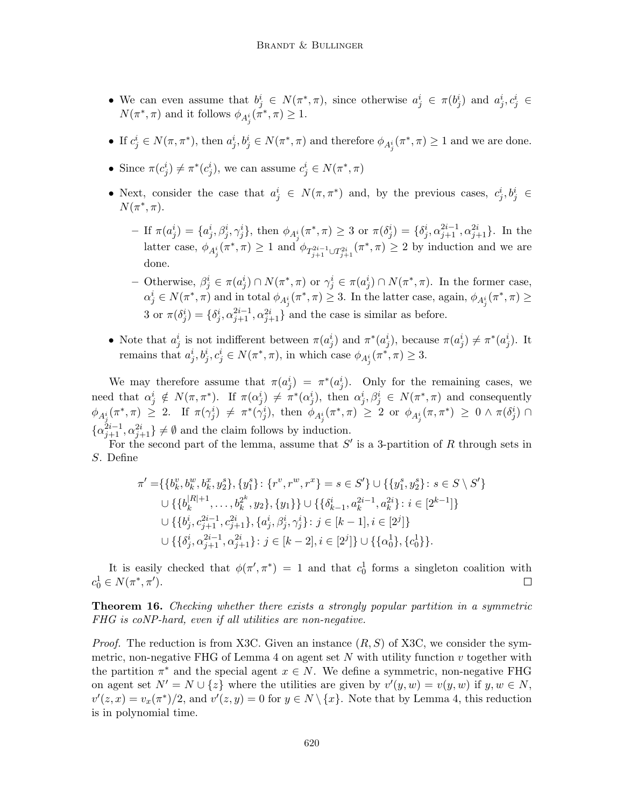- We can even assume that  $b_j^i \in N(\pi^*, \pi)$ , since otherwise  $a_j^i \in \pi(b_j^i)$  and  $a_j^i, c_j^i \in$  $N(\pi^*, \pi)$  and it follows  $\phi_{A_j^i}(\pi^*, \pi) \geq 1$ .
- If  $c_j^i \in N(\pi, \pi^*)$ , then  $a_j^i, b_j^i \in N(\pi^*, \pi)$  and therefore  $\phi_{A_j^i}(\pi^*, \pi) \geq 1$  and we are done.
- Since  $\pi(c_j^i) \neq \pi^*(c_j^i)$ , we can assume  $c_j^i \in N(\pi^*, \pi)$
- Next, consider the case that  $a_j^i \in N(\pi, \pi^*)$  and, by the previous cases,  $c_j^i, b_j^i \in$  $N(\pi^*, \pi)$ .
	- $-$  If  $\pi(a_j^i) = \{a_j^i, \beta_j^i, \gamma_j^i\}$ , then  $\phi_{A_j^i}(\pi^*, \pi) \geq 3$  or  $\pi(\delta_j^i) = \{\delta_j^i, \alpha_{j+1}^{2i-1}, \alpha_{j+1}^{2i}\}$ . In the latter case,  $\phi_{A_j^i}(\pi^*, \pi) \geq 1$  and  $\phi_{T_{j+1}^{2i-1} \cup T_{j+1}^{2i}}(\pi^*, \pi) \geq 2$  by induction and we are done.
	- Otherwise,  $\beta_j^i$  ∈ π $(a_j^i)$  ∩  $N(\pi^*, \pi)$  or  $\gamma_j^i$  ∈ π $(a_j^i)$  ∩  $N(\pi^*, \pi)$ . In the former case,  $\alpha_j^i \in N(\pi^*, \pi)$  and in total  $\phi_{A_j^i}(\pi^*, \pi) \geq 3$ . In the latter case, again,  $\phi_{A_j^i}(\pi^*, \pi) \geq 3$ 3 or  $\pi(\delta_j^i) = \{\delta_j^i, \alpha_{j+1}^{2i-1}, \alpha_{j+1}^{2i}\}\$  and the case is similar as before.
- Note that  $a_j^i$  is not indifferent between  $\pi(a_j^i)$  and  $\pi^*(a_j^i)$ , because  $\pi(a_j^i) \neq \pi^*(a_j^i)$ . It remains that  $a_j^i, b_j^i, c_j^i \in N(\pi^*, \pi)$ , in which case  $\phi_{A_j^i}(\pi^*, \pi) \geq 3$ .

We may therefore assume that  $\pi(a_j^i) = \pi^*(a_j^i)$ . Only for the remaining cases, we need that  $\alpha_j^i \notin N(\pi, \pi^*)$ . If  $\pi(\alpha_j^i) \neq \pi^*(\alpha_j^i)$ , then  $\alpha_j^i, \beta_j^i \in N(\pi^*, \pi)$  and consequently  $\phi_{A_j^i}(\pi^*, \pi) \geq 2$ . If  $\pi(\gamma_j^i) \neq \pi^*(\gamma_j^i)$ , then  $\phi_{A_j^i}(\pi^*, \pi) \geq 2$  or  $\phi_{A_j^i}(\pi, \pi^*) \geq 0 \wedge \pi(\delta_j^i) \cap$  $\{\alpha_{j+1}^{2i-1}, \alpha_{j+1}^{2i}\}\neq \emptyset$  and the claim follows by induction.

For the second part of the lemma, assume that  $S'$  is a 3-partition of R through sets in S. Define

$$
\pi' = \{ \{b_k^v, b_k^w, b_k^x, y_2^s\}, \{y_1^s\} : \{r^v, r^w, r^x\} = s \in S' \} \cup \{ \{y_1^s, y_2^s\} : s \in S \setminus S' \}
$$
  
\n
$$
\cup \{ \{b_k^{|R|+1}, \dots, b_k^{2^k}, y_2\}, \{y_1\} \} \cup \{ \{\delta_{k-1}^i, a_k^{2i-1}, a_k^{2i}\} : i \in [2^{k-1}] \}
$$
  
\n
$$
\cup \{ \{b_j^i, c_{j+1}^{2i-1}, c_{j+1}^{2i}\}, \{a_j^i, \beta_j^i, \gamma_j^i\} : j \in [k-1], i \in [2^j] \}
$$
  
\n
$$
\cup \{ \{\delta_j^i, \alpha_{j+1}^{2i-1}, \alpha_{j+1}^{2i}\} : j \in [k-2], i \in [2^j] \} \cup \{ \{\alpha_0^1\}, \{c_0^1\} \}.
$$

It is easily checked that  $\phi(\pi', \pi^*) = 1$  and that  $c_0^1$  forms a singleton coalition with  $c_0^1 \in N(\pi^*, \pi').$  $\Box$ 

Theorem 16. Checking whether there exists a strongly popular partition in a symmetric FHG is coNP-hard, even if all utilities are non-negative.

*Proof.* The reduction is from X3C. Given an instance  $(R, S)$  of X3C, we consider the symmetric, non-negative FHG of Lemma 4 on agent set  $N$  with utility function  $v$  together with the partition  $\pi^*$  and the special agent  $x \in N$ . We define a symmetric, non-negative FHG on agent set  $N' = N \cup \{z\}$  where the utilities are given by  $v'(y, w) = v(y, w)$  if  $y, w \in N$ ,  $v'(z,x) = v_x(\pi^*)/2$ , and  $v'(z,y) = 0$  for  $y \in N \setminus \{x\}$ . Note that by Lemma 4, this reduction is in polynomial time.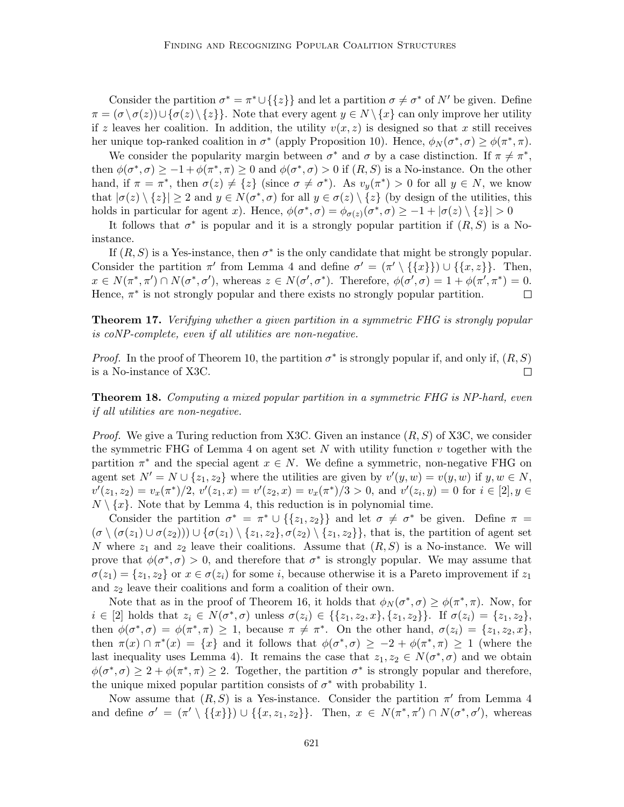Consider the partition  $\sigma^* = \pi^* \cup \{\{z\}\}\$ and let a partition  $\sigma \neq \sigma^*$  of N' be given. Define  $\pi = (\sigma \setminus \sigma(z)) \cup {\sigma(z) \setminus \{z\}}.$  Note that every agent  $y \in N \setminus \{x\}$  can only improve her utility if z leaves her coalition. In addition, the utility  $v(x, z)$  is designed so that x still receives her unique top-ranked coalition in  $\sigma^*$  (apply Proposition 10). Hence,  $\phi_N(\sigma^*, \sigma) \geq \phi(\pi^*, \pi)$ .

We consider the popularity margin between  $\sigma^*$  and  $\sigma$  by a case distinction. If  $\pi \neq \pi^*$ , then  $\phi(\sigma^*, \sigma) \ge -1 + \phi(\pi^*, \pi) \ge 0$  and  $\phi(\sigma^*, \sigma) > 0$  if  $(R, S)$  is a No-instance. On the other hand, if  $\pi = \pi^*$ , then  $\sigma(z) \neq \{z\}$  (since  $\sigma \neq \sigma^*$ ). As  $v_y(\pi^*) > 0$  for all  $y \in N$ , we know that  $|\sigma(z) \setminus \{z\}| \geq 2$  and  $y \in N(\sigma^*, \sigma)$  for all  $y \in \sigma(z) \setminus \{z\}$  (by design of the utilities, this holds in particular for agent x). Hence,  $\phi(\sigma^*, \sigma) = \phi_{\sigma(z)}(\sigma^*, \sigma) \ge -1 + |\sigma(z) \setminus \{z\}| > 0$ 

It follows that  $\sigma^*$  is popular and it is a strongly popular partition if  $(R, S)$  is a Noinstance.

If  $(R, S)$  is a Yes-instance, then  $\sigma^*$  is the only candidate that might be strongly popular. Consider the partition  $\pi'$  from Lemma 4 and define  $\sigma' = (\pi' \setminus \{\{x\}\}) \cup \{\{x, z\}\}\$ . Then,  $x \in N(\pi^*, \pi') \cap N(\sigma^*, \sigma')$ , whereas  $z \in N(\sigma', \sigma^*)$ . Therefore,  $\phi(\sigma', \sigma) = 1 + \phi(\pi', \pi^*) = 0$ . Hence,  $\pi^*$  is not strongly popular and there exists no strongly popular partition.  $\Box$ 

Theorem 17. Verifying whether a given partition in a symmetric FHG is strongly popular is coNP-complete, even if all utilities are non-negative.

*Proof.* In the proof of Theorem 10, the partition  $\sigma^*$  is strongly popular if, and only if,  $(R, S)$ is a No-instance of X3C.  $\Box$ 

**Theorem 18.** Computing a mixed popular partition in a symmetric FHG is NP-hard, even if all utilities are non-negative.

*Proof.* We give a Turing reduction from X3C. Given an instance  $(R, S)$  of X3C, we consider the symmetric FHG of Lemma 4 on agent set  $N$  with utility function  $v$  together with the partition  $\pi^*$  and the special agent  $x \in N$ . We define a symmetric, non-negative FHG on agent set  $N' = N \cup \{z_1, z_2\}$  where the utilities are given by  $v'(y, w) = v(y, w)$  if  $y, w \in N$ ,  $v'(z_1, z_2) = v_x(\pi^*)/2, v'(z_1, x) = v'(z_2, x) = v_x(\pi^*)/3 > 0$ , and  $v'(z_i, y) = 0$  for  $i \in [2], y \in$  $N \setminus \{x\}$ . Note that by Lemma 4, this reduction is in polynomial time.

Consider the partition  $\sigma^* = \pi^* \cup \{\{z_1, z_2\}\}\$ and let  $\sigma \neq \sigma^*$  be given. Define  $\pi =$  $(\sigma \setminus (\sigma(z_1) \cup \sigma(z_2))) \cup \{\sigma(z_1) \setminus \{z_1, z_2\}, \sigma(z_2) \setminus \{z_1, z_2\}\}\$ , that is, the partition of agent set N where  $z_1$  and  $z_2$  leave their coalitions. Assume that  $(R, S)$  is a No-instance. We will prove that  $\phi(\sigma^*, \sigma) > 0$ , and therefore that  $\sigma^*$  is strongly popular. We may assume that  $\sigma(z_1) = \{z_1, z_2\}$  or  $x \in \sigma(z_i)$  for some i, because otherwise it is a Pareto improvement if  $z_1$ and  $z_2$  leave their coalitions and form a coalition of their own.

Note that as in the proof of Theorem 16, it holds that  $\phi_N(\sigma^*, \sigma) \geq \phi(\pi^*, \pi)$ . Now, for  $i \in [2]$  holds that  $z_i \in N(\sigma^*, \sigma)$  unless  $\sigma(z_i) \in \{\{z_1, z_2, x\}, \{z_1, z_2\}\}\.$  If  $\sigma(z_i) = \{z_1, z_2\},\$ then  $\phi(\sigma^*, \sigma) = \phi(\pi^*, \pi) \geq 1$ , because  $\pi \neq \pi^*$ . On the other hand,  $\sigma(z_i) = \{z_1, z_2, x\}$ , then  $\pi(x) \cap \pi^*(x) = \{x\}$  and it follows that  $\phi(\sigma^*, \sigma) \geq -2 + \phi(\pi^*, \pi) \geq 1$  (where the last inequality uses Lemma 4). It remains the case that  $z_1, z_2 \in N(\sigma^*, \sigma)$  and we obtain  $\phi(\sigma^*, \sigma) \geq 2 + \phi(\pi^*, \pi) \geq 2$ . Together, the partition  $\sigma^*$  is strongly popular and therefore, the unique mixed popular partition consists of  $\sigma^*$  with probability 1.

Now assume that  $(R, S)$  is a Yes-instance. Consider the partition  $\pi'$  from Lemma 4 and define  $\sigma' = (\pi' \setminus \{\{x\}\}) \cup \{\{x, z_1, z_2\}\}\$ . Then,  $x \in N(\pi^*, \pi') \cap N(\sigma^*, \sigma')$ , whereas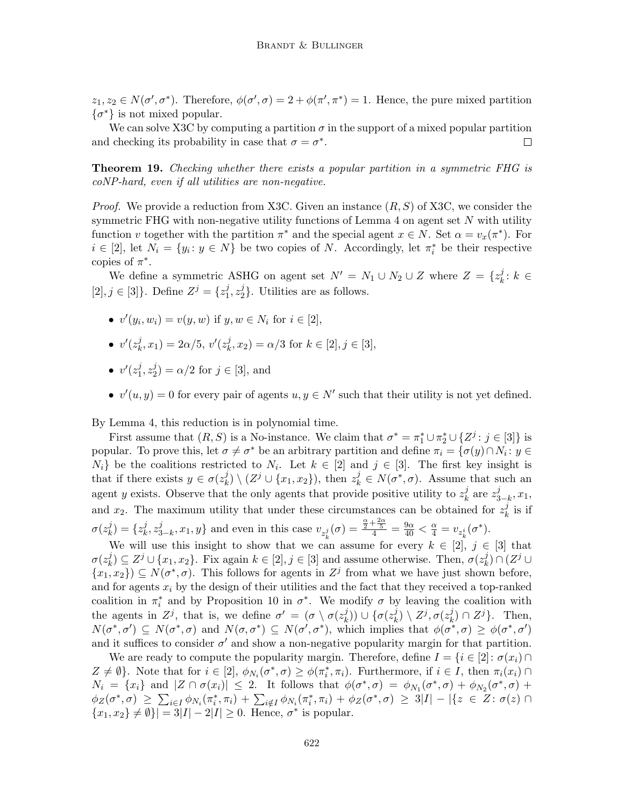$z_1, z_2 \in N(\sigma', \sigma^*)$ . Therefore,  $\phi(\sigma', \sigma) = 2 + \phi(\pi', \pi^*) = 1$ . Hence, the pure mixed partition  $\{\sigma^*\}\$ is not mixed popular.

We can solve X3C by computing a partition  $\sigma$  in the support of a mixed popular partition and checking its probability in case that  $\sigma = \sigma^*$ .  $\Box$ 

Theorem 19. Checking whether there exists a popular partition in a symmetric FHG is coNP-hard, even if all utilities are non-negative.

*Proof.* We provide a reduction from X3C. Given an instance  $(R, S)$  of X3C, we consider the symmetric FHG with non-negative utility functions of Lemma  $4$  on agent set N with utility function v together with the partition  $\pi^*$  and the special agent  $x \in N$ . Set  $\alpha = v_x(\pi^*)$ . For  $i \in [2]$ , let  $N_i = \{y_i : y \in N\}$  be two copies of N. Accordingly, let  $\pi_i^*$  be their respective copies of  $\pi^*$ .

We define a symmetric ASHG on agent set  $N' = N_1 \cup N_2 \cup Z$  where  $Z = \{z_k^j\}$  $k^j: k \in$  $[2], j \in [3]$ . Define  $Z^{j} = \{z_1^{j}\}$  $\frac{j}{1}, z_2^j$  $2<sup>1</sup>$ ). Utilities are as follows.

- $v'(y_i, w_i) = v(y, w)$  if  $y, w \in N_i$  for  $i \in [2]$ ,
- $\bullet \;\; v'(z^j_k)$  $(k, x_1) = 2\alpha/5, v'(z_k^j)$  $k<sub>k</sub>, x<sub>2</sub> = \alpha/3$  for  $k \in [2], j \in [3],$
- $\bullet \;\; v'(z_1^j)$  $\frac{j}{1}, z_2^j$  $2^j_2$ ) =  $\alpha/2$  for  $j \in [3]$ , and
- $v'(u, y) = 0$  for every pair of agents  $u, y \in N'$  such that their utility is not yet defined.

By Lemma 4, this reduction is in polynomial time.

First assume that  $(R, S)$  is a No-instance. We claim that  $\sigma^* = \pi_1^* \cup \pi_2^* \cup \{Z^j : j \in [3]\}$  is popular. To prove this, let  $\sigma \neq \sigma^*$  be an arbitrary partition and define  $\pi_i = {\{\sigma(y) \cap N_i : y \in \mathbb{R}\}}$  $N_i$  be the coalitions restricted to  $N_i$ . Let  $k \in [2]$  and  $j \in [3]$ . The first key insight is that if there exists  $y \in \sigma(z_k^j)$  $k \nvert k$   $\setminus (Z^j \cup \{x_1, x_2\})$ , then  $z^j_k \in N(\sigma^*, \sigma)$ . Assume that such an agent y exists. Observe that the only agents that provide positive utility to  $z<sub>k</sub><sup>j</sup>$  $\frac{j}{k}$  are  $z_3^j$  $_{3-k}^{j},x_{1},$ and  $x_2$ . The maximum utility that under these circumstances can be obtained for  $z<sub>k</sub><sup>j</sup>$  $\frac{\jmath}{k}$  is if  $\sigma(z^j_k$  $\binom{j}{k} = \{z_k^j\}$  $\frac{j}{k}, z_3^j$  $j_{3-k}, x_1, y$  and even in this case  $v_{z_k^j}(\sigma) = \frac{\frac{\alpha}{2} + \frac{2\alpha}{5}}{4} = \frac{9\alpha}{40} < \frac{\alpha}{4} = v_{z_k^i}(\sigma^*).$ 

We will use this insight to show that we can assume for every  $k \in [2], j \in [3]$  that  $\sigma(z^j_k$  $k \n\in \mathbb{Z}^j \cup \{x_1, x_2\}$ . Fix again  $k \in [2], j \in [3]$  and assume otherwise. Then,  $\sigma(z_k^j)$  $\binom{j}{k} \cap (Z^j \cup$  $\{x_1, x_2\}$   $\subseteq N(\sigma^*, \sigma)$ . This follows for agents in  $Z^j$  from what we have just shown before, and for agents  $x_i$  by the design of their utilities and the fact that they received a top-ranked coalition in  $\pi_i^*$  and by Proposition 10 in  $\sigma^*$ . We modify  $\sigma$  by leaving the coalition with the agents in  $Z^j$ , that is, we define  $\sigma' = (\sigma \setminus \sigma(z_i^j))$  $\binom{j}{k})\,\cup\,\{\sigma(z^j_k)$  $\binom{j}{k}\setminus Z^j, \sigma(z_k^j)$  $_{k}^{j})\cap Z^{j}\}.$  Then,  $N(\sigma^*, \sigma') \subseteq N(\sigma^*, \sigma)$  and  $N(\sigma, \sigma^*) \subseteq N(\sigma', \sigma^*)$ , which implies that  $\phi(\sigma^*, \sigma) \geq \phi(\sigma^*, \sigma')$ and it suffices to consider  $\sigma'$  and show a non-negative popularity margin for that partition.

We are ready to compute the popularity margin. Therefore, define  $I = \{i \in [2]: \sigma(x_i) \cap$  $Z \neq \emptyset$ . Note that for  $i \in [2], \phi_{N_i}(\sigma^*, \sigma) \geq \phi(\pi_i^*, \pi_i)$ . Furthermore, if  $i \in I$ , then  $\pi_i(x_i) \cap$  $N_i = \{x_i\}$  and  $|Z \cap \sigma(x_i)| \leq 2$ . It follows that  $\phi(\sigma^*, \sigma) = \phi_{N_1}(\sigma^*, \sigma) + \phi_{N_2}(\sigma^*, \sigma) +$  $\phi_Z(\sigma^*, \sigma) \geq \sum_{i \in I} \phi_{N_i}(\pi_i^*, \pi_i) + \sum_{i \notin I} \phi_{N_i}(\pi_i^*, \pi_i) + \phi_Z(\sigma^*, \sigma) \geq 3|I| - |\{z \in Z : \sigma(z) \cap I\}|$  $\{x_1, x_2\} \neq \emptyset$ }| = 3|I| – 2|I| ≥ 0. Hence,  $\sigma^*$  is popular.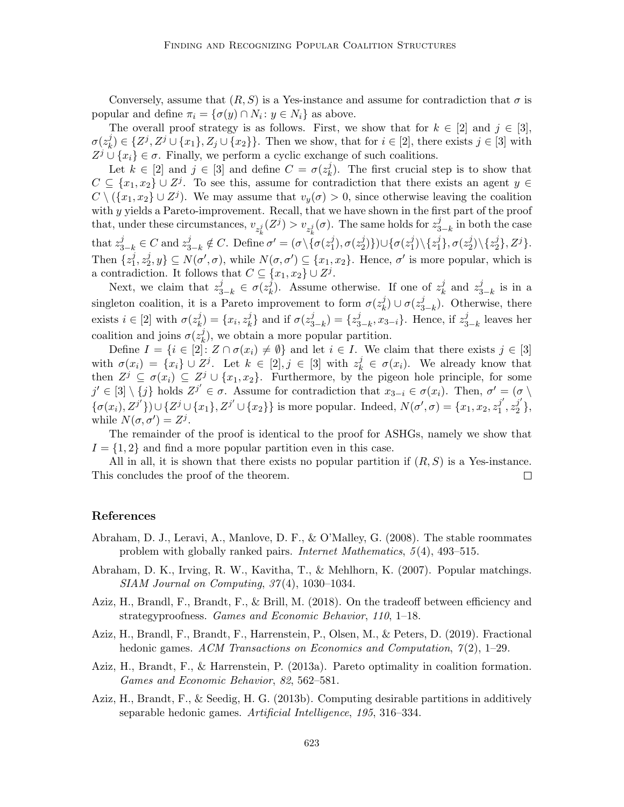Conversely, assume that  $(R, S)$  is a Yes-instance and assume for contradiction that  $\sigma$  is popular and define  $\pi_i = {\sigma(y) \cap N_i : y \in N_i}$  as above.

The overall proof strategy is as follows. First, we show that for  $k \in [2]$  and  $j \in [3]$ ,  $\sigma(z^j_k$  $(k, j) \in \{Z^j, Z^j \cup \{x_1\}, Z_j \cup \{x_2\}\}\.$  Then we show, that for  $i \in [2]$ , there exists  $j \in [3]$  with  $Z^j \cup \{x_i\} \in \sigma$ . Finally, we perform a cyclic exchange of such coalitions.

Let  $k \in [2]$  and  $j \in [3]$  and define  $C = \sigma(z_k^j)$  $\lambda_k^j$ ). The first crucial step is to show that  $C \subseteq \{x_1, x_2\} \cup Z^j$ . To see this, assume for contradiction that there exists an agent  $y \in$  $C \setminus (\{x_1, x_2\} \cup Z^j)$ . We may assume that  $v_y(\sigma) > 0$ , since otherwise leaving the coalition with y yields a Pareto-improvement. Recall, that we have shown in the first part of the proof that, under these circumstances,  $v_{z_k^j}(Z^j) > v_{z_k^j}(\sigma)$ . The same holds for  $z_3^j$ that  $z_{3-k}^j \in C$  and  $z_{3-k}^j \notin C$ . Define  $\sigma' = (\sigma \setminus {\sigma(z_1^j)}')$  $_{3-k}^{j}$  in both the case  $j_1^j), \sigma(z_2^j)$  $\{(\sigma(z_1^j)\})\cup\{\sigma(z_1^j)$  $\binom{j}{1} \backslash \{z_1^j$  $_{1}^{j}\},\sigma(z_{2}^{j}% ,\theta)$  $_2^j)\backslash\{z_2^j$  $\{j\},Z^j\}.$ Then  $\{z_1^j\}$  $\frac{j}{1}, z_2^j$  $\{z^j, y\} \subseteq N(\sigma', \sigma)$ , while  $N(\sigma, \sigma') \subseteq \{x_1, x_2\}$ . Hence,  $\sigma'$  is more popular, which is a contradiction. It follows that  $C \subseteq \{x_1, x_2\} \cup Z^j$ .

Next, we claim that  $z_{3-k}^j \in \sigma(z_k^j)$  $\hat{f}_k$ ). Assume otherwise. If one of  $z_k^j$  $\frac{j}{k}$  and  $z_3^j$  $_{3-k}^{j}$  is in a singleton coalition, it is a Pareto improvement to form  $\sigma(z<sub>k</sub>)$  $\binom{j}{k} \cup \sigma(z_3^j)$  $_{3-k}^{j}$ ). Otherwise, there exists  $i \in [2]$  with  $\sigma(z_k^j)$  $\binom{j}{k} = \{x_i, z_k^j\}$  $\{i\atop k\}$  and if  $\sigma(z_3^j)$  $(z_3^j) = \{z_3^j\}$  $_{3-k}^j, x_{3-i}$ . Hence, if  $z_3^j$  $_{3-k}^{j}$  leaves her coalition and joins  $\sigma(z_k^j)$  $\lambda_k^j$ , we obtain a more popular partition.

Define  $I = \{i \in [2]: Z \cap \sigma(x_i) \neq \emptyset\}$  and let  $i \in I$ . We claim that there exists  $j \in [3]$ with  $\sigma(x_i) = \{x_i\} \cup Z^j$ . Let  $k \in [2], j \in [3]$  with  $z_k^j \in \sigma(x_i)$ . We already know that then  $Z^j \subseteq \sigma(x_i) \subseteq Z^j \cup \{x_1, x_2\}$ . Furthermore, by the pigeon hole principle, for some  $j' \in [3] \setminus \{j\}$  holds  $Z^{j'} \in \sigma$ . Assume for contradiction that  $x_{3-i} \in \sigma(x_i)$ . Then,  $\sigma' = (\sigma \setminus \sigma')$  $\{\sigma(x_i), Z^{j'}\}\cup \{Z^j \cup \{x_1\}, Z^{j'} \cup \{x_2\}\}\$ is more popular. Indeed,  $N(\sigma', \sigma) = \{x_1, x_2, z_1^{j'}\}$  $j^\prime\overline{\rule[0.04cm]{0pt}{0.04cm}}\hspace{0.04cm} z_2^{j^\prime}$  $j\brace{2}$ , while  $N(\sigma, \sigma') = Z^j$ .

The remainder of the proof is identical to the proof for ASHGs, namely we show that  $I = \{1, 2\}$  and find a more popular partition even in this case.

All in all, it is shown that there exists no popular partition if  $(R, S)$  is a Yes-instance. This concludes the proof of the theorem.  $\Box$ 

### References

- Abraham, D. J., Leravi, A., Manlove, D. F., & O'Malley, G. (2008). The stable roommates problem with globally ranked pairs. Internet Mathematics, 5 (4), 493–515.
- Abraham, D. K., Irving, R. W., Kavitha, T., & Mehlhorn, K. (2007). Popular matchings. SIAM Journal on Computing, 37 (4), 1030–1034.
- Aziz, H., Brandl, F., Brandt, F., & Brill, M. (2018). On the tradeoff between efficiency and strategyproofness. Games and Economic Behavior, 110, 1–18.
- Aziz, H., Brandl, F., Brandt, F., Harrenstein, P., Olsen, M., & Peters, D. (2019). Fractional hedonic games. ACM Transactions on Economics and Computation,  $\mathcal{T}(2)$ , 1–29.
- Aziz, H., Brandt, F., & Harrenstein, P. (2013a). Pareto optimality in coalition formation. Games and Economic Behavior, 82, 562–581.
- Aziz, H., Brandt, F., & Seedig, H. G. (2013b). Computing desirable partitions in additively separable hedonic games. Artificial Intelligence, 195, 316–334.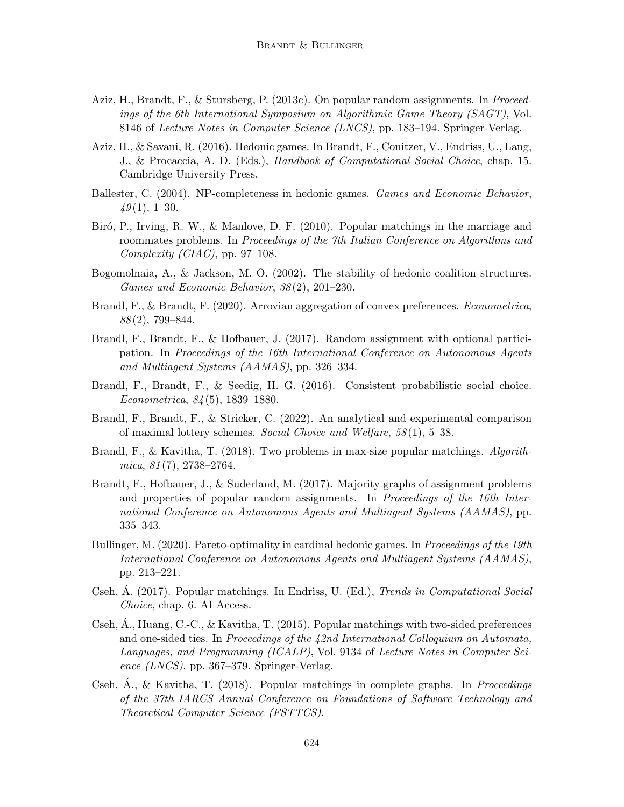- Aziz, H., Brandt, F., & Stursberg, P. (2013c). On popular random assignments. In Proceedings of the 6th International Symposium on Algorithmic Game Theory (SAGT), Vol. 8146 of Lecture Notes in Computer Science (LNCS), pp. 183–194. Springer-Verlag.
- Aziz, H., & Savani, R. (2016). Hedonic games. In Brandt, F., Conitzer, V., Endriss, U., Lang, J., & Procaccia, A. D. (Eds.), Handbook of Computational Social Choice, chap. 15. Cambridge University Press.
- Ballester, C. (2004). NP-completeness in hedonic games. Games and Economic Behavior,  $49(1), 1-30.$
- Biró, P., Irving, R. W., & Manlove, D. F. (2010). Popular matchings in the marriage and roommates problems. In Proceedings of the 7th Italian Conference on Algorithms and Complexity (CIAC), pp. 97–108.
- Bogomolnaia, A., & Jackson, M. O. (2002). The stability of hedonic coalition structures. Games and Economic Behavior, 38 (2), 201–230.
- Brandl, F., & Brandt, F. (2020). Arrovian aggregation of convex preferences. *Econometrica*, 88 (2), 799–844.
- Brandl, F., Brandt, F., & Hofbauer, J. (2017). Random assignment with optional participation. In Proceedings of the 16th International Conference on Autonomous Agents and Multiagent Systems (AAMAS), pp. 326–334.
- Brandl, F., Brandt, F., & Seedig, H. G. (2016). Consistent probabilistic social choice. Econometrica, 84 (5), 1839–1880.
- Brandl, F., Brandt, F., & Stricker, C. (2022). An analytical and experimental comparison of maximal lottery schemes. Social Choice and Welfare, 58 (1), 5–38.
- Brandl, F., & Kavitha, T. (2018). Two problems in max-size popular matchings. Algorith $mica, 81(7), 2738-2764.$
- Brandt, F., Hofbauer, J., & Suderland, M. (2017). Majority graphs of assignment problems and properties of popular random assignments. In Proceedings of the 16th International Conference on Autonomous Agents and Multiagent Systems (AAMAS), pp. 335–343.
- Bullinger, M. (2020). Pareto-optimality in cardinal hedonic games. In *Proceedings of the 19th* International Conference on Autonomous Agents and Multiagent Systems (AAMAS), pp. 213–221.
- Cseh, A. (2017). Popular matchings. In Endriss, U. (Ed.), *Trends in Computational Social* Choice, chap. 6. AI Access.
- Cseh,  $\hat{A}$ ., Huang, C.-C., & Kavitha, T. (2015). Popular matchings with two-sided preferences and one-sided ties. In Proceedings of the 42nd International Colloquium on Automata, Languages, and Programming (ICALP), Vol. 9134 of Lecture Notes in Computer Science  $(LNCS)$ , pp. 367–379. Springer-Verlag.
- Cseh,  $\dot{A}$ ., & Kavitha, T. (2018). Popular matchings in complete graphs. In *Proceedings* of the 37th IARCS Annual Conference on Foundations of Software Technology and Theoretical Computer Science (FSTTCS).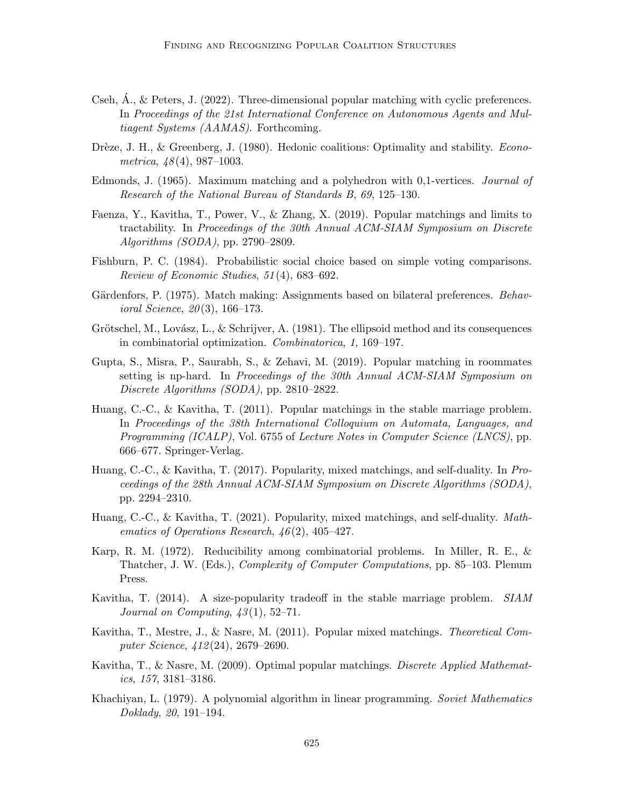- Cseh,  $\acute{A}$ ., & Peters, J. (2022). Three-dimensional popular matching with cyclic preferences. In Proceedings of the 21st International Conference on Autonomous Agents and Multiagent Systems (AAMAS). Forthcoming.
- Drèze, J. H., & Greenberg, J. (1980). Hedonic coalitions: Optimality and stability. *Econo*metrica,  $48(4)$ , 987-1003.
- Edmonds, J. (1965). Maximum matching and a polyhedron with 0,1-vertices. Journal of Research of the National Bureau of Standards B, 69, 125–130.
- Faenza, Y., Kavitha, T., Power, V., & Zhang, X. (2019). Popular matchings and limits to tractability. In Proceedings of the 30th Annual ACM-SIAM Symposium on Discrete Algorithms (SODA), pp. 2790–2809.
- Fishburn, P. C. (1984). Probabilistic social choice based on simple voting comparisons. Review of Economic Studies, 51 (4), 683–692.
- Gärdenfors, P. (1975). Match making: Assignments based on bilateral preferences. *Behavioral Science, 20* $(3)$ , 166–173.
- Grötschel, M., Lovász, L., & Schrijver, A. (1981). The ellipsoid method and its consequences in combinatorial optimization. Combinatorica, 1, 169–197.
- Gupta, S., Misra, P., Saurabh, S., & Zehavi, M. (2019). Popular matching in roommates setting is np-hard. In Proceedings of the 30th Annual ACM-SIAM Symposium on Discrete Algorithms (SODA), pp. 2810–2822.
- Huang, C.-C., & Kavitha, T. (2011). Popular matchings in the stable marriage problem. In Proceedings of the 38th International Colloquium on Automata, Languages, and Programming (ICALP), Vol. 6755 of Lecture Notes in Computer Science (LNCS), pp. 666–677. Springer-Verlag.
- Huang, C.-C., & Kavitha, T. (2017). Popularity, mixed matchings, and self-duality. In Proceedings of the 28th Annual ACM-SIAM Symposium on Discrete Algorithms (SODA), pp. 2294–2310.
- Huang, C.-C., & Kavitha, T. (2021). Popularity, mixed matchings, and self-duality. Mathematics of Operations Research,  $46(2)$ , 405-427.
- Karp, R. M. (1972). Reducibility among combinatorial problems. In Miller, R. E., & Thatcher, J. W. (Eds.), Complexity of Computer Computations, pp. 85–103. Plenum Press.
- Kavitha, T. (2014). A size-popularity tradeoff in the stable marriage problem. SIAM Journal on Computing,  $43(1)$ , 52–71.
- Kavitha, T., Mestre, J., & Nasre, M. (2011). Popular mixed matchings. Theoretical Computer Science, 412 (24), 2679–2690.
- Kavitha, T., & Nasre, M. (2009). Optimal popular matchings. Discrete Applied Mathematics, 157, 3181–3186.
- Khachiyan, L. (1979). A polynomial algorithm in linear programming. Soviet Mathematics Doklady, 20, 191–194.